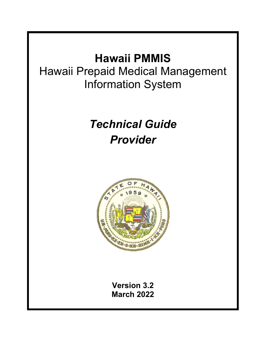# **Hawaii PMMIS**

Hawaii Prepaid Medical Management Information System

# *Technical Guide Provider*



**Version 3.2 March 2022**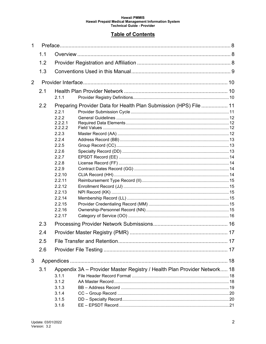#### **Table of Contents**

| 1   |            |                                                                                                                                                                                              |  |  |  |
|-----|------------|----------------------------------------------------------------------------------------------------------------------------------------------------------------------------------------------|--|--|--|
| 1.1 |            |                                                                                                                                                                                              |  |  |  |
|     | 1.2        |                                                                                                                                                                                              |  |  |  |
|     | 1.3        |                                                                                                                                                                                              |  |  |  |
| 2   |            |                                                                                                                                                                                              |  |  |  |
|     | 2.1        |                                                                                                                                                                                              |  |  |  |
|     |            | 2.1.1                                                                                                                                                                                        |  |  |  |
|     | 2.2        | Preparing Provider Data for Health Plan Submission (HPS) File  11<br>2.2.1<br>2.2.2<br>2.2.2.1<br>2.2.2.2<br>2.2.3<br>2.2.4<br>2.2.5<br>2.2.6<br>2.2.7<br>2.2.8<br>2.2.9<br>2.2.10<br>2.2.11 |  |  |  |
|     | 2.3<br>2.4 | 2.2.12<br>2.2.13<br>2.2.14<br>2.2.15<br>2.2.16<br>2.2.17                                                                                                                                     |  |  |  |
|     |            |                                                                                                                                                                                              |  |  |  |
|     | 2.5        |                                                                                                                                                                                              |  |  |  |
|     | 2.6        |                                                                                                                                                                                              |  |  |  |
| 3   |            |                                                                                                                                                                                              |  |  |  |
|     | 3.1        | Appendix 3A - Provider Master Registry / Health Plan Provider Network 18<br>3.1.1<br>3.1.2<br>3.1.3<br>3.1.4<br>3.1.5<br>3.1.6                                                               |  |  |  |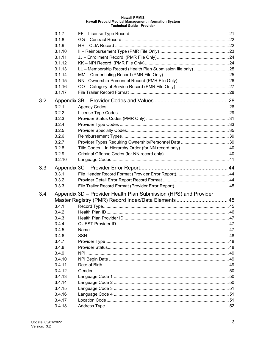|     | 3.1.7  |                                                                  |  |
|-----|--------|------------------------------------------------------------------|--|
|     | 3.1.8  |                                                                  |  |
|     | 3.1.9  |                                                                  |  |
|     | 3.1.10 |                                                                  |  |
|     | 3.1.11 |                                                                  |  |
|     | 3.1.12 |                                                                  |  |
|     | 3.1.13 |                                                                  |  |
|     | 3.1.14 |                                                                  |  |
|     | 3.1.15 |                                                                  |  |
|     | 3.1.16 |                                                                  |  |
|     | 3.1.17 |                                                                  |  |
| 3.2 |        |                                                                  |  |
|     | 3.2.1  |                                                                  |  |
|     | 3.2.2  |                                                                  |  |
|     | 3.2.3  |                                                                  |  |
|     | 3.2.4  |                                                                  |  |
|     | 3.2.5  |                                                                  |  |
|     | 3.2.6  |                                                                  |  |
|     | 3.2.7  |                                                                  |  |
|     | 3.2.8  |                                                                  |  |
|     | 3.2.9  |                                                                  |  |
|     | 3.2.10 |                                                                  |  |
| 3.3 |        |                                                                  |  |
|     | 3.3.1  |                                                                  |  |
|     | 3.3.2  |                                                                  |  |
|     | 3.3.3  |                                                                  |  |
| 3.4 |        | Appendix 3D - Provider Health Plan Submission (HPS) and Provider |  |
|     |        |                                                                  |  |
|     | 3.4.1  |                                                                  |  |
|     | 3.4.2  |                                                                  |  |
|     | 3.4.3  |                                                                  |  |
|     | 3.4.4  |                                                                  |  |
|     | 3.4.5  |                                                                  |  |
|     | 3.4.6  |                                                                  |  |
|     | 3.4.7  |                                                                  |  |
|     | 3.4.8  |                                                                  |  |
|     | 3.4.9  |                                                                  |  |
|     | 3.4.10 |                                                                  |  |
|     | 3.4.11 |                                                                  |  |
|     | 3.4.12 |                                                                  |  |
|     | 3.4.13 |                                                                  |  |
|     | 3.4.14 |                                                                  |  |
|     | 3.4.15 |                                                                  |  |
|     | 3.4.16 |                                                                  |  |
|     | 3.4.17 |                                                                  |  |
|     | 3.4.18 |                                                                  |  |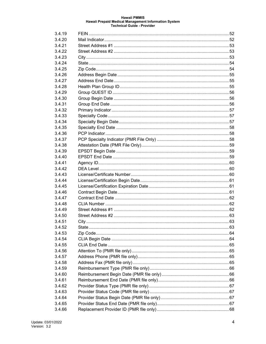| 3.4.19 |  |
|--------|--|
| 3.4.20 |  |
| 3.4.21 |  |
| 3.4.22 |  |
| 3.4.23 |  |
| 3.4.24 |  |
| 3.4.25 |  |
| 3.4.26 |  |
| 3.4.27 |  |
| 3.4.28 |  |
| 3.4.29 |  |
| 3.4.30 |  |
| 3.4.31 |  |
| 3.4.32 |  |
| 3.4.33 |  |
| 3.4.34 |  |
| 3.4.35 |  |
| 3.4.36 |  |
| 3.4.37 |  |
| 3.4.38 |  |
| 3.4.39 |  |
| 3.4.40 |  |
| 3.4.41 |  |
| 3.4.42 |  |
| 3.4.43 |  |
| 3.4.44 |  |
| 3.4.45 |  |
| 3.4.46 |  |
| 3.4.47 |  |
| 3.4.48 |  |
| 3.4.49 |  |
| 3.4.50 |  |
| 3.4.51 |  |
| 3.4.52 |  |
| 3.4.53 |  |
| 3.4.54 |  |
| 3.4.55 |  |
| 3.4.56 |  |
| 3.4.57 |  |
| 3.4.58 |  |
| 3.4.59 |  |
| 3.4.60 |  |
| 3.4.61 |  |
| 3.4.62 |  |
| 3.4.63 |  |
| 3.4.64 |  |
| 3.4.65 |  |
| 3.4.66 |  |
|        |  |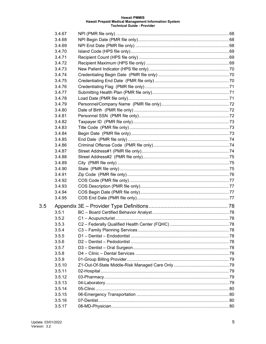|     | 3.4.67 |  |
|-----|--------|--|
|     | 3.4.68 |  |
|     | 3.4.69 |  |
|     | 3.4.70 |  |
|     | 3.4.71 |  |
|     | 3.4.72 |  |
|     | 3.4.73 |  |
|     | 3.4.74 |  |
|     | 3.4.75 |  |
|     | 3.4.76 |  |
|     | 3.4.77 |  |
|     | 3.4.78 |  |
|     | 3.4.79 |  |
|     | 3.4.80 |  |
|     | 3.4.81 |  |
|     | 3.4.82 |  |
|     | 3.4.83 |  |
|     | 3.4.84 |  |
|     | 3.4.85 |  |
|     | 3.4.86 |  |
|     | 3.4.87 |  |
|     | 3.4.88 |  |
|     | 3.4.89 |  |
|     | 3.4.90 |  |
|     | 3.4.91 |  |
|     | 3.4.92 |  |
|     | 3.4.93 |  |
|     | 3.4.94 |  |
|     | 3.4.95 |  |
| 3.5 |        |  |
|     | 3.5.1  |  |
|     | 3.5.2  |  |
|     | 3.5.3  |  |
|     | 3.5.4  |  |
|     | 3.5.5  |  |
|     | 3.5.6  |  |
|     | 3.5.7  |  |
|     | 3.5.8  |  |
|     | 3.5.9  |  |
|     | 3.5.10 |  |
|     | 3.5.11 |  |
|     | 3.5.12 |  |
|     | 3.5.13 |  |
|     | 3.5.14 |  |
|     | 3.5.15 |  |
|     | 3.5.16 |  |
|     | 3.5.17 |  |
|     |        |  |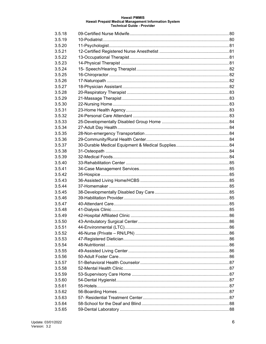| 3.5.18 |  |
|--------|--|
| 3.5.19 |  |
| 3.5.20 |  |
| 3.5.21 |  |
| 3.5.22 |  |
| 3.5.23 |  |
| 3.5.24 |  |
| 3.5.25 |  |
| 3.5.26 |  |
| 3.5.27 |  |
| 3.5.28 |  |
| 3.5.29 |  |
| 3.5.30 |  |
| 3.5.31 |  |
| 3.5.32 |  |
| 3.5.33 |  |
| 3.5.34 |  |
| 3.5.35 |  |
| 3.5.36 |  |
| 3.5.37 |  |
| 3.5.38 |  |
| 3.5.39 |  |
| 3.5.40 |  |
| 3.5.41 |  |
| 3.5.42 |  |
| 3.5.43 |  |
| 3.5.44 |  |
| 3.5.45 |  |
| 3.5.46 |  |
| 3.5.47 |  |
| 3.5.48 |  |
| 3.5.49 |  |
| 3.5.50 |  |
| 3.5.51 |  |
| 3.5.52 |  |
| 3.5.53 |  |
| 3.5.54 |  |
| 3.5.55 |  |
| 3.5.56 |  |
| 3.5.57 |  |
| 3.5.58 |  |
| 3.5.59 |  |
| 3.5.60 |  |
| 3.5.61 |  |
| 3.5.62 |  |
| 3.5.63 |  |
| 3.5.64 |  |
| 3.5.65 |  |
|        |  |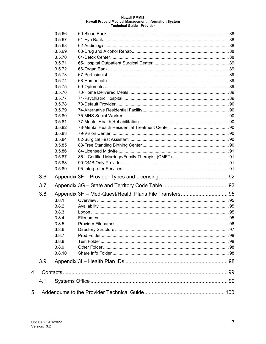|     | 3.5.66 |                     |     |
|-----|--------|---------------------|-----|
|     | 3.5.67 |                     |     |
|     | 3.5.68 |                     |     |
|     | 3.5.69 |                     |     |
|     | 3.5.70 |                     |     |
|     | 3.5.71 |                     |     |
|     | 3.5.72 |                     |     |
|     | 3.5.73 |                     |     |
|     | 3.5.74 |                     |     |
|     | 3.5.75 |                     |     |
|     | 3.5.76 |                     |     |
|     | 3.5.77 |                     |     |
|     | 3.5.78 |                     |     |
|     | 3.5.79 |                     |     |
|     | 3.5.80 |                     |     |
|     | 3.5.81 |                     |     |
|     | 3.5.82 |                     |     |
|     | 3.5.83 |                     |     |
|     | 3.5.84 |                     |     |
|     | 3.5.85 |                     |     |
|     | 3.5.86 |                     |     |
|     | 3.5.87 |                     |     |
|     | 3.5.88 |                     |     |
|     | 3.5.89 |                     |     |
| 3.6 |        |                     |     |
| 3.7 |        |                     |     |
| 3.8 |        |                     |     |
|     | 3.8.1  |                     |     |
|     | 3.8.2  |                     |     |
|     | 3.8.3  |                     |     |
|     | 3.8.4  |                     |     |
|     | 3.8.5  | Provider Filenames. | .96 |
|     | 3.8.6  |                     |     |
|     | 3.8.7  |                     |     |
|     | 3.8.8  |                     |     |
|     | 3.8.9  |                     |     |
|     | 3.8.10 |                     |     |
| 3.9 |        |                     |     |
|     |        |                     |     |
| 4.1 |        |                     |     |
|     |        |                     |     |
|     |        |                     |     |

 $\overline{4}$ 

 $\overline{5}$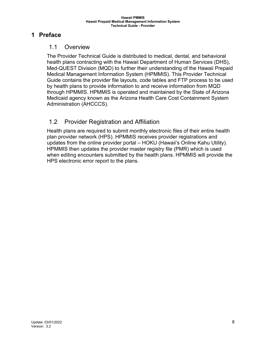## <span id="page-7-1"></span><span id="page-7-0"></span>**1 Preface**

#### 1.1 Overview

The Provider Technical Guide is distributed to medical, dental, and behavioral health plans contracting with the Hawaii Department of Human Services (DHS), Med-QUEST Division (MQD) to further their understanding of the Hawaii Prepaid Medical Management Information System (HPMMIS). This Provider Technical Guide contains the provider file layouts, code tables and FTP process to be used by health plans to provide information to and receive information from MQD through HPMMIS. HPMMIS is operated and maintained by the State of Arizona Medicaid agency known as the Arizona Health Care Cost Containment System Administration (AHCCCS).

## <span id="page-7-2"></span>1.2 Provider Registration and Affiliation

Health plans are required to submit monthly electronic files of their entire health plan provider network (HPS). HPMMIS receives provider registrations and updates from the online provider portal – HOKU (Hawaii's Online Kahu Utility). HPMMIS then updates the provider master registry file (PMR) which is used when editing encounters submitted by the health plans. HPMMIS will provide the HPS electronic error report to the plans.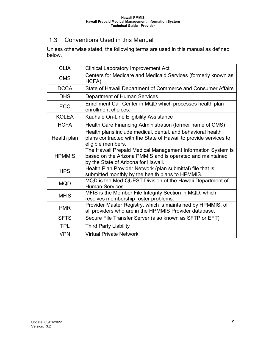# <span id="page-8-0"></span>1.3 Conventions Used in this Manual

Unless otherwise stated, the following terms are used in this manual as defined below.

| <b>CLIA</b>   | <b>Clinical Laboratory Improvement Act</b>                                                                                                                      |  |  |  |  |  |
|---------------|-----------------------------------------------------------------------------------------------------------------------------------------------------------------|--|--|--|--|--|
| <b>CMS</b>    | Centers for Medicare and Medicaid Services (formerly known as<br>HCFA)                                                                                          |  |  |  |  |  |
| <b>DCCA</b>   | State of Hawaii Department of Commerce and Consumer Affairs                                                                                                     |  |  |  |  |  |
| <b>DHS</b>    | <b>Department of Human Services</b>                                                                                                                             |  |  |  |  |  |
| <b>ECC</b>    | Enrollment Call Center in MQD which processes health plan<br>enrollment choices.                                                                                |  |  |  |  |  |
| <b>KOLEA</b>  | Kauhale On-Line Eligibility Assistance                                                                                                                          |  |  |  |  |  |
| <b>HCFA</b>   | Health Care Financing Administration (former name of CMS)                                                                                                       |  |  |  |  |  |
| Health plan   | Health plans include medical, dental, and behavioral health<br>plans contracted with the State of Hawaii to provide services to<br>eligible members.            |  |  |  |  |  |
| <b>HPMMIS</b> | The Hawaii Prepaid Medical Management Information System is<br>based on the Arizona PMMIS and is operated and maintained<br>by the State of Arizona for Hawaii. |  |  |  |  |  |
| <b>HPS</b>    | Health Plan Provider Network (plan submittal) file that is<br>submitted monthly by the health plans to HPMMIS.                                                  |  |  |  |  |  |
| <b>MQD</b>    | MQD is the Med-QUEST Division of the Hawaii Department of<br><b>Human Services.</b>                                                                             |  |  |  |  |  |
| <b>MFIS</b>   | MFIS is the Member File Integrity Section in MQD, which<br>resolves membership roster problems.                                                                 |  |  |  |  |  |
| <b>PMR</b>    | Provider Master Registry, which is maintained by HPMMIS, of<br>all providers who are in the HPMMIS Provider database.                                           |  |  |  |  |  |
| <b>SFTS</b>   | Secure File Transfer Server (also known as SFTP or EFT)                                                                                                         |  |  |  |  |  |
| <b>TPL</b>    | <b>Third Party Liability</b>                                                                                                                                    |  |  |  |  |  |
| <b>VPN</b>    | <b>Virtual Private Network</b>                                                                                                                                  |  |  |  |  |  |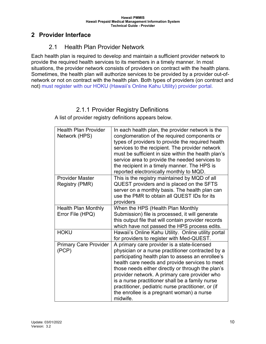### <span id="page-9-1"></span><span id="page-9-0"></span>**2 Provider Interface**

# 2.1 Health Plan Provider Network

Each health plan is required to develop and maintain a sufficient provider network to provide the required health services to its members in a timely manner. In most situations, the provider network consists of providers on contract with the health plans. Sometimes, the health plan will authorize services to be provided by a provider out-ofnetwork or not on contract with the health plan. Both types of providers (on contract and not) must register with our HOKU (Hawaii's Online Kahu Utility) provider portal.

# 2.1.1 Provider Registry Definitions

<span id="page-9-2"></span>A list of provider registry definitions appears below.

| <b>Health Plan Provider</b><br>Network (HPS)   | In each health plan, the provider network is the<br>conglomeration of the required components or<br>types of providers to provide the required health<br>services to the recipient. The provider network<br>must be sufficient in size within the health plan's<br>service area to provide the needed services to<br>the recipient in a timely manner. The HPS is<br>reported electronically monthly to MQD.                                                                    |
|------------------------------------------------|---------------------------------------------------------------------------------------------------------------------------------------------------------------------------------------------------------------------------------------------------------------------------------------------------------------------------------------------------------------------------------------------------------------------------------------------------------------------------------|
| <b>Provider Master</b><br>Registry (PMR)       | This is the registry maintained by MQD of all<br>QUEST providers and is placed on the SFTS<br>server on a monthly basis. The health plan can<br>use the PMR to obtain all QUEST IDs for its<br>providers                                                                                                                                                                                                                                                                        |
| <b>Health Plan Monthly</b><br>Error File (HPQ) | When the HPS (Health Plan Monthly<br>Submission) file is processed, it will generate<br>this output file that will contain provider records<br>which have not passed the HPS process edits.                                                                                                                                                                                                                                                                                     |
| <b>HOKU</b>                                    | Hawaii's Online Kahu Utility. Online utility portal<br>for providers to register with Med-QUEST.                                                                                                                                                                                                                                                                                                                                                                                |
| <b>Primary Care Provider</b><br>(PCP)          | A primary care provider is a state-licensed<br>physician or a nurse practitioner contracted by a<br>participating health plan to assess an enrollee's<br>health care needs and provide services to meet<br>those needs either directly or through the plan's<br>provider network. A primary care provider who<br>is a nurse practitioner shall be a family nurse<br>practitioner, pediatric nurse practitioner, or (if<br>the enrollee is a pregnant woman) a nurse<br>midwife. |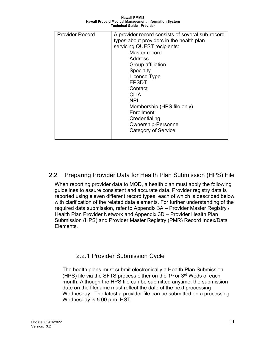**Hawaii PMMIS Hawaii Prepaid Medical Management Information System Technical Guide - Provider**

| <b>Provider Record</b> | A provider record consists of several sub-record |
|------------------------|--------------------------------------------------|
|                        | types about providers in the health plan         |
|                        | servicing QUEST recipients:                      |
|                        | Master record                                    |
|                        | Address                                          |
|                        | Group affiliation                                |
|                        | <b>Specialty</b>                                 |
|                        | License Type                                     |
|                        | <b>EPSDT</b>                                     |
|                        | Contact                                          |
|                        | <b>CLIA</b>                                      |
|                        | <b>NPI</b>                                       |
|                        | Membership (HPS file only)                       |
|                        | Enrollment                                       |
|                        | Credentialing                                    |
|                        | <b>Ownership-Personnel</b>                       |
|                        | <b>Category of Service</b>                       |
|                        |                                                  |
|                        |                                                  |

#### <span id="page-10-0"></span>2.2 Preparing Provider Data for Health Plan Submission (HPS) File

When reporting provider data to MQD, a health plan must apply the following guidelines to assure consistent and accurate data. Provider registry data is reported using eleven different record types, each of which is described below with clarification of the related data elements. For further understanding of the required data submission, refer to Appendix 3A – Provider Master Registry / Health Plan Provider Network and Appendix 3D – Provider Health Plan Submission (HPS) and Provider Master Registry (PMR) Record Index/Data Elements.

#### 2.2.1 Provider Submission Cycle

<span id="page-10-1"></span>The health plans must submit electronically a Health Plan Submission (HPS) file via the SFTS process either on the  $1<sup>st</sup>$  or  $3<sup>rd</sup>$  Weds of each month. Although the HPS file can be submitted anytime, the submission date on the filename must reflect the date of the next processing Wednesday. The latest a provider file can be submitted on a processing Wednesday is 5:00 p.m. HST.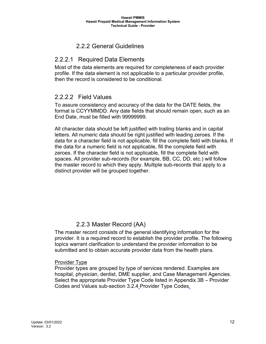## 2.2.2 General Guidelines

### <span id="page-11-1"></span><span id="page-11-0"></span>2.2.2.1 Required Data Elements

Most of the data elements are required for completeness of each provider profile. If the data element is not applicable to a particular provider profile, then the record is considered to be conditional.

#### <span id="page-11-2"></span>2.2.2.2 Field Values

To assure consistency and accuracy of the data for the DATE fields, the format is CCYYMMDD. Any date fields that should remain open, such as an End Date, must be filled with 99999999.

All character data should be left justified with trailing blanks and in capital letters. All numeric data should be right justified with leading zeroes. If the data for a character field is not applicable, fill the complete field with blanks. If the data for a numeric field is not applicable, fill the complete field with zeroes. If the character field is not applicable, fill the complete field with spaces. All provider sub-records (for example, BB, CC, DD, etc.) will follow the master record to which they apply. Multiple sub-records that apply to a distinct provider will be grouped together.

## 2.2.3 Master Record (AA)

<span id="page-11-3"></span>The master record consists of the general identifying information for the provider. It is a required record to establish the provider profile. The following topics warrant clarification to understand the provider information to be submitted and to obtain accurate provider data from the health plans.

#### Provider Type

Provider types are grouped by type of services rendered. Examples are hospital, physician, dentist, DME supplier, and Case Management Agencies. Select the appropriate Provider Type Code listed in Appendix 3B – Provider Codes and Values sub-section 3.2.4 Provider Type Codes.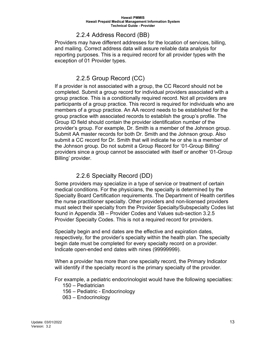#### 2.2.4 Address Record (BB)

<span id="page-12-0"></span>Providers may have different addresses for the location of services, billing, and mailing. Correct address data will assure reliable data analysis for reporting purposes. This is a required record for all provider types with the exception of 01 Provider types.

## 2.2.5 Group Record (CC)

<span id="page-12-1"></span>If a provider is not associated with a group, the CC Record should not be completed. Submit a group record for individual providers associated with a group practice. This is a conditionally required record. Not all providers are participants of a group practice. This record is required for individuals who are members of a group practice. An AA record needs to be established for the group practice with associated records to establish the group's profile. The Group ID field should contain the provider identification number of the provider's group. For example, Dr. Smith is a member of the Johnson group. Submit AA master records for both Dr. Smith and the Johnson group. Also submit a CC record for Dr. Smith that will indicate he or she is a member of the Johnson group. Do not submit a Group Record for '01-Group Billing' providers since a group cannot be associated with itself or another '01-Group Billing' provider.

#### 2.2.6 Specialty Record (DD)

<span id="page-12-2"></span>Some providers may specialize in a type of service or treatment of certain medical conditions. For the physicians, the specialty is determined by the Specialty Board Certification requirements. The Department of Health certifies the nurse practitioner specialty. Other providers and non-licensed providers must select their specialty from the Provider Specialty/Subspecialty Codes list found in Appendix 3B – Provider Codes and Values sub-section [3.2.5](#page-34-0) [Provider Specialty Codes.](#page-34-0) This is not a required record for providers.

Specialty begin and end dates are the effective and expiration dates, respectively, for the provider's specialty within the health plan. The specialty begin date must be completed for every specialty record on a provider. Indicate open-ended end dates with nines (99999999).

When a provider has more than one specialty record, the Primary Indicator will identify if the specialty record is the primary specialty of the provider.

For example, a pediatric endocrinologist would have the following specialties:

- 150 Pediatrician
- 156 Pediatric Endocrinology
- 063 Endocrinology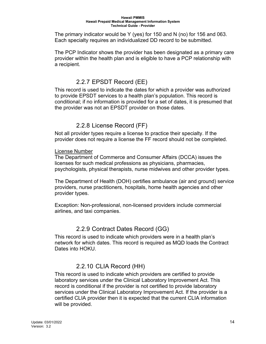The primary indicator would be Y (yes) for 150 and N (no) for 156 and 063. Each specialty requires an individualized DD record to be submitted.

The PCP Indicator shows the provider has been designated as a primary care provider within the health plan and is eligible to have a PCP relationship with a recipient.

# 2.2.7 EPSDT Record (EE)

<span id="page-13-0"></span>This record is used to indicate the dates for which a provider was authorized to provide EPSDT services to a health plan's population. This record is conditional; if no information is provided for a set of dates, it is presumed that the provider was not an EPSDT provider on those dates.

## 2.2.8 License Record (FF)

<span id="page-13-1"></span>Not all provider types require a license to practice their specialty. If the provider does not require a license the FF record should not be completed.

#### License Number

The Department of Commerce and Consumer Affairs (DCCA) issues the licenses for such medical professions as physicians, pharmacies, psychologists, physical therapists, nurse midwives and other provider types.

The Department of Health (DOH) certifies ambulance (air and ground) service providers, nurse practitioners, hospitals, home health agencies and other provider types.

Exception: Non-professional, non-licensed providers include commercial airlines, and taxi companies.

## 2.2.9 Contract Dates Record (GG)

<span id="page-13-2"></span>This record is used to indicate which providers were in a health plan's network for which dates. This record is required as MQD loads the Contract Dates into HOKU.

# <span id="page-13-3"></span>2.2.10 CLIA Record (HH)

This record is used to indicate which providers are certified to provide laboratory services under the Clinical Laboratory Improvement Act. This record is conditional if the provider is not certified to provide laboratory services under the Clinical Laboratory Improvement Act. If the provider is a certified CLIA provider then it is expected that the current CLIA information will be provided.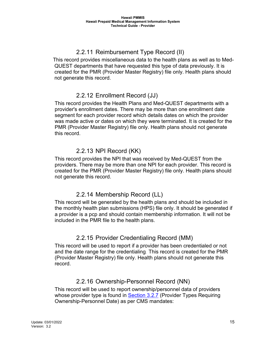# <span id="page-14-0"></span>2.2.11 Reimbursement Type Record (II)

 This record provides miscellaneous data to the health plans as well as to Med- QUEST departments that have requested this type of data previously. It is created for the PMR (Provider Master Registry) file only. Health plans should not generate this record.

### <span id="page-14-1"></span>2.2.12 Enrollment Record (JJ)

This record provides the Health Plans and Med-QUEST departments with a provider's enrollment dates. There may be more than one enrollment date segment for each provider record which details dates on which the provider was made active or dates on which they were terminated. It is created for the PMR (Provider Master Registry) file only. Health plans should not generate this record.

## <span id="page-14-2"></span>2.2.13 NPI Record (KK)

This record provides the NPI that was received by Med-QUEST from the providers. There may be more than one NPI for each provider. This record is created for the PMR (Provider Master Registry) file only. Health plans should not generate this record.

## <span id="page-14-3"></span>2.2.14 Membership Record (LL)

This record will be generated by the health plans and should be included in the monthly health plan submissions (HPS) file only. It should be generated if a provider is a pcp and should contain membership information. It will not be included in the PMR file to the health plans.

# <span id="page-14-4"></span>2.2.15 Provider Credentialing Record (MM)

This record will be used to report if a provider has been credentialed or not and the date range for the credentialing. This record is created for the PMR (Provider Master Registry) file only. Health plans should not generate this record.

## <span id="page-14-5"></span>2.2.16 Ownership-Personnel Record (NN)

This record will be used to report ownership/personnel data of providers whose provider type is found in [Section 3.2.7](#page-38-1) (Provider Types Requiring Ownership-Personnel Date) as per CMS mandates: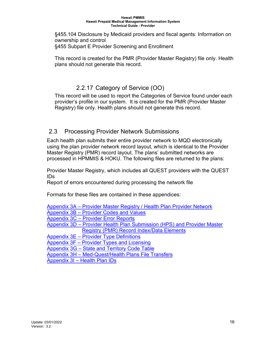§455.104 Disclosure by Medicaid providers and fiscal agents: Information on ownership and control §455 Subpart E Provider Screening and Enrollment

This record is created for the PMR (Provider Master Registry) file only. Health plans should not generate this record.

## <span id="page-15-0"></span>2.2.17 Category of Service (OO)

This record will be used to report the Categories of Service found under each provider's profile in our system. It is created for the PMR (Provider Master Registry) file only. Health plans should not generate this record.

#### <span id="page-15-1"></span>2.3 Processing Provider Network Submissions

Each health plan submits their entire provider network to MQD electronically using the plan provider network record layout, which is identical to the Provider Master Registry (PMR) record layout. The plans' submitted networks are processed in HPMMIS & HOKU. The following files are returned to the plans:

Provider Master Registry, which includes all QUEST providers with the QUEST IDs

Report of errors encountered during processing the network file

Formats for these files are contained in these appendices:

[Appendix 3A – Provider Master Registry](#page-17-1) / Health Plan Provider Network [Appendix 3B – Provider Codes and Values](#page-27-1)  [Appendix 3C – Provider Error Reports](#page-43-0)  [Appendix 3D – Provider Health Plan Submission](#page-44-1) (HPS) and Provider Master **[Registry \(PMR\) Record Index/Data Elements](#page-44-1)** [Appendix 3E – Provider Type Definitions](#page-77-0)  [Appendix 3F – Provider Types and Licensing](#page-91-0)  [Appendix 3G – State and Territory Code Table](#page-92-0)  [Appendix 3H – Med-Quest/Health Plans File Transfers](#page-94-0) 

[Appendix 3I – Health Plan IDs](#page-97-4)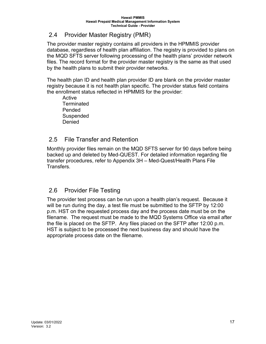### <span id="page-16-0"></span>2.4 Provider Master Registry (PMR)

The provider master registry contains all providers in the HPMMIS provider database, regardless of health plan affiliation. The registry is provided to plans on the MQD SFTS server following processing of the health plans' provider network files. The record format for the provider master registry is the same as that used by the health plans to submit their provider networks.

The health plan ID and health plan provider ID are blank on the provider master registry because it is not health plan specific. The provider status field contains the enrollment status reflected in HPMMIS for the provider:

Active **Terminated** Pended Suspended Denied

### <span id="page-16-1"></span>2.5 File Transfer and Retention

Monthly provider files remain on the MQD SFTS server for 90 days before being backed up and deleted by Med-QUEST. For detailed information regarding file transfer procedures, refer to Appendix 3H – Med-Quest/Health Plans File Transfers.

## <span id="page-16-2"></span>2.6 Provider File Testing

The provider test process can be run upon a health plan's request. Because it will be run during the day, a test file must be submitted to the SFTP by 12:00 p.m. HST on the requested process day and the process date must be on the filename. The request must be made to the MQD Systems Office via email after the file is placed on the SFTP. Any files placed on the SFTP after 12:00 p.m. HST is subject to be processed the next business day and should have the appropriate process date on the filename.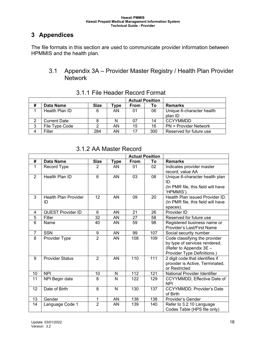# <span id="page-17-0"></span>**3 Appendices**

<span id="page-17-1"></span>The file formats in this section are used to communicate provider information between HPMMIS and the health plan.

#### 3.1 Appendix 3A – Provider Master Registry / Health Plan Provider **Network**

<span id="page-17-2"></span>

|   |                     |             |                      | <b>Actual Position</b> |     |                              |
|---|---------------------|-------------|----------------------|------------------------|-----|------------------------------|
| # | Data Name           | <b>Size</b> | ${\mathbf \tau}$ ype | <b>From</b>            | Τo  | <b>Remarks</b>               |
|   | Health Plan ID      | 6           | AN                   | 01                     | 06  | Unique 6-character health    |
|   |                     |             |                      |                        |     | plan ID                      |
| ∩ | <b>Current Date</b> |             | N                    | 07                     | 14  | <b>CCYYMMDD</b>              |
| 3 | File Type Code      |             | AN                   | 15                     | 16  | <b>PN</b> = Provider Network |
| 4 | Filler              | 284         | AN                   | 17                     | 300 | Reserved for future use      |

3.1.1 File Header Record Format

<span id="page-17-3"></span>

|                | <b>Actual Position</b>            |                |             |      |                  |                                                                                                                          |
|----------------|-----------------------------------|----------------|-------------|------|------------------|--------------------------------------------------------------------------------------------------------------------------|
| #              | Data Name                         | <b>Size</b>    | <b>Type</b> | From | To               | <b>Remarks</b>                                                                                                           |
| 1              | Record Type                       | $\overline{2}$ | AN          | 01   | 02               | Indicates provider master<br>record; value AA                                                                            |
| $\overline{2}$ | Health Plan ID                    | 6              | AN          | 03   | 08               | Unique 6-character health plan<br>ID.<br>(In PMR file, this field will have<br>'HPMMIS').                                |
| 3              | <b>Health Plan Provider</b><br>ID | 12             | AN          | 09   | 20               | Health Plan issued Provider ID.<br>(In PMR file, this field will have<br>spaces).                                        |
| 4              | <b>QUEST Provider ID</b>          | 6              | AN          | 21   | 26               | Provider ID                                                                                                              |
| 5              | Filler                            | 32             | AN          | 27   | 58               | Reserved for future use                                                                                                  |
| 6              | Name                              | 40             | AN          | 59   | 98               | Registered business name or<br>Provider's Last/First Name                                                                |
| $\overline{7}$ | <b>SSN</b>                        | 9              | AN          | 99   | 107              | Social security number                                                                                                   |
| 8              | Provider Type                     | $\overline{2}$ | AN          | 108  | 109              | Code classifying the provider<br>by type of services rendered.<br>(Refer to Appendix 3E -<br>Provider Type Definitions.) |
| 9              | <b>Provider Status</b>            | 2              | AN          | 110  | 111              | 2 digit code that identifies if<br>provider is Active, Terminated,<br>or Restricted                                      |
| 10             | <b>NPI</b>                        | 10             | N           | 112  | 121              | National Provider Identifier                                                                                             |
| 11             | NPI Begin date                    | 8              | N           | 122  | 129              | CCYYMMDD; Effective Date of<br><b>NPI</b>                                                                                |
| 12             | Date of Birth                     | $\overline{8}$ | N           | 130  | $\overline{137}$ | CCYYMMDD; Provider's Date<br>of Birth                                                                                    |
| 13             | Gender                            | 1              | AN          | 138  | 138              | Provider's Gender                                                                                                        |
| 14             | Language Code 1                   | $\overline{2}$ | AN          | 139  | 140              | Refer to 3.2.10 Language<br>Codes Table (HPS file only)                                                                  |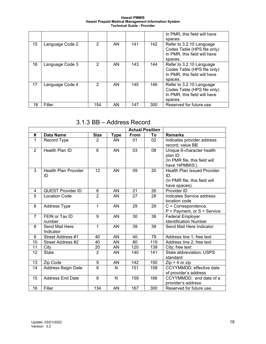**Hawaii PMMIS Hawaii Prepaid Medical Management Information System Technical Guide - Provider**

|    |                 |                |    |     |     | In PMR, this field will have |
|----|-----------------|----------------|----|-----|-----|------------------------------|
|    |                 |                |    |     |     | spaces.                      |
| 15 | Language Code 2 | 2              | AN | 141 | 142 | Refer to 3.2.10 Language     |
|    |                 |                |    |     |     | Codes Table (HPS file only)  |
|    |                 |                |    |     |     | In PMR, this field will have |
|    |                 |                |    |     |     | spaces.                      |
| 16 | Language Code 3 | $\overline{2}$ | AN | 143 | 144 | Refer to 3.2.10 Language     |
|    |                 |                |    |     |     | Codes Table (HPS file only)  |
|    |                 |                |    |     |     | In PMR, this field will have |
|    |                 |                |    |     |     | spaces.                      |
| 17 | Language Code 4 | $\overline{2}$ | AN | 145 | 146 | Refer to 3.2.10 Language     |
|    |                 |                |    |     |     | Codes Table (HPS file only)  |
|    |                 |                |    |     |     | In PMR, this field will have |
|    |                 |                |    |     |     | spaces.                      |
| 18 | Filler          | 154            | ΑN | 147 | 300 | Reserved for future use      |

# 3.1.3 BB – Address Record

<span id="page-18-0"></span>

|                |                                   |                  |                 |      | <b>Actual Position</b> |                                                                                             |
|----------------|-----------------------------------|------------------|-----------------|------|------------------------|---------------------------------------------------------------------------------------------|
| #              | <b>Data Name</b>                  | <b>Size</b>      | <b>Type</b>     | From | To                     | <b>Remarks</b>                                                                              |
| $\mathbf{1}$   | Record Type                       | $\overline{2}$   | AN              | 01   | 02                     | Indicates provider address<br>record; value BB                                              |
| $\overline{2}$ | <b>Health Plan ID</b>             | $\overline{6}$   | $\overline{AN}$ | 03   | $\overline{08}$        | Unique 6-character health<br>plan ID.<br>(In PMR file, this field will<br>have 'HPMMIS').   |
| 3              | <b>Health Plan Provider</b><br>ID | 12               | <b>AN</b>       | 09   | 20                     | <b>Health Plan issued Provider</b><br>ID.<br>(In PMR file, this field will<br>have spaces). |
| 4              | <b>QUEST Provider ID</b>          | 6                | AN              | 21   | 26                     | Provider ID                                                                                 |
| 5              | <b>Location Code</b>              | $\overline{2}$   | <b>AN</b>       | 27   | 28                     | <b>Indicates Service address</b><br>location code                                           |
| 6              | <b>Address Type</b>               | 1                | AN              | 29   | 29                     | $C =$ Correspondence,<br>P = Payment, or S = Service                                        |
| $\overline{7}$ | FEIN or Tax ID<br>number          | 9                | AN              | 30   | 38                     | <b>Federal Employer</b><br><b>Identification Number</b>                                     |
| 8              | Send Mail Here<br>Indicator       | 1                | <b>AN</b>       | 39   | 39                     | Send Mail Here Indicator                                                                    |
| 9              | Street Address #1                 | 40               | <b>AN</b>       | 40   | 79                     | Address line 1; free text                                                                   |
| 10             | Street Address #2                 | 40               | AN              | 80   | 119                    | Address line 2; free text                                                                   |
| 11             | City                              | 20               | AN              | 120  | 139                    | City; free text                                                                             |
| 12             | <b>State</b>                      | $\overline{2}$   | AN              | 140  | 141                    | State abbreviation; USPS<br>standard                                                        |
| 13             | Zip Code                          | $\boldsymbol{9}$ | AN              | 142  | 150                    | $Zip + 4$ or $zip$                                                                          |
| 14             | Address Begin Date                | 8                | N               | 151  | 158                    | CCYYMMDD; effective date<br>of provider's address                                           |
| 15             | <b>Address End Date</b>           | $\overline{8}$   | N               | 159  | 166                    | CCYYMMDD; end date of a<br>provider's address                                               |
| 16             | Filler                            | 134              | AN              | 167  | 300                    | Reserved for future use.                                                                    |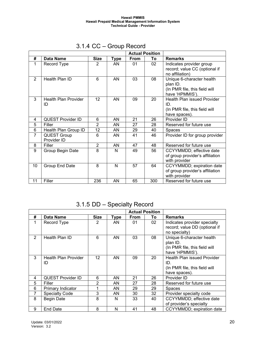<span id="page-19-0"></span>

|                |                                   |                 |           |             | <b>Actual Position</b> |                                                                                           |
|----------------|-----------------------------------|-----------------|-----------|-------------|------------------------|-------------------------------------------------------------------------------------------|
| #              | Data Name                         | <b>Size</b>     | Type      | <b>From</b> | To                     | <b>Remarks</b>                                                                            |
| 1              | Record Type                       | 2               | AN        | 01          | 02                     | Indicates provider group<br>record; value CC (optional if<br>no affiliation)              |
| $\overline{2}$ | Health Plan ID                    | 6               | AN        | 03          | 08                     | Unique 6-character health<br>plan ID.<br>(In PMR file, this field will<br>have 'HPMMIS'). |
| 3              | <b>Health Plan Provider</b><br>ID | 12 <sup>2</sup> | <b>AN</b> | 09          | 20                     | Health Plan issued Provider<br>ID.<br>(In PMR file, this field will<br>have spaces).      |
| 4              | <b>QUEST Provider ID</b>          | 6               | AN        | 21          | 26                     | Provider ID                                                                               |
| 5              | Filler                            | $\overline{2}$  | AN        | 27          | 28                     | Reserved for future use                                                                   |
| 6              | Health Plan Group ID              | 12              | AN        | 29          | 40                     | Spaces                                                                                    |
| $\overline{7}$ | <b>QUEST Group</b><br>Provider ID | 6               | AN        | 41          | 46                     | Provider ID for group provider                                                            |
| 8              | Filler                            | $\overline{2}$  | AN        | 47          | 48                     | Reserved for future use                                                                   |
| 9              | Group Begin Date                  | 8               | N         | 49          | 56                     | CCYYMMDD; effective date<br>of group provider's affiliation<br>with provider              |
| 10             | Group End Date                    | 8               | N         | 57          | 64                     | CCYYMMDD; expiration date<br>of group provider's affiliation<br>with provider             |
| 11             | Filler                            | 236             | AN        | 65          | 300                    | Reserved for future use                                                                   |

# 3.1.4 CC – Group Record

3.1.5 DD – Specialty Record

<span id="page-19-1"></span>

|                |                                   |                   |      |             | <b>Actual Position</b> |                                                                                             |
|----------------|-----------------------------------|-------------------|------|-------------|------------------------|---------------------------------------------------------------------------------------------|
| #              | Data Name                         | Size              | Type | <b>From</b> | To                     | <b>Remarks</b>                                                                              |
| 1              | Record Type                       | 2                 | AN   | 01          | 02                     | Indicates provider specialty<br>record; value DD (optional if<br>no specialty)              |
| $\overline{2}$ | Health Plan ID                    | 6                 | AN   | 03          | 08                     | Unique 6-character health<br>plan ID.<br>(In PMR file, this field will<br>have 'HPMMIS').   |
| 3              | <b>Health Plan Provider</b><br>ID | $12 \overline{ }$ | AN   | 09          | 20                     | <b>Health Plan issued Provider</b><br>ID.<br>(In PMR file, this field will<br>have spaces). |
| 4              | <b>QUEST Provider ID</b>          | 6                 | AN   | 21          | 26                     | Provider ID                                                                                 |
| 5              | Filler                            | 2                 | ΑN   | 27          | 28                     | Reserved for future use                                                                     |
| 6              | Primary Indicator                 |                   | ΑN   | 29          | 29                     | <b>Spaces</b>                                                                               |
| 7              | <b>Specialty Code</b>             | 3                 | ΑN   | 30          | 32                     | Provider specialty code                                                                     |
| 8              | <b>Begin Date</b>                 | 8                 | N    | 33          | 40                     | CCYYMMDD; effective date<br>of provider's specialty                                         |
| 9              | <b>End Date</b>                   | 8                 | N    | 41          | 48                     | CCYYMMDD; expiration date                                                                   |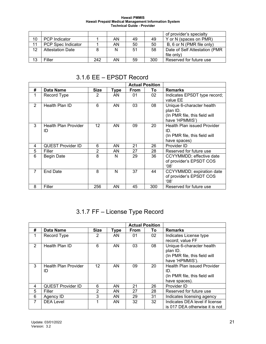|    |                         |     |    |    |     | of provider's specialty       |
|----|-------------------------|-----|----|----|-----|-------------------------------|
| 10 | <b>PCP</b> Indicator    |     | AN | 49 | 49  | Y or N (spaces on PMR)        |
|    | PCP Spec Indicator      |     | AN | 50 | 50  | B, 6 or N (PMR file only)     |
| 12 | <b>Attestation Date</b> |     |    | 51 | 58  | Date of Self Attestation (PMR |
|    |                         |     |    |    |     | file only)                    |
| 13 | Filler                  | 242 | AN | 59 | 300 | Reserved for future use       |

#### 3.1.6 EE – EPSDT Record

<span id="page-20-0"></span>

|                |                                   |                   |             |      | <b>Actual Position</b> |                                                                                          |
|----------------|-----------------------------------|-------------------|-------------|------|------------------------|------------------------------------------------------------------------------------------|
| #              | Data Name                         | <b>Size</b>       | <b>Type</b> | From | Τo                     | <b>Remarks</b>                                                                           |
| 1              | Record Type                       | 2                 | AN          | 01   | 02                     | Indicates EPSDT type record;<br>value EE                                                 |
| 2              | Health Plan ID                    | 6                 | AN          | 03   | 08                     | Unique 6-character health<br>plan ID.<br>(In PMR file, this field will<br>have 'HPMMIS') |
| 3              | <b>Health Plan Provider</b><br>ID | $12 \overline{ }$ | AN          | 09   | 20                     | Health Plan issued Provider<br>ID.<br>(In PMR file, this field will<br>have spaces)      |
| 4              | <b>QUEST Provider ID</b>          | 6                 | AN          | 21   | 26                     | Provider ID                                                                              |
| 5              | Filler                            | 2                 | AN          | 27   | 28                     | Reserved for future use                                                                  |
| 6              | <b>Begin Date</b>                 | 8                 | N           | 29   | 36                     | CCYYMMDD; effective date<br>of provider's EPSDT COS<br>'08'                              |
| $\overline{7}$ | <b>End Date</b>                   | 8                 | N           | 37   | 44                     | CCYYMMDD; expiration date<br>of provider's EPSDT COS<br>'08'                             |
| 8              | Filler                            | 256               | AN          | 45   | 300                    | Reserved for future use                                                                  |

# 3.1.7 FF – License Type Record

<span id="page-20-1"></span>

|   |                                   |                 |      |             | <b>Actual Position</b> |                                                                                             |
|---|-----------------------------------|-----------------|------|-------------|------------------------|---------------------------------------------------------------------------------------------|
| # | Data Name                         | <b>Size</b>     | Tvpe | <b>From</b> | To                     | <b>Remarks</b>                                                                              |
|   | Record Type                       | $\overline{2}$  | AN   | 01          | 02                     | Indicates License type<br>record; value FF                                                  |
| 2 | Health Plan ID                    | 6               | AN   | 03          | 08                     | Unique 6-character health<br>plan ID.<br>(In PMR file, this field will<br>have 'HPMMIS').   |
| 3 | <b>Health Plan Provider</b><br>ID | 12 <sup>2</sup> | AN   | 09          | 20                     | <b>Health Plan issued Provider</b><br>ID.<br>(In PMR file, this field will<br>have spaces). |
| 4 | <b>QUEST Provider ID</b>          | 6               | AN.  | 21          | 26                     | Provider ID                                                                                 |
| 5 | Filler                            | 2               | AN   | 27          | 28                     | Reserved for future use                                                                     |
| 6 | Agency ID                         | 3               | AN.  | 29          | 31                     | Indicates licensing agency                                                                  |
| 7 | <b>DEA Level</b>                  |                 | AN   | 32          | 32                     | Indicates DEA level if license<br>is 017 DEA otherwise it is not                            |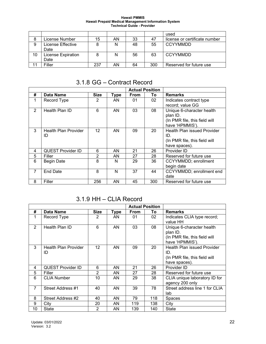|    |                           |     |    |    |     | used                          |
|----|---------------------------|-----|----|----|-----|-------------------------------|
| 8  | License Number            | 15  | AN | 33 | 47  | license or certificate number |
| 9  | License Effective         | 8   | N  | 48 | 55  | <b>CCYYMMDD</b>               |
|    | Date                      |     |    |    |     |                               |
| 10 | <b>License Expiration</b> | 8   | N  | 56 | 63  | <b>CCYYMMDD</b>               |
|    | Date                      |     |    |    |     |                               |
|    | Filler                    | 237 | AN | 64 | 300 | Reserved for future use       |

### 3.1.8 GG – Contract Record

<span id="page-21-0"></span>

|   |                                   |             |             |             | <b>Actual Position</b> |                                                                                             |
|---|-----------------------------------|-------------|-------------|-------------|------------------------|---------------------------------------------------------------------------------------------|
| # | <b>Data Name</b>                  | <b>Size</b> | <b>Type</b> | <b>From</b> | To                     | <b>Remarks</b>                                                                              |
| 1 | Record Type                       | 2           | AN          | 01          | 02                     | Indicates contract type<br>record; value GG                                                 |
| 2 | Health Plan ID                    | 6           | AN          | 03          | 08                     | Unique 6-character health<br>plan ID.<br>(In PMR file, this field will<br>have 'HPMMIS').   |
| 3 | <b>Health Plan Provider</b><br>ID | 12          | AN          | 09          | 20                     | <b>Health Plan issued Provider</b><br>ID.<br>(In PMR file, this field will<br>have spaces). |
| 4 | <b>QUEST Provider ID</b>          | 6           | AN          | 21          | 26                     | Provider ID                                                                                 |
| 5 | Filler                            | 2           | ΑN          | 27          | 28                     | Reserved for future use                                                                     |
| 6 | <b>Begin Date</b>                 | 8           | N           | 29          | 36                     | CCYYMMDD; enrollment<br>begin date                                                          |
| 7 | <b>End Date</b>                   | 8           | N           | 37          | 44                     | CCYYMMDD; enrollment end<br>date                                                            |
| 8 | Filler                            | 256         | AN          | 45          | 300                    | Reserved for future use                                                                     |

### 3.1.9 HH – CLIA Record

<span id="page-21-1"></span>

|                |                                   |                |      |             | <b>Actual Position</b> |                                                                                           |
|----------------|-----------------------------------|----------------|------|-------------|------------------------|-------------------------------------------------------------------------------------------|
| #              | Data Name                         | <b>Size</b>    | Type | <b>From</b> | To                     | <b>Remarks</b>                                                                            |
| 1              | Record Type                       | 2              | AN.  | 01          | 02                     | Indicates CLIA type record;<br>value HH                                                   |
| $\overline{2}$ | Health Plan ID                    | 6              | AN   | 03          | 08                     | Unique 6-character health<br>plan ID.<br>(In PMR file, this field will<br>have 'HPMMIS'). |
| 3              | <b>Health Plan Provider</b><br>ID | 12             | AN   | 09          | 20                     | Health Plan issued Provider<br>ID.<br>(In PMR file, this field will<br>have spaces).      |
| 4              | <b>QUEST Provider ID</b>          | 6              | AN   | 21          | 26                     | Provider ID                                                                               |
| 5              | Filler                            | $\overline{2}$ | AN   | 27          | 28                     | Reserved for future use                                                                   |
| 6              | <b>CLIA Number</b>                | 10             | AN   | 29          | 38                     | CLIA unique laboratory ID for<br>agency 200 only                                          |
| $\overline{7}$ | Street Address #1                 | 40             | AN   | 39          | 78                     | Street address line 1 for CLIA<br>lab                                                     |
| 8              | Street Address #2                 | 40             | AN   | 79          | 118                    | Spaces                                                                                    |
| 9              | City                              | 20             | AN   | 119         | 138                    | City                                                                                      |
| 10             | State                             | 2              | ΑN   | 139         | 140                    | State                                                                                     |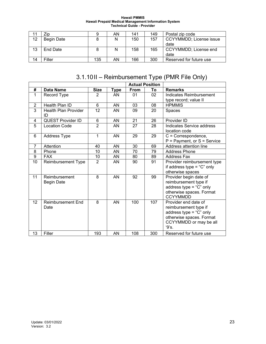|    | Zip               |     | AN | 141 | 149 | Postal zip code         |
|----|-------------------|-----|----|-----|-----|-------------------------|
| 12 | <b>Begin Date</b> |     | N  | 150 | 157 | CCYYMMDD; License issue |
|    |                   |     |    |     |     | date                    |
| 13 | End Date          |     | N  | 158 | 165 | CCYYMMDD; License end   |
|    |                   |     |    |     |     | date                    |
| 14 | Filler            | 135 | AN | 166 | 300 | Reserved for future use |

# 3.1.10II – Reimbursement Type (PMR File Only)

<span id="page-22-0"></span>

|                |                                    |                |             |             | <b>Actual Position</b> |                                                                                                                                             |
|----------------|------------------------------------|----------------|-------------|-------------|------------------------|---------------------------------------------------------------------------------------------------------------------------------------------|
| #              | <b>Data Name</b>                   | <b>Size</b>    | <b>Type</b> | <b>From</b> | To                     | <b>Remarks</b>                                                                                                                              |
| 1              | Record Type                        | 2              | AN          | 01          | 02                     | Indicates Reimbursement<br>type record; value II                                                                                            |
| $\overline{2}$ | Health Plan ID                     | 6              | AN          | 03          | 08                     | <b>HPMMIS</b>                                                                                                                               |
| 3              | <b>Health Plan Provider</b><br>ID  | 12             | AN          | 09          | 20                     | Spaces                                                                                                                                      |
| 4              | <b>QUEST Provider ID</b>           | 6              | AN          | 21          | 26                     | Provider ID                                                                                                                                 |
| 5              | <b>Location Code</b>               | $\overline{2}$ | AN          | 27          | 28                     | Indicates Service address<br>location code                                                                                                  |
| 6              | <b>Address Type</b>                | 1              | AN          | 29          | 29                     | $C =$ Correspondence,<br>$P =$ Payment, or $S =$ Service                                                                                    |
| $\overline{7}$ | Attention                          | 40             | AN          | 30          | 69                     | Address attention line                                                                                                                      |
| 8              | Phone                              | 10             | AN          | 70          | 79                     | <b>Address Phone</b>                                                                                                                        |
| 9              | <b>FAX</b>                         | 10             | AN          | 80          | 89                     | <b>Address Fax</b>                                                                                                                          |
| 10             | Reimbursement Type                 | $\overline{2}$ | AN          | 90          | 91                     | Provider reimbursement type<br>if address type = "C" only<br>otherwise spaces                                                               |
| 11             | Reimbursement<br><b>Begin Date</b> | 8              | AN          | 92          | 99                     | Provider begin date of<br>reimbursement type if<br>address type = " $C$ " only<br>otherwise spaces. Format<br><b>CCYYMMDD</b>               |
| 12             | <b>Reimbursement End</b><br>Date   | 8              | AN          | 100         | 107                    | Provider end date of<br>reimbursement type if<br>address type = " $C$ " only<br>otherwise spaces. Format<br>CCYYMMDD or may be all<br>'9's. |
| 13             | Filler                             | 193            | AN          | 108         | 300                    | Reserved for future use                                                                                                                     |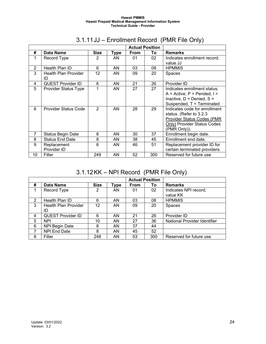<span id="page-23-0"></span>

|                |                                   |                |      |             | <b>Actual Position</b> |                               |
|----------------|-----------------------------------|----------------|------|-------------|------------------------|-------------------------------|
| #              | <b>Data Name</b>                  | <b>Size</b>    | Type | <b>From</b> | To                     | <b>Remarks</b>                |
| 1              | Record Type                       | 2              | AN   | 01          | 02                     | Indicates enrollment record;  |
|                |                                   |                |      |             |                        | value JJ                      |
| 2              | Health Plan ID                    | 6              | AN.  | 03          | 08                     | <b>HPMMIS</b>                 |
| 3              | <b>Health Plan Provider</b><br>ID | 12             | AN   | 09          | 20                     | Spaces                        |
| 4              | <b>QUEST Provider ID</b>          | 6              | AN   | 21          | 26                     | Provider ID                   |
| 5              | <b>Provider Status Type</b>       | 1              | AN   | 27          | 27                     | Indicates enrollment status.  |
|                |                                   |                |      |             |                        | $A =$ Active, P = Pended, I = |
|                |                                   |                |      |             |                        | Inactive, $D =$ Denied, $S =$ |
|                |                                   |                |      |             |                        | Suspended, T = Terminated     |
| 6              | <b>Provider Status Code</b>       | $\mathfrak{p}$ | AN   | 28          | 29                     | Indicates code for enrollment |
|                |                                   |                |      |             |                        | status. (Refer to 3.2.3       |
|                |                                   |                |      |             |                        | Provider Status Codes (PMR    |
|                |                                   |                |      |             |                        | Only) Provider Status Codes   |
|                |                                   |                |      |             |                        | (PMR Only)).                  |
| $\overline{7}$ | <b>Status Begin Date</b>          | 8              | AN   | 30          | 37                     | Enrollment begin date.        |
| 8              | <b>Status End Date</b>            | 8              | AN   | 38          | 45                     | Enrollment end date.          |
| 9              | Replacement                       | 6              | AN   | 46          | 51                     | Replacement provider ID for   |
|                | Provider ID                       |                |      |             |                        | certain terminated providers. |
| 10             | Filler                            | 249            | AN   | 52          | 300                    | Reserved for future use       |

# 3.1.11JJ – Enrollment Record (PMR File Only)

# 3.1.12 KK – NPI Record (PMR File Only)

<span id="page-23-1"></span>

|   |                             |             |      |             | <b>Actual Position</b> |                              |
|---|-----------------------------|-------------|------|-------------|------------------------|------------------------------|
| # | Data Name                   | <b>Size</b> | Type | <b>From</b> | To                     | <b>Remarks</b>               |
|   | Record Type                 | 2           | AN   | 01          | 02                     | Indicates NPI record;        |
|   |                             |             |      |             |                        | value KK                     |
| 2 | Health Plan ID              | 6           | AN   | 03          | 08                     | <b>HPMMIS</b>                |
| 3 | <b>Health Plan Provider</b> | 12          | AN   | 09          | 20                     | <b>Spaces</b>                |
|   | ID                          |             |      |             |                        |                              |
| 4 | <b>QUEST Provider ID</b>    | 6           | AN   | 21          | 26                     | Provider ID                  |
| 5 | <b>NPI</b>                  | 10          | AN   | 27          | 36                     | National Provider Identifier |
| 6 | NPI Begin Date              | 8           | AN   | 37          | 44                     |                              |
|   | <b>NPI End Date</b>         | 8           | AN   | 45          | 52                     |                              |
| 8 | Filler                      | 248         | AN   | 53          | 300                    | Reserved for future use      |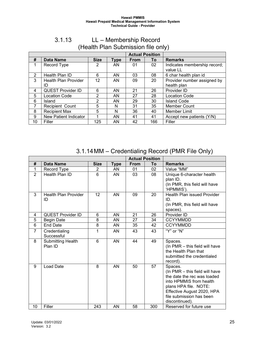<span id="page-24-0"></span>

|    |                              |             |      |             | <b>Actual Position</b> |                              |
|----|------------------------------|-------------|------|-------------|------------------------|------------------------------|
| #  | <b>Data Name</b>             | <b>Size</b> | Type | <b>From</b> | To                     | <b>Remarks</b>               |
|    | Record Type                  | 2           | AN   | 01          | 02                     | Indicates membership record; |
|    |                              |             |      |             |                        | value LL                     |
| 2  | Health Plan ID               | 6           | AN   | 03          | 08                     | 6 char health plan id        |
| 3  | <b>Health Plan Provider</b>  | 12          | AN   | 09          | 20                     | Provider number assigned by  |
|    | ID                           |             |      |             |                        | health plan                  |
| 4  | <b>QUEST Provider ID</b>     | 6           | AN   | 21          | 26                     | Provider ID                  |
| 5  | Location Code                | 2           | AN   | 27          | 28                     | <b>Location Code</b>         |
| 6  | Island                       | 2           | AN   | 29          | 30                     | <b>Island Code</b>           |
| 7  | Recipient Count              | 5           | N    | 31          | 35                     | <b>Member Count</b>          |
| 8  | <b>Recipient Max</b>         | 5           | N    | 36          | 40                     | <b>Member Limit</b>          |
| 9  | <b>New Patient Indicator</b> |             | AN   | 41          | 41                     | Accept new patients (Y/N)    |
| 10 | Filler                       | 125         | AN   | 42          | 166                    | Filler                       |

### 3.1.13 LL – Membership Record (Health Plan Submission file only)

3.1.14MM – Credentialing Record (PMR File Only)

<span id="page-24-1"></span>

|                |                                     |                |             |      | <b>Actual Position</b> |                                           |
|----------------|-------------------------------------|----------------|-------------|------|------------------------|-------------------------------------------|
| #              | <b>Data Name</b>                    | <b>Size</b>    | <b>Type</b> | From | To                     | <b>Remarks</b>                            |
| 1              | Record Type                         | $\overline{2}$ | AN          | 01   | 02                     | Value "MM"                                |
| $\overline{2}$ | Health Plan ID                      | 6              | AN          | 03   | 08                     | Unique 6-character health                 |
|                |                                     |                |             |      |                        | plan ID.                                  |
|                |                                     |                |             |      |                        | (In PMR, this field will have             |
|                |                                     |                |             |      |                        | 'HPMMIS').                                |
| 3              | <b>Health Plan Provider</b>         | 12             | AN          | 09   | 20                     | <b>Health Plan issued Provider</b>        |
|                | ID                                  |                |             |      |                        | ID.                                       |
|                |                                     |                |             |      |                        | (In PMR, this field will have             |
| 4              | <b>QUEST Provider ID</b>            | 6              | AN          | 21   | 26                     | spaces).<br>Provider ID                   |
| 5              | <b>Begin Date</b>                   | 8              | AN          | 27   | 34                     | <b>CCYYMMDD</b>                           |
| 6              | <b>End Date</b>                     | 8              | AN          | 35   | 42                     | <b>CCYYMMDD</b>                           |
|                |                                     |                |             |      |                        |                                           |
| $\overline{7}$ | Credentialing<br>Successful         | $\mathbf{1}$   | AN          | 43   | 43                     | "Y" or "N"                                |
| 8              |                                     | 6              | AN          | 44   | 49                     |                                           |
|                | <b>Submitting Health</b><br>Plan ID |                |             |      |                        | Spaces.<br>(In PMR - this field will have |
|                |                                     |                |             |      |                        | the Health Plan that                      |
|                |                                     |                |             |      |                        | submitted the credentialed                |
|                |                                     |                |             |      |                        | record).                                  |
| 9              | Load Date                           | 8              | AN          | 50   | 57                     | Spaces.                                   |
|                |                                     |                |             |      |                        | (In PMR - this field will have            |
|                |                                     |                |             |      |                        | the date the rec was loaded               |
|                |                                     |                |             |      |                        | into HPMMIS from health                   |
|                |                                     |                |             |      |                        | plans HPA file. NOTE:                     |
|                |                                     |                |             |      |                        | Effective August 2020, HPA                |
|                |                                     |                |             |      |                        | file submission has been                  |
|                |                                     |                |             |      |                        | discontinued).                            |
| 10             | Filler                              | 243            | AN          | 58   | 300                    | Reserved for future use                   |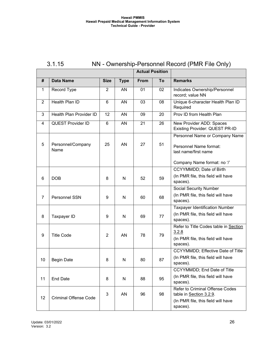<span id="page-25-0"></span>

| 3.1.15 | NN - Ownership-Personnel Record (PMR File Only) |
|--------|-------------------------------------------------|
|--------|-------------------------------------------------|

|                |                              |                |             | <b>Actual Position</b> |    |                                                            |
|----------------|------------------------------|----------------|-------------|------------------------|----|------------------------------------------------------------|
| #              | <b>Data Name</b>             | <b>Size</b>    | <b>Type</b> | From                   | To | <b>Remarks</b>                                             |
| 1              | Record Type                  | $\overline{2}$ | AN          | 01                     | 02 | Indicates Ownership/Personnel<br>record; value NN          |
| $\overline{2}$ | Health Plan ID               | 6              | AN          | 03                     | 08 | Unique 6-character Health Plan ID<br>Required              |
| 3              | Health Plan Provider ID      | 12             | AN          | 09                     | 20 | Prov ID from Health Plan                                   |
| 4              | <b>QUEST Provider ID</b>     | $6\phantom{1}$ | AN          | 21                     | 26 | New Provider ADD: Spaces<br>Existing Provider: QUEST PR-ID |
|                |                              |                |             |                        |    | Personnel Name or Company Name                             |
| 5              | Personnel/Company<br>Name    | 25             | AN          | 27                     | 51 | Personnel Name format:<br>last name/first name             |
|                |                              |                |             |                        |    | Company Name format: no '/'                                |
|                |                              |                |             |                        |    | <b>CCYYMMDD</b> ; Date of Birth                            |
| 6              | <b>DOB</b>                   | 8              | N           | 52                     | 59 | (In PMR file, this field will have<br>spaces).             |
|                |                              |                |             |                        |    | <b>Social Security Number</b>                              |
| $\overline{7}$ | Personnel SSN                | 9              | N           | 60                     | 68 | (In PMR file, this field will have<br>spaces).             |
|                |                              |                |             |                        |    | <b>Taxpayer Identification Number</b>                      |
| 8              | Taxpayer ID                  | 9              | N           | 69                     | 77 | (In PMR file, this field will have<br>spaces).             |
|                |                              |                |             |                        |    | Refer to Title Codes table in Section<br>3.2.8             |
| 9              | <b>Title Code</b>            | $\overline{2}$ | AN          | 78                     | 79 | (In PMR file, this field will have<br>spaces).             |
|                |                              |                |             |                        |    | CCYYMMDD; Effective Date of Title                          |
| 10             | <b>Begin Date</b>            | 8              | N           | 80                     | 87 | (In PMR file, this field will have<br>spaces).             |
|                |                              |                |             |                        |    | CCYYMMDD; End Date of Title                                |
| 11             | <b>End Date</b>              | 8              | N           | 88                     | 95 | (In PMR file, this field will have<br>spaces).             |
|                |                              | 3              | AN          | 96                     | 98 | Refer to Criminal Offense Codes<br>table in Section 3.2.9. |
| 12             | <b>Criminal Offense Code</b> |                |             |                        |    | (In PMR file, this field will have<br>spaces).             |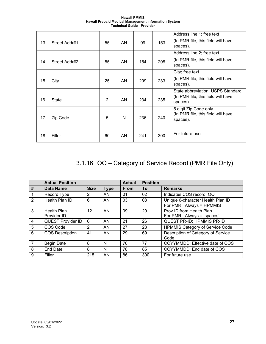| <b>Hawaii PMMIS</b>                                  |  |
|------------------------------------------------------|--|
| Hawaii Prepaid Medical Management Information System |  |
| <b>Technical Guide - Provider</b>                    |  |

| 18 | Filler        | 60             | AN | 241 | 300 | For future use                                                                       |
|----|---------------|----------------|----|-----|-----|--------------------------------------------------------------------------------------|
| 17 | Zip Code      | 5              | N  | 236 | 240 | 5 digit Zip Code only<br>(In PMR file, this field will have<br>spaces).              |
| 16 | <b>State</b>  | $\overline{2}$ | AN | 234 | 235 | State abbreviation; USPS Standard.<br>(In PMR file, this field will have<br>spaces). |
| 15 | City          | 25             | AN | 209 | 233 | City; free text<br>(In PMR file, this field will have<br>spaces).                    |
| 14 | Street Addr#2 | 55             | AN | 154 | 208 | Address line 2; free text<br>(In PMR file, this field will have<br>spaces).          |
| 13 | Street Addr#1 | 55             | AN | 99  | 153 | Address line 1; free text<br>(In PMR file, this field will have<br>spaces).          |

# <span id="page-26-0"></span>3.1.16 OO – Category of Service Record (PMR File Only)

|                | <b>Actual Position</b>            |                 |             | <b>Actual</b> | <b>Position</b> |                                                               |
|----------------|-----------------------------------|-----------------|-------------|---------------|-----------------|---------------------------------------------------------------|
| #              | <b>Data Name</b>                  | <b>Size</b>     | <b>Type</b> | <b>From</b>   | To              | <b>Remarks</b>                                                |
|                | Record Type                       | 2               | AN          | 01            | 02              | Indicates COS record: OO                                      |
| $\overline{2}$ | Health Plan ID                    | 6               | AN          | 03            | 08              | Unique 6-character Health Plan ID<br>For PMR: Always = HPMMIS |
| $\mathbf{3}$   | <b>Health Plan</b><br>Provider ID | 12 <sup>2</sup> | AN          | 09            | 20              | Prov ID from Health Plan<br>For PMR: Always = 'spaces'        |
| 4              | <b>QUEST Provider ID</b>          | 6               | AN          | 21            | 26              | QUEST PR-ID; HPMMIS PR-ID                                     |
| 5              | COS Code                          | 2               | <b>AN</b>   | 27            | 28              | <b>HPMMIS Category of Service Code</b>                        |
| 6              | <b>COS Description</b>            | 41              | AN          | 29            | 69              | Description of Category of Service<br>Code                    |
| $\overline{7}$ | <b>Begin Date</b>                 | 8               | N           | 70            | 77              | CCYYMMDD; Effective date of COS                               |
| 8              | <b>End Date</b>                   | 8               | N           | 78            | 85              | CCYYMMDD; End date of COS                                     |
| 9              | Filler                            | 215             | AN          | 86            | 300             | For future use                                                |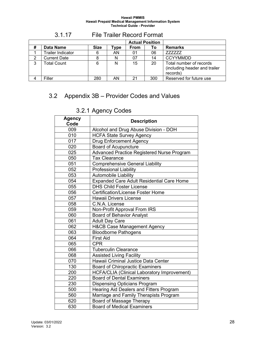<span id="page-27-0"></span>

|   |                          |             |      | <b>Actual Position</b> |     |                                                                      |
|---|--------------------------|-------------|------|------------------------|-----|----------------------------------------------------------------------|
| # | Data Name                | <b>Size</b> | Type | <b>From</b>            | Τo  | <b>Remarks</b>                                                       |
|   | <b>Trailer Indicator</b> | 6           | AN   | 01                     | 06  | 777777                                                               |
| 2 | <b>Current Date</b>      |             |      | 07                     | 14  | <b>CCYYMMDD</b>                                                      |
| 3 | <b>Total Count</b>       | 6           | N    | 15                     | 20  | Total number of records<br>(including header and trailer<br>records) |
|   | Filler                   | 280         | AN   | 21                     | 300 | Reserved for future use                                              |

## 3.1.17 File Trailer Record Format

# <span id="page-27-2"></span><span id="page-27-1"></span>3.2 Appendix 3B – Provider Codes and Values

| - 7                   |                                                  |  |  |  |  |  |
|-----------------------|--------------------------------------------------|--|--|--|--|--|
| <b>Agency</b><br>Code | <b>Description</b>                               |  |  |  |  |  |
| 009                   | Alcohol and Drug Abuse Division - DOH            |  |  |  |  |  |
| 010                   | <b>HCFA State Survey Agency</b>                  |  |  |  |  |  |
| 017                   | <b>Drug Enforcement Agency</b>                   |  |  |  |  |  |
| 020                   | <b>Board of Acupuncture</b>                      |  |  |  |  |  |
| 025                   | Advanced Practice Registered Nurse Program       |  |  |  |  |  |
| 050                   | <b>Tax Clearance</b>                             |  |  |  |  |  |
| 051                   | <b>Comprehensive General Liability</b>           |  |  |  |  |  |
| 052                   | <b>Professional Liability</b>                    |  |  |  |  |  |
| 053                   | Automobile Liability                             |  |  |  |  |  |
| 054                   | <b>Expanded Care Adult Residential Care Home</b> |  |  |  |  |  |
| 055                   | <b>DHS Child Foster License</b>                  |  |  |  |  |  |
| 056                   | <b>Certification/License Foster Home</b>         |  |  |  |  |  |
| 057                   | <b>Hawaii Drivers License</b>                    |  |  |  |  |  |
| 058                   | C.N.A. License                                   |  |  |  |  |  |
| 059                   | Non-Profit Approval From IRS                     |  |  |  |  |  |
| 060                   | <b>Board of Behavior Analyst</b>                 |  |  |  |  |  |
| 061                   | <b>Adult Day Care</b>                            |  |  |  |  |  |
| 062                   | <b>H&amp;CB Case Management Agency</b>           |  |  |  |  |  |
| 063                   | <b>Bloodborne Pathogens</b>                      |  |  |  |  |  |
| 064                   | <b>First Aid</b>                                 |  |  |  |  |  |
| 065                   | <b>CPR</b>                                       |  |  |  |  |  |
| 066                   | <b>Tuberculin Clearance</b>                      |  |  |  |  |  |
| 068                   | <b>Assisted Living Facility</b>                  |  |  |  |  |  |
| 070                   | Hawaii Criminal Justice Data Center              |  |  |  |  |  |
| 130                   | <b>Board of Chiropractic Examiners</b>           |  |  |  |  |  |
| 200                   | HCFA/CLIA (Clinical Laboratory Improvement)      |  |  |  |  |  |
| 220                   | <b>Board of Dental Examiners</b>                 |  |  |  |  |  |
| 230                   | <b>Dispensing Opticians Program</b>              |  |  |  |  |  |
| 500                   | Hearing Aid Dealers and Fitters Program          |  |  |  |  |  |
| 560                   | Marriage and Family Therapists Program           |  |  |  |  |  |
| 620                   | Board of Massage Therapy                         |  |  |  |  |  |
| 630                   | <b>Board of Medical Examiners</b>                |  |  |  |  |  |

# 3.2.1 Agency Codes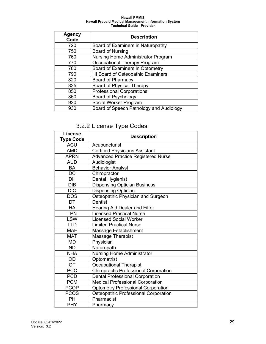| <b>Agency</b><br>Code | <b>Description</b>                        |
|-----------------------|-------------------------------------------|
| 720                   | Board of Examiners in Naturopathy         |
| 750                   | Board of Nursing                          |
| 760                   | <b>Nursing Home Administrator Program</b> |
| 770                   | <b>Occupational Therapy Program</b>       |
| 780                   | Board of Examiners in Optometry           |
| 790                   | HI Board of Osteopathic Examiners         |
| 820                   | Board of Pharmacy                         |
| 825                   | <b>Board of Physical Therapy</b>          |
| 850                   | <b>Professional Corporations</b>          |
| 860                   | Board of Psychology                       |
| 920                   | Social Worker Program                     |
| 930                   | Board of Speech Pathology and Audiology   |

# 3.2.2 License Type Codes

<span id="page-28-0"></span>

| <b>License</b><br><b>Type Code</b> | <b>Description</b>                           |
|------------------------------------|----------------------------------------------|
| <b>ACU</b>                         | Acupuncturist                                |
| <b>AMD</b>                         | <b>Certified Physicians Assistant</b>        |
| <b>APRN</b>                        | <b>Advanced Practice Registered Nurse</b>    |
| <b>AUD</b>                         | Audiologist                                  |
| BA                                 | <b>Behavior Analyst</b>                      |
| $\overline{DC}$                    | Chiropractor                                 |
| DH                                 | Dental Hygienist                             |
| <b>DIB</b>                         | <b>Dispensing Optician Business</b>          |
| <b>DIO</b>                         | <b>Dispensing Optician</b>                   |
| <b>DOS</b>                         | Osteopathic Physician and Surgeon            |
| DT                                 | <b>Dentist</b>                               |
| <b>HA</b>                          | <b>Hearing Aid Dealer and Fitter</b>         |
| LPN                                | <b>Licensed Practical Nurse</b>              |
| <b>LSW</b>                         | <b>Licensed Social Worker</b>                |
| <b>LTD</b>                         | <b>Limited Practical Nurse</b>               |
| <b>MAE</b>                         | Massage Establishment                        |
| <b>MAT</b>                         | Massage Therapist                            |
| <b>MD</b>                          | Physician                                    |
| <b>ND</b>                          | Naturopath                                   |
| <b>NHA</b>                         | <b>Nursing Home Administrator</b>            |
| <b>OD</b>                          | Optometrist                                  |
| <b>OT</b>                          | <b>Occupational Therapist</b>                |
| <b>PCC</b>                         | <b>Chiropractic Professional Corporation</b> |
| <b>PCD</b>                         | <b>Dental Professional Corporation</b>       |
| <b>PCM</b>                         | Medical Professional Corporation             |
| <b>PCOP</b>                        | <b>Optometry Professional Corporation</b>    |
| <b>PCOS</b>                        | Osteopathic Professional Corporation         |
| <b>PH</b>                          | Pharmacist                                   |
| <b>PHY</b>                         | Pharmacy                                     |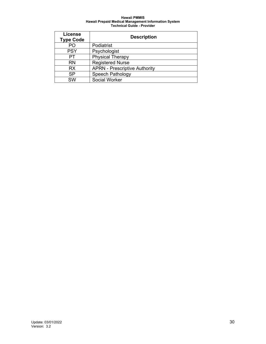<span id="page-29-0"></span>

| <b>License</b><br><b>Type Code</b> | <b>Description</b>                   |
|------------------------------------|--------------------------------------|
| PΟ                                 | Podiatrist                           |
| <b>PSY</b>                         | Psychologist                         |
| PТ                                 | <b>Physical Therapy</b>              |
| <b>RN</b>                          | <b>Registered Nurse</b>              |
| <b>RX</b>                          | <b>APRN - Prescriptive Authority</b> |
| SP                                 | <b>Speech Pathology</b>              |
| <b>SW</b>                          | Social Worker                        |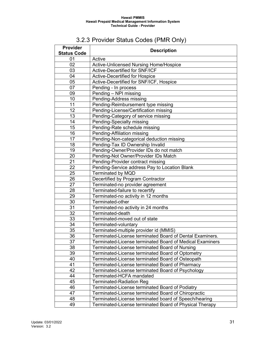# 3.2.3 Provider Status Codes (PMR Only)

<span id="page-30-0"></span>

| Provider<br><b>Status Code</b> | <b>Description</b>                                       |
|--------------------------------|----------------------------------------------------------|
| 01                             | Active                                                   |
| 02                             | <b>Active-Unlicensed Nursing Home/Hospice</b>            |
| 03                             | <b>Active-Decertified for SNF/ICF</b>                    |
| 04                             | <b>Active-Decertified for Hospice</b>                    |
| 05                             | Active-Decertified for SNF/ICF, Hospice                  |
| 07                             | Pending - In process                                     |
| 09                             | Pending - NPI missing                                    |
| 10                             | Pending-Address missing                                  |
| 11                             | Pending-Reimbursement type missing                       |
| 12                             | Pending-License/Certification missing                    |
| 13                             | Pending-Category of service missing                      |
| 14                             | Pending-Specialty missing                                |
| $1\overline{5}$                | Pending-Rate schedule missing                            |
| 16                             | Pending-Affiliation missing                              |
| 17                             | Pending-Non-categorical deduction missing                |
| 18                             | Pending-Tax ID Ownership Invalid                         |
| 19                             | Pending-Owner/Provider IDs do not match                  |
| 20                             | Pending-Not Owner/Provider IDs Match                     |
| 21                             | Pending-Provider contract missing                        |
| 22                             | Pending-Service address Pay to Location Blank            |
| 25                             | <b>Terminated by MQD</b>                                 |
| 26                             | Decertified by Program Contractor                        |
| $\overline{27}$                | Terminated-no provider agreement                         |
| 28                             | Terminated-failure to recertify                          |
| 29                             | Terminated-no activity in 12 months                      |
| 30                             | Terminated-other                                         |
| 31                             | Terminated-no activity in 24 months                      |
| 32                             | Terminated-death                                         |
| 33                             | Terminated-moved out of state                            |
| 34                             | Terminated-voluntary                                     |
| 35                             | Terminated-multiple provider id (MMIS)                   |
| 36                             | Terminated-License terminated Board of Dental Examiners. |
| 37                             | Terminated-License terminated Board of Medical Examiners |
| 38                             | Terminated-License terminated Board of Nursing           |
| 39                             | Terminated-License terminated Board of Optometry         |
| 40                             | Terminated-License terminated Board of Osteopath         |
| 41                             | Terminated-License terminated Board of Pharmacy          |
| 42                             | Terminated-License terminated Board of Psychology        |
| 44                             | Terminated-HCFA mandated                                 |
| 45                             | <b>Terminated-Radiation Reg</b>                          |
| 46                             | Terminated-License terminated Board of Podiatry          |
| 47                             | Terminated-License terminated Board of Chiropractic      |
| 48                             | Terminated-License terminated board of Speech/hearing    |
| 49                             | Terminated-License terminated Board of Physical Therapy  |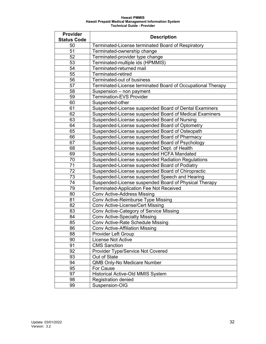| Provider           | <b>Description</b>                                          |
|--------------------|-------------------------------------------------------------|
| <b>Status Code</b> |                                                             |
| 50                 | Terminated-License terminated Board of Respiratory          |
| 51                 | Terminated-ownership change                                 |
| 52                 | Terminated-provider type change                             |
| 53                 | Terminated-multiple ids (HPMMIS)                            |
| 54                 | Terminated-returned mail                                    |
| 55                 | Terminated-retired                                          |
| 56                 | Terminated-out of business                                  |
| 57                 | Terminated-License terminated Board of Occupational Therapy |
| 58                 | Suspension - non payment                                    |
| 59                 | <b>Termination-EVS Provider</b>                             |
| 60                 | Suspended-other                                             |
| 61                 | Suspended-License suspended Board of Dental Examiners       |
| 62                 | Suspended-License suspended Board of Medical Examiners      |
| 63                 | Suspended-License suspended Board of Nursing                |
| 64                 | Suspended-License suspended Board of Optometry              |
| 65                 | Suspended-License suspended Board of Osteopath              |
| 66                 | Suspended-License suspended Board of Pharmacy               |
| 67                 | Suspended-License suspended Board of Psychology             |
| 68                 | Suspended-License suspended Dept. of Health                 |
| 69                 | Suspended-License suspended HCFA Mandated                   |
| 70                 | Suspended-License suspended Radiation Regulations           |
| 71                 | Suspended-License suspended Board of Podiatry               |
| 72                 | Suspended-License suspended Board of Chiropractic           |
| 73                 | Suspended-License suspended Speech and Hearing              |
| 74                 | Suspended-License suspended Board of Physical Therapy       |
| 79                 | <b>Terminated-Application Fee Not Received</b>              |
| 80                 | <b>Conv Active-Address Missing</b>                          |
| 81                 | Conv Active-Reimburse Type Missing                          |
| 82                 | <b>Conv Active-License/Cert Missing</b>                     |
| 83                 | Conv Active-Category of Service Missing                     |
| 84                 | <b>Conv Active-Specialty Missing</b>                        |
| 85                 | Conv Active-Rate Schedule Missing                           |
| 86                 | <b>Conv Active-Affiliation Missing</b>                      |
| 88                 | <b>Provider Left Group</b>                                  |
| 90                 | <b>License Not Active</b>                                   |
| 91                 | <b>CMS Sanction</b>                                         |
| 92                 | Provider Type/Service Not Covered                           |
| 93                 | Out of State                                                |
| 94                 | QMB Only-No Medicare Number                                 |
| 95                 | For Cause                                                   |
| 97                 | <b>Historical Active-Old MMIS System</b>                    |
| 98                 | <b>Registration denied</b>                                  |
| 99                 | Suspension-OIG                                              |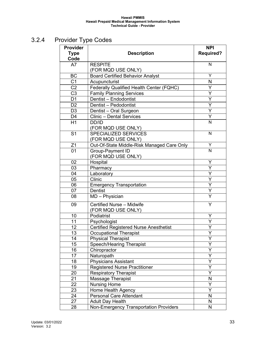# <span id="page-32-0"></span>3.2.4 Provider Type Codes

| Provider        |                                               | <b>NPI</b>              |
|-----------------|-----------------------------------------------|-------------------------|
| <b>Type</b>     | <b>Description</b>                            | <b>Required?</b>        |
| Code            |                                               |                         |
| A7              | <b>RESPITE</b>                                | N                       |
|                 | (FOR MQD USE ONLY)                            |                         |
| <b>BC</b>       | <b>Board Certified Behavior Analyst</b>       | Υ                       |
| C <sub>1</sub>  | Acupuncturist                                 | N                       |
| C <sub>2</sub>  | Federally Qualified Health Center (FQHC)      | Y                       |
| C <sub>3</sub>  | <b>Family Planning Services</b>               | Y                       |
| D <sub>1</sub>  | Dentist - Endodontist                         | Y                       |
| D <sub>2</sub>  | Dentist - Pedodontist                         | Υ                       |
| D <sub>3</sub>  | Dentist - Oral Surgeon                        | Y                       |
| D <sub>4</sub>  | <b>Clinic - Dental Services</b>               | Y                       |
| H1              | DD/ID                                         | N                       |
|                 | (FOR MQD USE ONLY)                            |                         |
| S <sub>1</sub>  | <b>SPECIALIZED SERVICES</b>                   | $\mathsf{N}$            |
|                 | (FOR MQD USE ONLY)                            |                         |
| Z1              | Out-Of-State Middle-Risk Managed Care Only    | Υ                       |
| 01              | Group-Payment ID                              | N                       |
|                 | (FOR MQD USE ONLY)                            |                         |
| 02              | Hospital                                      | Y                       |
| 03              | Pharmacy                                      | $\overline{\mathsf{Y}}$ |
| 04              | Laboratory                                    | Ÿ                       |
| 05              | Clinic                                        | Y                       |
| 06              | <b>Emergency Transportation</b>               | $\overline{\mathsf{Y}}$ |
| 07              | <b>Dentist</b>                                | Y                       |
| 08              | MD - Physician                                | $\overline{\mathsf{Y}}$ |
| 09              | Certified Nurse - Midwife                     | Y                       |
|                 | (FOR MQD USE ONLY)                            |                         |
| 10              | Podiatrist                                    | Υ                       |
| $\overline{1}1$ | Psychologist                                  | Y                       |
| 12              | <b>Certified Registered Nurse Anesthetist</b> | Y                       |
| 13              | <b>Occupational Therapist</b>                 | Y                       |
| 14              | <b>Physical Therapist</b>                     | Y                       |
| 15              | <b>Speech/Hearing Therapist</b>               | Υ                       |
| 16              | Chiropractor                                  | Υ                       |
| 17              | Naturopath                                    | Y                       |
| 18              | <b>Physicians Assistant</b>                   | Ý                       |
| 19              | <b>Registered Nurse Practitioner</b>          | Υ<br>Ÿ                  |
| 20              | <b>Respiratory Therapist</b>                  |                         |
| 21<br>22        | Massage Therapist                             | N<br>Y                  |
|                 | <b>Nursing Home</b><br>Home Health Agency     | Υ                       |
| 23<br>24        | <b>Personal Care Attendant</b>                | N                       |
| 27              |                                               | N                       |
|                 | <b>Adult Day Health</b>                       | N                       |
| 28              | Non-Emergency Transportation Providers        |                         |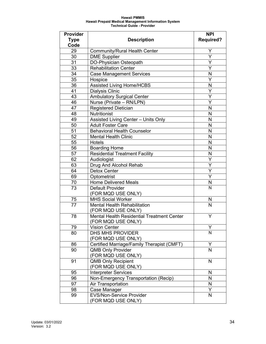| <b>Provider</b> |                                                                         | <b>NPI</b>              |
|-----------------|-------------------------------------------------------------------------|-------------------------|
| Type            | <b>Description</b>                                                      | <b>Required?</b>        |
| Code            |                                                                         |                         |
| 29              | <b>Community/Rural Health Center</b>                                    | Y                       |
| 30              | <b>DME Supplier</b>                                                     | $\overline{\mathsf{Y}}$ |
| 31              | DO-Physician Osteopath                                                  | Y                       |
| $\overline{33}$ | <b>Rehabilitation Center</b>                                            | $\overline{\mathsf{Y}}$ |
| 34              | <b>Case Management Services</b>                                         | N                       |
| 35              | Hospice                                                                 | Ý                       |
| 36              | <b>Assisted Living Home/HCBS</b>                                        | N                       |
| 41              | <b>Dialysis Clinic</b>                                                  | Y                       |
| 43              | <b>Ambulatory Surgical Center</b>                                       | $\overline{\mathsf{Y}}$ |
| 46              | Nurse (Private - RN/LPN)                                                | Υ                       |
| 47              | <b>Registered Dietician</b>                                             | N                       |
| 48              | Nutritionist                                                            | N                       |
| 49              | Assisted Living Center - Units Only                                     | N                       |
| 50              | <b>Adult Foster Care</b>                                                | N                       |
| 51              | <b>Behavioral Health Counselor</b>                                      | N                       |
| 52              | <b>Mental Health Clinic</b>                                             | N                       |
| 55              | Hotels                                                                  | N                       |
| 56              | <b>Boarding Home</b>                                                    | N                       |
| 57              | <b>Residential Treatment Facility</b>                                   | N                       |
| 62              | Audiologist                                                             | Ÿ                       |
| 63              | Drug And Alcohol Rehab                                                  | Y                       |
| 64              | <b>Detox Center</b>                                                     | Ý                       |
| 69              | Optometrist                                                             | Ý                       |
| 70              | <b>Home Delivered Meals</b>                                             | N                       |
| 73              | <b>Default Provider</b>                                                 | $\overline{\mathsf{N}}$ |
|                 | (FOR MQD USE ONLY)                                                      |                         |
| 75              | <b>MHS Social Worker</b>                                                | N                       |
| 77              | <b>Mental Health Rehabilitation</b><br>(FOR MQD USE ONLY)               | N                       |
| 78              | <b>Mental Health Residential Treatment Center</b><br>(FOR MQD USE ONLY) | Y                       |
| 79              | <b>Vision Center</b>                                                    | Y.                      |
| 80              | <b>DHS MHS PROVIDER</b>                                                 | N                       |
|                 | (FOR MQD USE ONLY)                                                      |                         |
| 86              | Certified Marriage/Family Therapist (CMFT)                              | Y                       |
| 90              | <b>QMB Only Provider</b>                                                | $\overline{\mathsf{N}}$ |
|                 | (FOR MQD USE ONLY)                                                      |                         |
| 91              | <b>QMB Only Recipient</b>                                               | N                       |
|                 | (FOR MQD USE ONLY)                                                      |                         |
| 95              | Interpreter Services                                                    | N                       |
| 96              | Non-Emergency Transportation (Recip)                                    | N                       |
| 97              | Air Transportation                                                      | N                       |
| 98              | Case Manager                                                            | Ý                       |
| 99              | <b>EVS/Non-Service Provider</b>                                         | N                       |
|                 | (FOR MQD USE ONLY)                                                      |                         |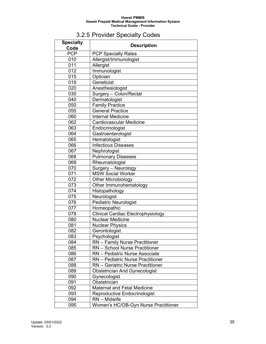# 3.2.5 Provider Specialty Codes

<span id="page-34-0"></span>

| <b>Specialty</b><br>Code | <b>Description</b>                                    |
|--------------------------|-------------------------------------------------------|
| <b>PCP</b>               | <b>PCP Specialty Rates</b>                            |
| 010                      | Allergist/Immunologist                                |
| 011                      | Allergist                                             |
| 012                      | <b>Immunologist</b>                                   |
| 015                      | Optician                                              |
| 019                      | Geneticist                                            |
| 020                      | Anesthesiologist                                      |
| 030                      | Surgery - Colon/Rectal                                |
| 040                      | Dermatologist                                         |
| 050                      | <b>Family Practice</b>                                |
| 055                      | <b>General Practice</b>                               |
| 060                      | <b>Internal Medicine</b>                              |
| 062                      | <b>Cardiovascular Medicine</b>                        |
| 063                      | Endocrinologist                                       |
| 064                      | Gastroenterologist                                    |
| 065                      | Hematologist                                          |
| 066                      | <b>Infectious Diseases</b>                            |
| 067                      | Nephrologist                                          |
| 068                      | <b>Pulmonary Diseases</b>                             |
| 069                      | Rheumatologist                                        |
| 070                      | Surgery - Neurology                                   |
| 071                      | <b>MSW Social Worker</b>                              |
| 072                      | <b>Other Microbiology</b>                             |
| 073                      | Other Immunohematology                                |
| 074                      | Histopathology                                        |
| 075                      | Neurologist                                           |
| 076                      | <b>Pediatric Neurologist</b>                          |
| 077                      | Homeopathic                                           |
| 078                      | <b>Clinical Cardiac Electrophysiology</b>             |
| 080                      | <b>Nuclear Medicine</b>                               |
| 081                      | <b>Nuclear Physics</b>                                |
| 082<br>083               | Gerontologist                                         |
| 084                      | Psychologist<br><b>RN</b> – Family Nurse Practitioner |
| 085                      | <b>RN</b> - School Nurse Practitioner                 |
| 086                      | RN - Pediatric Nurse Associate                        |
| 087                      | <b>RN</b> – Pediatric Nurse Practitioner              |
| 088                      | RN - Geriatric Nurse Practitioner                     |
| 089                      | <b>Obstetrician And Gynecologist</b>                  |
| 090                      | Gynecologist                                          |
| 091                      | Obstetrician                                          |
| 092                      | <b>Maternal and Fetal Medicine</b>                    |
| 093                      | Reproductive Endocrinologist                          |
| 094                      | $RN - Midwife$                                        |
| 095                      | Women's HC/OB-Gyn Nurse Practitioner                  |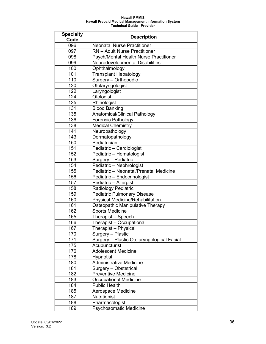| <b>Specialty</b> | <b>Description</b>                         |
|------------------|--------------------------------------------|
| Code             |                                            |
| 096              | <b>Neonatal Nurse Practitioner</b>         |
| 097              | <b>RN</b> - Adult Nurse Practitioner       |
| 098              | Psych/Mental Health Nurse Practitioner     |
| 099              | Neurodevelopmental Disabilities            |
| 100              | Ophthalmology                              |
| 101              | <b>Transplant Hepatology</b>               |
| 110              | Surgery - Orthopedic                       |
| 120              | Otolaryngologist                           |
| 122              | Laryngologist                              |
| 124              | Otologist                                  |
| 125              | Rhinologist                                |
| 131              | <b>Blood Banking</b>                       |
| 135              | Anatomical/Clinical Pathology              |
| 136              | <b>Forensic Pathology</b>                  |
| 138              | Medical Chemistry                          |
| 141              | Neuropathology                             |
| 143              | Dermatopathology                           |
| 150              | Pediatrician                               |
| 151              | Pediatric - Cardiologist                   |
| 152              | Pediatric - Hematologist                   |
| 153              | Surgery - Pediatric                        |
| 154              | Pediatric - Nephrologist                   |
| 155              | Pediatric - Neonatal/Prenatal Medicine     |
| 156              | Pediatric - Endocrinologist                |
| 157              | Pediatric - Allergist                      |
| 158              | Radiology Pediatric                        |
| 159              | <b>Pediatric Pulmonary Disease</b>         |
| 160              | <b>Physical Medicine/Rehabilitation</b>    |
| 161              | Osteopathic Manipulative Therapy           |
| 162              | <b>Sports Medicine</b>                     |
| 165              | Therapist - Speech                         |
| 166              | Therapist - Occupational                   |
| 167              | Therapist – Physical                       |
| 170              | Surgery - Plastic                          |
| 171              | Surgery - Plastic Otolaryngological Facial |
| 175              | Acupuncturist                              |
| 176              | <b>Adolescent Medicine</b>                 |
| 178              | <b>Hypnotist</b>                           |
| 180              | <b>Administrative Medicine</b>             |
| 181              | Surgery - Obstetrical                      |
| 182              | <b>Preventive Medicine</b>                 |
| 183              | <b>Occupational Medicine</b>               |
| 184              | <b>Public Health</b>                       |
| 185              | Aerospace Medicine                         |
| 187              | Nutritionist                               |
| 188              | Pharmacologist                             |
| 189              | <b>Psychosomatic Medicine</b>              |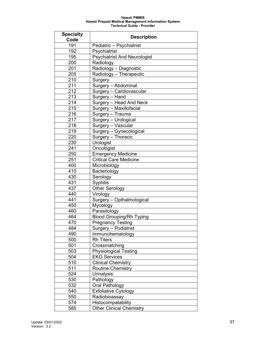| <b>Specialty</b> | <b>Description</b>                  |  |
|------------------|-------------------------------------|--|
| Code             |                                     |  |
| 191              | Pediatric - Psychiatrist            |  |
| 192              | Psychiatrist                        |  |
| 195              | <b>Psychiatrist And Neurologist</b> |  |
| 200              | Radiology                           |  |
| 201              | Radiology - Diagnostic              |  |
| 205              | Radiology - Therapeutic             |  |
| 210              | Surgery                             |  |
| 211              | Surgery - Abdominal                 |  |
| 212              | Surgery - Cardiovascular            |  |
| 213              | Surgery - Hand                      |  |
| 214              | Surgery - Head And Neck             |  |
| 215              | Surgery - Maxillofacial             |  |
| 216              | Surgery - Trauma                    |  |
| 217              | Surgery - Urological                |  |
| 218              | Surgery - Vascular                  |  |
| 219              | Surgery - Gynecological             |  |
| 220              | Surgery - Thoracic                  |  |
| 230              | Urologist                           |  |
| 241              | Oncologist                          |  |
| 250              | <b>Emergency Medicine</b>           |  |
| 251              | <b>Critical Care Medicine</b>       |  |
| 400              | Microbiology                        |  |
| 410              | Bacteriology                        |  |
| 430              | Serology                            |  |
| 431              | Syphilis                            |  |
| 437              | Other Serology                      |  |
| 440              | Virology                            |  |
| 441              | Surgery - Opthalmological           |  |
| 450              | Mycology                            |  |
| 460              | Parasitology                        |  |
| 464              | <b>Blood Grouping/Rh Typing</b>     |  |
| 470              | <b>Pregnancy Testing</b>            |  |
| 484              | Surgery - Podiatrist                |  |
| 490              | Immunohematology                    |  |
| 500              | <b>Rh Titers</b>                    |  |
| 501              | Crossmatching                       |  |
| 503              | <b>Physiological Testing</b>        |  |
| 504              | <b>EKG Services</b>                 |  |
| 510              | <b>Clinical Chemistry</b>           |  |
| 511              | <b>Routine Chemistry</b>            |  |
| 524              | <b>Urinalysis</b>                   |  |
| 530              | Pathology                           |  |
| 532              | <b>Oral Pathology</b>               |  |
| 540              | <b>Exfoliative Cytology</b>         |  |
| 550              | Radiobioassay                       |  |
| 574              | Histocompatability                  |  |
| 585              | <b>Other Clinical Chemistry</b>     |  |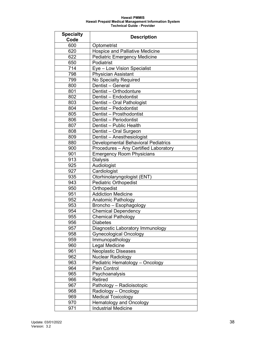| <b>Specialty</b><br>Code | <b>Description</b>                                    |  |
|--------------------------|-------------------------------------------------------|--|
| 600                      |                                                       |  |
| 620                      | Optometrist<br><b>Hospice and Palliative Medicine</b> |  |
| 622                      |                                                       |  |
| 650                      | <b>Pediatric Emergency Medicine</b><br>Podiatrist     |  |
|                          |                                                       |  |
| 714                      | Eye - Low Vision Specialist                           |  |
| 798                      | <b>Physician Assistant</b>                            |  |
| 799                      | No Specialty Required<br>Dentist - General            |  |
| 800                      | Dentist - Orthodonture                                |  |
| 801                      |                                                       |  |
| 802                      | Dentist - Endodontist                                 |  |
| 803                      | Dentist - Oral Pathologist                            |  |
| 804                      | Dentist - Pedodontist                                 |  |
| 805                      | Dentist - Prosthodontist                              |  |
| 806                      | Dentist - Periodontist<br>Dentist - Public Health     |  |
| 807                      |                                                       |  |
| 808                      | Dentist - Oral Surgeon                                |  |
| 809                      | Dentist - Anesthesiologist                            |  |
| 880                      | <b>Developmental Behavioral Pediatrics</b>            |  |
| 900                      | Procedures - Any Certified Laboratory                 |  |
| 901                      | <b>Emergency Room Physicians</b>                      |  |
| 913<br>925               | <b>Dialysis</b>                                       |  |
| 927                      | Audiologist<br>Cardiologist                           |  |
| 935                      | Otorhinolaryngologist (ENT)                           |  |
| 943                      | <b>Pediatric Orthopedist</b>                          |  |
| 950                      | Orthopedist                                           |  |
| 951                      | <b>Addiction Medicine</b>                             |  |
| 952                      | Anatomic Pathology                                    |  |
| 953                      | Broncho - Esophagology                                |  |
| 954                      | <b>Chemical Dependency</b>                            |  |
| 955                      | <b>Chemical Pathology</b>                             |  |
| 956                      | <b>Diabetes</b>                                       |  |
| 957                      | Diagnostic Laboratory Immunology                      |  |
| 958                      | <b>Gynecological Oncology</b>                         |  |
| 959                      | Immunopathology                                       |  |
| 960                      | Legal Medicine                                        |  |
| 961                      | <b>Neoplastic Diseases</b>                            |  |
| 962                      | <b>Nuclear Radiology</b>                              |  |
| 963                      | Pediatric Hematology - Oncology                       |  |
| 964                      | Pain Control                                          |  |
| 965                      | Psychoanalysis                                        |  |
| 966                      | Retired                                               |  |
| 967                      | Pathology - Radioisotopic                             |  |
| 968                      | Radiology - Oncology                                  |  |
| 969                      | Medical Toxicology                                    |  |
| 970                      | <b>Hematology and Oncology</b>                        |  |
| 971                      | <b>Industrial Medicine</b>                            |  |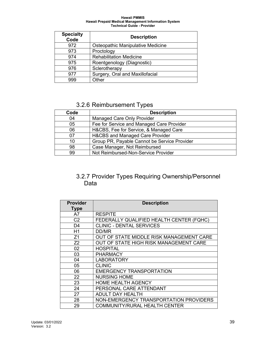| <b>Specialty</b><br>Code | <b>Description</b>                |
|--------------------------|-----------------------------------|
| 972                      | Osteopathic Manipulative Medicine |
| 973                      | Proctology                        |
| 974                      | <b>Rehabilitation Medicine</b>    |
| 975                      | Roentgenology (Diagnostic)        |
| 976                      | Sclerotherapy                     |
| 977                      | Surgery, Oral and Maxillofacial   |
| 999                      | Other                             |

# 3.2.6 Reimbursement Types

| Code | <b>Description</b>                           |
|------|----------------------------------------------|
| 04   | <b>Managed Care Only Provider</b>            |
| 05   | Fee for Service and Managed Care Provider    |
| 06   | H&CBS, Fee for Service, & Managed Care       |
| 07   | <b>H&amp;CBS and Managed Care Provider</b>   |
| 10   | Group PR, Payable Cannot be Service Provider |
| 98   | Case Manager, Not Reimbursed                 |
| 99   | Not Reimbursed-Non-Service Provider          |

## 3.2.7 Provider Types Requiring Ownership/Personnel Data

| <b>Provider</b> | <b>Description</b>                       |
|-----------------|------------------------------------------|
| <b>Type</b>     |                                          |
| A7              | <b>RESPITE</b>                           |
| C <sub>2</sub>  | FEDERALLY QUALIFIED HEALTH CENTER (FQHC) |
| D4              | <b>CLINIC - DENTAL SERVICES</b>          |
| H1              | DD/MR                                    |
| Z <sub>1</sub>  | OUT OF STATE MIDDLE RISK MANAGEMENT CARE |
| Z <sub>2</sub>  | OUT OF STATE HIGH RISK MANAGEMENT CARE   |
| 02              | <b>HOSPITAL</b>                          |
| 03              | <b>PHARMACY</b>                          |
| 04              | <b>LABORATORY</b>                        |
| 05              | <b>CLINIC</b>                            |
| 06              | <b>EMERGENCY TRANSPORTATION</b>          |
| 22              | <b>NURSING HOME</b>                      |
| 23              | <b>HOME HEALTH AGENCY</b>                |
| 24              | PERSONAL CARE ATTENDANT                  |
| 27              | <b>ADULT DAY HEALTH</b>                  |
| 28              | NON-EMERGENCY TRANSPORTATION PROVIDERS   |
| 29              | COMMUNITY/RURAL HEALTH CENTER            |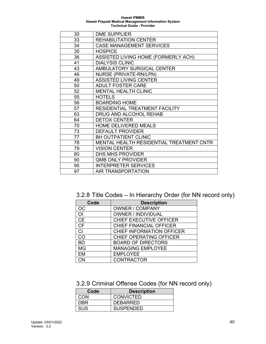| 30 | <b>DME SUPPLIER</b>                      |
|----|------------------------------------------|
| 33 | <b>REHABILITATION CENTER</b>             |
| 34 | <b>CASE MANAGEMENT SERVICES</b>          |
| 35 | <b>HOSPICE</b>                           |
| 36 | ASSISTED LIVING HOME (FORMERLY ACH)      |
| 41 | <b>DIALYSIS CLINIC</b>                   |
| 43 | AMBULATORY SURGICAL CENTER               |
| 46 | <b>NURSE (PRIVATE-RN/LPN)</b>            |
| 49 | <b>ASSISTED LIVING CENTER</b>            |
| 50 | <b>ADULT FOSTER CARE</b>                 |
| 52 | <b>MENTAL HEALTH CLINIC</b>              |
| 55 | <b>HOTELS</b>                            |
| 56 | <b>BOARDING HOME</b>                     |
| 57 | RESIDENTIAL TREATMENT FACILITY           |
| 63 | DRUG AND ALCOHOL REHAB                   |
| 64 | <b>DETOX CENTER</b>                      |
| 70 | <b>HOME DELIVERED MEALS</b>              |
| 73 | <b>DEFAULT PROVIDER</b>                  |
| 77 | <b>BH OUTPATIENT CLINIC</b>              |
| 78 | MENTAL HEALTH RESIDENTIAL TREATMENT CNTR |
| 79 | <b>VISION CENTER</b>                     |
| 80 | DHS MHS PROVIDER                         |
| 90 | <b>QMB ONLY PROVIDER</b>                 |
| 95 | <b>INTERPRETER SERVICES</b>              |
| 97 | AIR TRANSPORTATION                       |
|    |                                          |

3.2.8 Title Codes – In Hierarchy Order (for NN record only)

| Code      | <b>Description</b>               |
|-----------|----------------------------------|
| OС        | <b>OWNER / COMPANY</b>           |
| ΟI        | <b>OWNER / INDIVIDUAL</b>        |
| <b>CE</b> | CHIEF EXECUTIVE OFFICER          |
| <b>CF</b> | CHIEF FINANCIAL OFFICER          |
| <b>CI</b> | <b>CHIEF INFORMATION OFFICER</b> |
| CO        | CHIEF OPERATING OFFICER          |
| <b>BD</b> | <b>BOARD OF DIRECTORS</b>        |
| <b>MG</b> | <b>MANAGING EMPLOYEE</b>         |
| EM        | <b>EMPLOYEE</b>                  |
| ∩?        | <b>CONTRACTOR</b>                |

# 3.2.9 Criminal Offense Codes (for NN record only)

| Code | <b>Description</b> |
|------|--------------------|
| CON  | <b>CONVICTED</b>   |
| DBR  | <b>DEBARRED</b>    |
| SUS  | <b>SUSPENDED</b>   |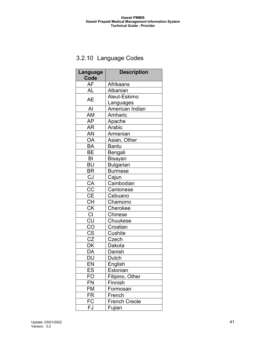# 3.2.10 Language Codes

| Language<br>Code                  | <b>Description</b>   |
|-----------------------------------|----------------------|
| AF                                | <b>Afrikaans</b>     |
| <b>AL</b>                         | Albanian             |
| <b>AE</b>                         | Aleut-Eskimo         |
|                                   | Languages            |
| AI                                | American Indian      |
| AM                                | Amharic              |
| <b>AP</b>                         | Apache               |
| <b>AR</b>                         | Arabic               |
| AN                                | Armenian             |
| OA                                | Asian, Other         |
| <b>BA</b>                         | <b>Bantu</b>         |
| BE                                | Bengali              |
| BI                                | <b>Bisayan</b>       |
| <b>BU</b>                         | <b>Bulgarian</b>     |
| <b>BR</b>                         | <b>Burmese</b>       |
| CJ                                | Cajun                |
| $\overline{CA}$                   | Cambodian            |
| $\overline{CC}$                   | Cantonese            |
| $\overline{\overline{\text{CE}}}$ | Cebuano              |
| $\overline{\overline{\text{CH}}}$ | Chamorro             |
| $\overline{\textsf{CK}}$          | Cherokee             |
| Cl                                | Chinese              |
| $\overline{\text{CU}}$            | Chuukese             |
| CO                                | Croatian             |
| $\overline{\text{CS}}$            | Cushite              |
| $rac{\overline{CZ}}{DK}$          | Czech                |
|                                   | Dakota               |
| $\overline{\mathsf{DA}}$          | Danish               |
| DU                                | Dutch                |
| EN                                | <u>English</u>       |
| ES                                | Estonian             |
| FO                                | Filipino, Other      |
| <b>FN</b>                         | Finnish              |
| FM                                | Formosan             |
| <b>FR</b>                         | French               |
| FC                                | <b>French Creole</b> |
| FJ                                | Fujian               |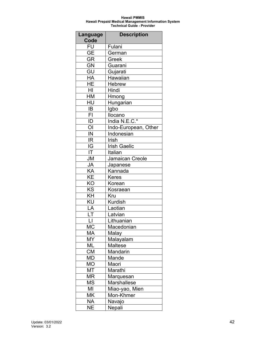| Language<br>Code         | <b>Description</b>   |
|--------------------------|----------------------|
| FU                       | Fulani               |
| GE                       | German               |
| <b>GR</b>                | Greek                |
| $\overline{GN}$          | Guarani              |
| GU                       | Gujarati             |
| HA                       | Hawaiian             |
| <b>HE</b>                | <b>Hebrew</b>        |
| $\overline{H}$           | Hindi                |
| HM                       | Hmong                |
| HU                       | Hungarian            |
| IB                       | Igbo                 |
| FI                       | Ilocano              |
| ID                       | India N.E.C.*        |
| O <sub>1</sub>           | Indo-European, Other |
| $\overline{\mathsf{IN}}$ | <b>Indonesian</b>    |
| $\overline{\mathsf{IR}}$ | <b>Irish</b>         |
| $\overline{\mathsf{IG}}$ | <b>Irish Gaelic</b>  |
| IT                       | Italian              |
| <b>JM</b>                | Jamaican Creole      |
| JA                       | Japanese             |
| KA                       | Kannada              |
| KE                       | <b>Keres</b>         |
| KO                       | Korean               |
| KS                       | Kosraean             |
| KH                       | Kru                  |
| KU                       | <b>Kurdish</b>       |
| LA                       | Laotian              |
| LT                       | Latvian              |
| $\overline{\mathsf{L}}$  | Lithuanian           |
| МC                       | Macedonian           |
| <b>MA</b>                | Malay                |
| <b>MY</b>                | Malayalam            |
| <b>ML</b>                | Maltese              |
| $\overline{\text{CM}}$   | Mandarin             |
| MD                       | Mande                |
| MO                       | Maori                |
| <b>MT</b>                | Marathi              |
| <b>MR</b>                | Marquesan            |
| <b>MS</b>                | Marshallese          |
| MI                       | Miao-yao, Mien       |
| <b>MK</b>                | Mon-Khmer            |
| <b>NA</b>                | Navajo               |
| <b>NE</b>                | Nepali               |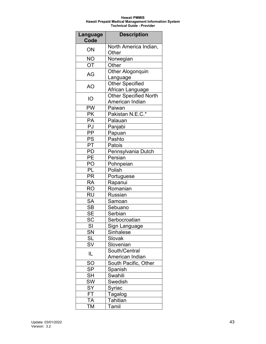| Language<br>Code         | <b>Description</b>           |
|--------------------------|------------------------------|
| ON                       | North America Indian,        |
|                          | Other                        |
| <b>NO</b>                | Norwegian                    |
| OT                       | Other                        |
| AG                       | Other Alogonquin             |
|                          | Language                     |
| AO                       | <b>Other Specified</b>       |
|                          | African Language             |
| IO                       | <b>Other Specified North</b> |
|                          | American Indian              |
| <b>PW</b>                | Paiwan                       |
| <b>PK</b>                | Pakistan N.E.C.*             |
| PA                       | Palauan                      |
| PJ                       | Panjabi                      |
| PP                       | Papuan                       |
| $\overline{\mathsf{PS}}$ | Pashto                       |
| PT                       | Patois                       |
| PD                       | Pennsylvania Dutch           |
| $\overline{PE}$          | Persian                      |
| PO                       | Pohnpeian                    |
| PL                       | Polish                       |
| PR                       | Portuguese                   |
| RA                       | Rapanui                      |
| <b>RO</b>                | Romanian                     |
| RU                       | <b>Russian</b>               |
| <b>SA</b>                | Samoan                       |
| $\overline{\mathsf{SB}}$ | Sebuano                      |
| <b>SE</b>                | Serbian                      |
| $\bar{S}C$               | Serbocroatian                |
| SI                       | Sign Language                |
| SN                       | <b>Sinhalese</b>             |
| <b>SL</b>                | Slovak                       |
| <b>SV</b>                | Slovenian                    |
| IL                       | South/Central                |
|                          | American Indian              |
| <b>SO</b>                | South Pacific, Other         |
| $\overline{\mathsf{SP}}$ | Spanish                      |
| $\overline{\mathsf{SH}}$ | Swahili                      |
| SW                       | Swedish                      |
| $\overline{S}Y$          | Syriac                       |
| <b>FT</b>                | <b>Tagalog</b>               |
| ĪΑ                       | Tahitian                     |
| ТM                       | Tamil                        |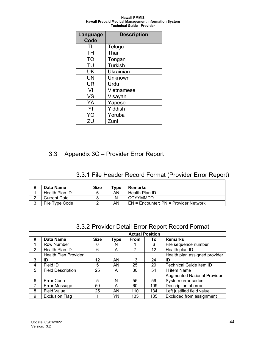| Language<br>Code | <b>Description</b> |
|------------------|--------------------|
| TL               | Telugu             |
| TH               | Thai               |
| TO               | Tongan             |
| TU               | <b>Turkish</b>     |
| UK               | Ukrainian          |
| UN               | Unknown            |
| UR               | Urdu               |
| VI               | Vietnamese         |
| VS               | Visayan            |
| YA               | Yapese             |
| YI               | Yiddish            |
| YO               | Yoruba             |
| ZU               | Zuni               |

# 3.3 Appendix 3C – Provider Error Report

# 3.3.1 File Header Record Format (Provider Error Report)

| # | Data Name           | <b>Size</b> | $T$ ype | <b>Remarks</b>                            |
|---|---------------------|-------------|---------|-------------------------------------------|
|   | Health Plan ID      |             | AN      | Health Plan ID                            |
|   | <b>Current Date</b> |             | N       | <b>CCYYMMDD</b>                           |
| 3 | File Type Code      |             | AN      | $EN =$ Encounter; $PN =$ Provider Network |

|   | <b>0.0.2</b> Trovider Detail Error report record Format |             |             |             |                        |                                    |  |
|---|---------------------------------------------------------|-------------|-------------|-------------|------------------------|------------------------------------|--|
|   |                                                         |             |             |             | <b>Actual Position</b> |                                    |  |
| # | <b>Data Name</b>                                        | <b>Size</b> | <b>Type</b> | <b>From</b> | Τo                     | <b>Remarks</b>                     |  |
| 1 | Row Number                                              | 6           | N           |             | 6                      | File sequence number               |  |
| 2 | Health Plan ID                                          | 6           | A           |             | 12 <sup>2</sup>        | Health plan ID                     |  |
|   | <b>Health Plan Provider</b>                             |             |             |             |                        | Health plan assigned provider      |  |
| 3 | ID                                                      | 12          | AN.         | 13          | 24                     | ID                                 |  |
| 4 | Field ID                                                | 5           | AN          | 25          | 29                     | Technical Guide item ID            |  |
| 5 | <b>Field Description</b>                                | 25          | A           | 30          | 54                     | H item Name                        |  |
|   |                                                         |             |             |             |                        | <b>Augmented National Provider</b> |  |
| 6 | <b>Error Code</b>                                       | 5           | N           | 55          | 59                     | System error codes                 |  |
| 7 | Error Message                                           | 50          | A           | 60          | 109                    | Description of error               |  |
| 8 | <b>Field Value</b>                                      | 25          | AN          | 110         | 134                    | Left justified field value         |  |
| 9 | <b>Exclusion Flag</b>                                   |             | YN          | 135         | 135                    | Excluded from assignment           |  |

### 3.3.2 Provider Detail Error Report Record Format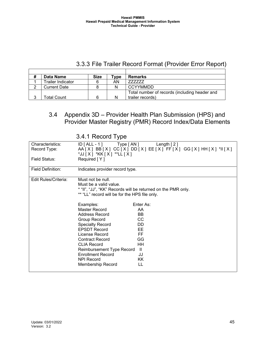## 3.3.3 File Trailer Record Format (Provider Error Report)

| Data Name                | <b>Size</b> | Tvpe | <b>Remarks</b>                                |
|--------------------------|-------------|------|-----------------------------------------------|
| <b>Trailer Indicator</b> | 6           | AN   | 777777                                        |
| <b>Current Date</b>      |             |      | CCYYMMDD                                      |
|                          |             |      | Total number of records (including header and |
| Total Count              | հ           |      | trailer records)                              |

### 3.4 Appendix 3D – Provider Health Plan Submission (HPS) and Provider Master Registry (PMR) Record Index/Data Elements

|                                  | 0.7.1110001011100                                                                                                                                                                                                                                                                                                                                                                                                                                                                                                                                     |  |
|----------------------------------|-------------------------------------------------------------------------------------------------------------------------------------------------------------------------------------------------------------------------------------------------------------------------------------------------------------------------------------------------------------------------------------------------------------------------------------------------------------------------------------------------------------------------------------------------------|--|
| Characteristics:<br>Record Type: | $ID [ALL - 1]$ Type $[AN]$<br>Length $[2]$<br>AA[X] BB[X] CC[X] DD[X] EE[X] FF[X] GG[X] HH[X] *II[X]<br>*JJ [ X ] *KK [ X ] **LL [ X ]                                                                                                                                                                                                                                                                                                                                                                                                                |  |
| Field Status:                    | Required [Y]                                                                                                                                                                                                                                                                                                                                                                                                                                                                                                                                          |  |
| <b>Field Definition:</b>         | Indicates provider record type.                                                                                                                                                                                                                                                                                                                                                                                                                                                                                                                       |  |
| Edit Rules/Criteria:             | Must not be null.<br>Must be a valid value.<br>* "II", "JJ", "KK" Records will be returned on the PMR only.<br>** "LL" record will be for the HPS file only.<br>Examples:<br>Enter As:<br>Master Record<br>AA<br>Address Record<br>BB.<br>CC<br>Group Record<br>DD<br><b>Specialty Record</b><br><b>EPSDT Record</b><br>EE.<br>License Record<br>FF<br>GG<br><b>Contract Record</b><br>HH<br><b>CLIA Record</b><br>$\mathbf{II}$<br>Reimbursement Type Record<br><b>Enrollment Record</b><br>JJ<br><b>NPI Record</b><br>KK<br>LL<br>Membership Record |  |

3.4.1 Record Type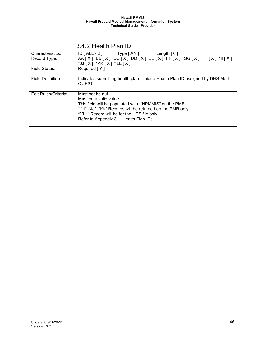| Characteristics:     | $ID [ALL - 2]$ Type $[AN]$<br>Length $\lceil 6 \rceil$                       |
|----------------------|------------------------------------------------------------------------------|
| Record Type:         | $AA[X] BB[X] CC[X] DD[X] EE[X] FF[X] GG[X] HH[X] *II[X]$                     |
|                      | *JJ [ X ] *KK [ X ] **LL [ X ]                                               |
| Field Status:        | Required [Y]                                                                 |
|                      |                                                                              |
| Field Definition:    | Indicates submitting health plan. Unique Health Plan ID assigned by DHS Med- |
|                      | QUEST.                                                                       |
|                      |                                                                              |
| Edit Rules/Criteria: | Must not be null.                                                            |
|                      | Must be a valid value.                                                       |
|                      | This field will be populated with "HPMMIS" on the PMR.                       |
|                      | * "II", "JJ", "KK" Records will be returned on the PMR only.                 |
|                      | **"LL" Record will be for the HPS file only.                                 |
|                      | Refer to Appendix 3I - Health Plan IDs.                                      |
|                      |                                                                              |

### 3.4.2 Health Plan ID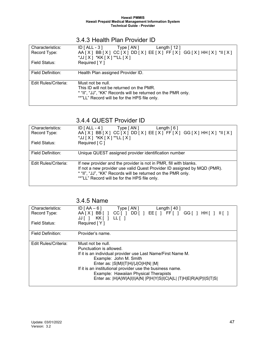| Characteristics:     | $ID$ $[ALL - 3]$<br>Type [ AN ]<br>Length $[12]$             |
|----------------------|--------------------------------------------------------------|
| Record Type:         | $AA[X] BB[X] CC[X] DD[X] EE[X] FF[X] GG[X] HH[X] *II[X]$     |
|                      | $*JJ[X]$ *KK $[X]$ **LL $[X]$                                |
| Field Status:        | Required [Y]                                                 |
|                      |                                                              |
| Field Definition:    | Health Plan assigned Provider ID.                            |
|                      |                                                              |
| Edit Rules/Criteria: | Must not be null.                                            |
|                      | This ID will not be returned on the PMR.                     |
|                      | * "II", "JJ", "KK" Records will be returned on the PMR only. |
|                      | **"LL" Record will be for the HPS file only.                 |
|                      |                                                              |

### 3.4.3 Health Plan Provider ID

### 3.4.4 QUEST Provider ID

| Characteristics:     | $ID [ALL - 4]$ Type $[AN]$<br>Length $[6]$                               |
|----------------------|--------------------------------------------------------------------------|
| Record Type:         | $AA[X] BB[X] CC[X] DD[X] EE[X] FF[X] GG[X] HH[X] *II[X]$                 |
|                      | *JJ [ X ] *KK [ X ] **LL [ X ]                                           |
| Field Status:        | Required [C]                                                             |
|                      |                                                                          |
| Field Definition:    | Unique QUEST assigned provider identification number                     |
|                      |                                                                          |
| Edit Rules/Criteria: | If new provider and the provider is not in PMR, fill with blanks.        |
|                      | If not a new provider use valid Quest Provider ID assigned by MQD (PMR). |
|                      | * "II", "JJ", "KK" Records will be returned on the PMR only.             |
|                      | **"LL" Record will be for the HPS file only.                             |
|                      |                                                                          |

# 3.4.5 Name

| Characteristics:                                          | $ID [AA-6]$<br>Type [ AN ]<br>Length $[40]$                        |  |  |  |  |
|-----------------------------------------------------------|--------------------------------------------------------------------|--|--|--|--|
| Record Type:                                              | $AA[X] BB[] CC[] DD[] EE[] FF[] GG[] HH[]   []$                    |  |  |  |  |
|                                                           |                                                                    |  |  |  |  |
|                                                           | JJ[ ] KK[ ] LL[ ]                                                  |  |  |  |  |
| Field Status:                                             | Required [Y]                                                       |  |  |  |  |
|                                                           |                                                                    |  |  |  |  |
| <b>Field Definition:</b>                                  | Provider's name.                                                   |  |  |  |  |
|                                                           |                                                                    |  |  |  |  |
|                                                           |                                                                    |  |  |  |  |
| Edit Rules/Criteria:                                      | Must not be null.                                                  |  |  |  |  |
|                                                           | Punctuation is allowed.                                            |  |  |  |  |
|                                                           |                                                                    |  |  |  |  |
|                                                           | If it is an individual provider use Last Name/First Name M.        |  |  |  |  |
| Example: John M. Smith                                    |                                                                    |  |  |  |  |
| Enter as:  S M I T H / J O H N   M                        |                                                                    |  |  |  |  |
|                                                           |                                                                    |  |  |  |  |
| If it is an institutional provider use the business name. |                                                                    |  |  |  |  |
|                                                           | Example: Hawaiian Physical Therapists                              |  |  |  |  |
|                                                           |                                                                    |  |  |  |  |
|                                                           | Enter as:  H A W A I I A N   P H Y S I C A L   T H E R A P I S T S |  |  |  |  |
|                                                           |                                                                    |  |  |  |  |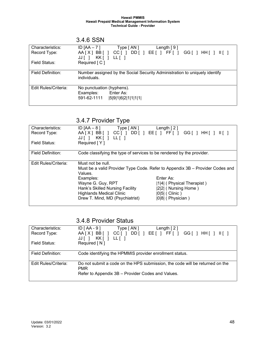|                                  | 3.4.6 SSN                                                                                       |
|----------------------------------|-------------------------------------------------------------------------------------------------|
| Characteristics:<br>Record Type: | ID $[AA - 7]$<br>Type [ AN ]<br>Length $[9]$<br>$AA[X] BB[] CC[] DD[] EE[] FF[] GG[] HH[]   []$ |
| Field Status:                    | JJ[ ] KK[ ] LL[ ]<br>Required [C]                                                               |
|                                  |                                                                                                 |
| Field Definition:                | Number assigned by the Social Security Administration to uniquely identify<br>individuals.      |
| Edit Rules/Criteria:             | No punctuation (hyphens).                                                                       |
|                                  | Examples: Enter As:                                                                             |
|                                  | 591-62-1111<br> 5 9 1 6 2 1 1 1 1                                                               |

### 3.4.7 Provider Type

| Characteristics:     | Type [ AN ]<br>ID [AA – 8 ]                                           | Length $[2]$                                                                  |
|----------------------|-----------------------------------------------------------------------|-------------------------------------------------------------------------------|
| Record Type:         |                                                                       | $AA[X] BB[] CC[] DD[] EE[] FF[] GG[] HH[]   []$                               |
|                      | $KK$ $ $ $ $ $LL$ $ $ $ $<br>$JJ$                                     |                                                                               |
| Field Status:        | Required [Y]                                                          |                                                                               |
|                      |                                                                       |                                                                               |
| Field Definition:    | Code classifying the type of services to be rendered by the provider. |                                                                               |
|                      |                                                                       |                                                                               |
| Edit Rules/Criteria: | Must not be null.                                                     |                                                                               |
|                      |                                                                       | Must be a valid Provider Type Code. Refer to Appendix 3B - Provider Codes and |
|                      | Values.                                                               |                                                                               |
|                      | Examples:                                                             | Enter As:                                                                     |
|                      | Wayne G. Guy, RPT                                                     | [1]4] (Physical Therapist)                                                    |
|                      | Hank's Skilled Nursing Facility                                       | [2] (Nursing Home)                                                            |
|                      | <b>Highlands Medical Clinic</b>                                       | $ 0 5 $ (Clinic)                                                              |
|                      | Drew T. Mind, MD (Psychiatrist)                                       | [0 8  (Physician)                                                             |
|                      |                                                                       |                                                                               |

### 3.4.8 Provider Status

| Characteristics:     | $ID [AA - 9]$<br>Type [ AN ]<br>Length $[2]$                                                                                                    |
|----------------------|-------------------------------------------------------------------------------------------------------------------------------------------------|
| Record Type:         | DD[ ] EE[ ] FF[ ] GG[ ] HH[ ] II[ ]<br>AA[X] BB[] CC[]                                                                                          |
| Field Status:        | KK [ ]<br>$LL[$ ]<br>JJII<br>Required $\lceil N \rceil$                                                                                         |
| Field Definition:    | Code identifying the HPMMIS provider enrollment status.                                                                                         |
| Edit Rules/Criteria: | Do not submit a code on the HPS submission, the code will be returned on the<br><b>PMR</b><br>Refer to Appendix 3B - Provider Codes and Values. |
|                      |                                                                                                                                                 |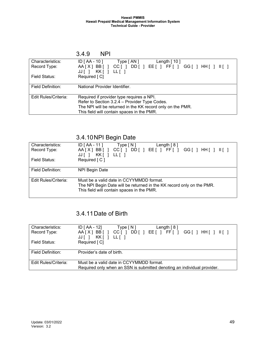|                      | 3.4.9<br><b>NPI</b>                                                  |  |
|----------------------|----------------------------------------------------------------------|--|
| Characteristics:     | ID [ AA - 10 ]<br>Type [ AN ]<br>Length $[10]$                       |  |
| Record Type:         | $AA[X] BB[] CC[] DD[] EE[] FF[] GG[] HH[]   []$<br>JJ[ ] KK[ ] LL[ ] |  |
| <b>Field Status:</b> | Required [C]                                                         |  |
| Field Definition:    | National Provider Identifier.                                        |  |
| Edit Rules/Criteria: | Required if provider type requires a NPI.                            |  |
|                      | Refer to Section 3.2.4 - Provider Type Codes.                        |  |
|                      | The NPI will be returned in the KK record only on the PMR.           |  |
|                      | This field will contain spaces in the PMR.                           |  |

## 3.4.10NPI Begin Date

| Characteristics:     | $ID [AA - 11]$<br>Type[N]<br>Length $[8]$                             |
|----------------------|-----------------------------------------------------------------------|
| Record Type:         | DD[ ] EE[ ] FF[ ] GG[ ] HH[ ] II[ ]<br>AA[X]BB[]<br>$CC$ [ $\vert$ ]  |
|                      | KK [ ] LL [ ]<br>JJII                                                 |
| Field Status:        | Required [C]                                                          |
|                      |                                                                       |
| Field Definition:    | NPI Begin Date                                                        |
|                      |                                                                       |
| Edit Rules/Criteria: | Must be a valid date in CCYYMMDD format.                              |
|                      | The NPI Begin Date will be returned in the KK record only on the PMR. |
|                      | This field will contain spaces in the PMR.                            |
|                      |                                                                       |

# 3.4.11Date of Birth

| Characteristics:     | $ID [AA - 12]$<br>Length $[8]$<br>Type[N]                                                              |
|----------------------|--------------------------------------------------------------------------------------------------------|
| Record Type:         | AA[X]BB[]<br>DD[ ] EE[ ] FF[ ] GG[ ] HH[ ] II[ ]<br>$CC$ $\lceil$ $\rceil$<br>KK [ ]<br>LL [ ]<br>JJ[] |
| Field Status:        | Required [C]                                                                                           |
| Field Definition:    | Provider's date of birth.                                                                              |
| Edit Rules/Criteria: | Must be a valid date in CCYYMMDD format.                                                               |
|                      | Required only when an SSN is submitted denoting an individual provider.                                |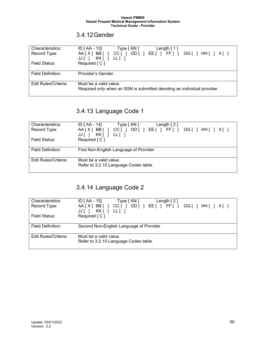### 3.4.12Gender

| Characteristics:     | $ID [AA - 13]$<br>Type $\lceil AN \rceil$<br>Length $\lceil 1 \rceil$                             |
|----------------------|---------------------------------------------------------------------------------------------------|
| Record Type:         | DD[ ] EE[ ] FF[ ] GG[ ] HH[ ] II[ ]<br>AA[X]BB[]<br>$CC$ [ ]<br>KK[]<br>LL [ ]<br>JJ I            |
| Field Status:        | Required [C]                                                                                      |
| Field Definition:    | Provider's Gender.                                                                                |
| Edit Rules/Criteria: | Must be a valid value.<br>Required only when an SSN is submitted denoting an individual provider. |

# 3.4.13 Language Code 1

| Characteristics:     | $ID [AA - 14]$<br>Type $\lceil AN \rceil$<br>Length $[2]$                                    |
|----------------------|----------------------------------------------------------------------------------------------|
| Record Type:         | AA[X]BB[] CC[]<br>DD[ ] EE[ ] FF[ ] GG[ ] HH[ ] II[ ]<br>$KK$ $ $ $ $ $LL$ $ $ $ $<br>JJ [ ] |
| Field Status:        | Required [C]                                                                                 |
| Field Definition:    | First Non-English Language of Provider                                                       |
| Edit Rules/Criteria: | Must be a valid value.<br>Refer to 3.2.10 Language Codes table.                              |

# 3.4.14 Language Code 2

| Characteristics:     | $ID [AA - 15]$<br>Type [ AN ]<br>Length $\lceil 2 \rceil$         |
|----------------------|-------------------------------------------------------------------|
| Record Type:         | AA[X]BB[]<br>DD[ ] EE[ ] FF[ ] GG[ ] HH[ ] II[ ]<br>CCI 1<br>JJ[] |
| Field Status:        | Required [ C ]                                                    |
| Field Definition:    | Second Non-English Language of Provider                           |
| Edit Rules/Criteria: | Must be a valid value.<br>Refer to 3.2.10 Language Codes table.   |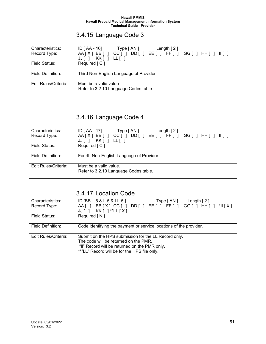# 3.4.15 Language Code 3

| Characteristics:     | $ID [AA - 16]$<br>Type [ AN ]<br>Length $[2]$                                          |
|----------------------|----------------------------------------------------------------------------------------|
| Record Type:         | AA[X]BB[]<br>DD[ ] EE[ ] FF[ ] GG[ ] HH[ ] II[ ]<br>$CC$ [ ]<br>KK [ ] LL [ ]<br>JJI I |
| Field Status:        | Required [C]                                                                           |
| Field Definition:    | Third Non-English Language of Provider                                                 |
| Edit Rules/Criteria: | Must be a valid value.<br>Refer to 3.2.10 Language Codes table.                        |

# 3.4.16 Language Code 4

| Characteristics:     | $ID [AA - 17]$<br>Type [AN]<br>Length $[2]$                                            |
|----------------------|----------------------------------------------------------------------------------------|
| Record Type:         | AA[X]BB[] CC[]<br>DD[ ] EE[ ] FF[ ] GG[ ] HH[ ] II[ ]<br>$KK$ $ $ $ $ $LL$ $ $<br>$JJ$ |
| Field Status:        | Required [C]                                                                           |
|                      |                                                                                        |
| Field Definition:    | Fourth Non-English Language of Provider                                                |
| Edit Rules/Criteria: | Must be a valid value.                                                                 |
|                      | Refer to 3.2.10 Language Codes table.                                                  |

### 3.4.17 Location Code

| Characteristics:     | ID [BB $-5$ & II-5 & LL-5 ]<br>Type [AN ]<br>Length $[2]$          |
|----------------------|--------------------------------------------------------------------|
| Record Type:         | BB[X] CC[ ] DD[ ] EE[ ] FF[ ] GG[ ] HH[ ] *II[X]<br>AA [ ]         |
|                      | $KK$ [ ] **LL $[X]$<br>JJ [ ]                                      |
| Field Status:        | Required $\lceil N \rceil$                                         |
|                      |                                                                    |
| Field Definition:    | Code identifying the payment or service locations of the provider. |
|                      |                                                                    |
| Edit Rules/Criteria: | Submit on the HPS submission for the LL Record only.               |
|                      | The code will be returned on the PMR.                              |
|                      | "II" Record will be returned on the PMR only.                      |
|                      | **"LL" Record will be for the HPS file only.                       |
|                      |                                                                    |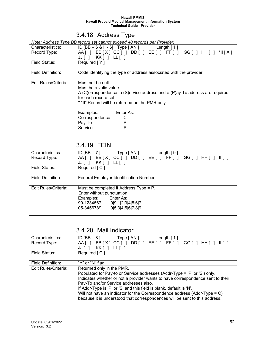# 3.4.18 Address Type

*Note: Address Type BB record set cannot exceed 40 records per Provider.*

| Characteristics:     | $ID [BB - 6 & 11 - 6]$ Type $[AN]$ Length $[1]$                             |
|----------------------|-----------------------------------------------------------------------------|
| Record Type:         | AA[ ] BB[X] CC[ ] DD[ ] EE[ ] FF[ ] GG[ ] HH[ ] *II[X]                      |
|                      | $JJ$ [ ] $KK$ [ ] LL[ ]                                                     |
| Field Status:        | Required $[ Y ]$                                                            |
|                      |                                                                             |
| Field Definition:    | Code identifying the type of address associated with the provider.          |
|                      |                                                                             |
| Edit Rules/Criteria: | Must not be null.                                                           |
|                      | Must be a valid value.                                                      |
|                      | A (C)orrespondence, a (S)ervice address and a (P)ay To address are required |
|                      | for each record set.                                                        |
|                      | * "II" Record will be returned on the PMR only.                             |
|                      |                                                                             |
|                      | Examples:<br>Enter As:                                                      |
|                      | Correspondence<br>С                                                         |
|                      | P<br>Pay To                                                                 |
|                      | S<br>Service                                                                |

### 3.4.19 FEIN

| Characteristics:<br>Record Type: | ID $[BB-7]$<br>Type [ AN ]<br>Length $[9]$<br>BB[X] CC[] DD[] EE[] FF[]<br>$AA$ $\vert$ $\vert$<br>GG[ ] HH[ ] II[ ]<br>$KK[$ $ $ $LL[$ $ $<br>JJ [ ]                   |
|----------------------------------|-------------------------------------------------------------------------------------------------------------------------------------------------------------------------|
| Field Status:                    | Required [ C ]                                                                                                                                                          |
| Field Definition:                | Federal Employer Identification Number.                                                                                                                                 |
| Edit Rules/Criteria:             | Must be completed if Address Type = P.<br>Enter without punctuation<br>Enter As:<br>Examples:<br>99-1234567<br> 9 9 1 2 3 4 5 6 7 <br> 0 5 3 4 5 6 7 8 9 <br>05-3456789 |

### 3.4.20 Mail Indicator

| Characteristics:<br>Record Type: | ID [BB $-8$ ]<br>Type [ AN ]<br>Length $[1]$<br>AA[ ] BB[X ] CC[ ] DD[ ] EE[ ] FF[ ] GG[ ] HH[ ] II[ ]<br>KK [ ]<br>JJ[]<br>LL [ ]                                                                                                                                                                                                                                                                                                                                     |
|----------------------------------|------------------------------------------------------------------------------------------------------------------------------------------------------------------------------------------------------------------------------------------------------------------------------------------------------------------------------------------------------------------------------------------------------------------------------------------------------------------------|
| Field Status:                    | Required [ C ]                                                                                                                                                                                                                                                                                                                                                                                                                                                         |
| Field Definition:                | "Y" or "N" flag.                                                                                                                                                                                                                                                                                                                                                                                                                                                       |
| Edit Rules/Criteria:             | Returned only in the PMR.<br>Populated for Pay-to or Service addresses (Addr-Type = 'P' or 'S') only.<br>Indicates whether or not a provider wants to have correspondence sent to their<br>Pay-To and/or Service addresses also.<br>If Addr-Type is 'P' or 'S' and this field is blank, default is 'N'.<br>Will not have an indicator for the Correspondence address (Addr-Type = $C$ )<br>because it is understood that correspondences will be sent to this address. |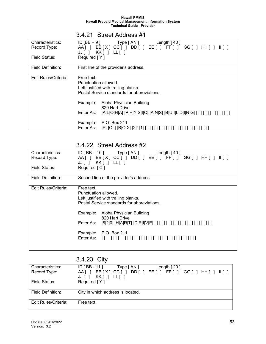| Characteristics:     | ID $[BB - 9]$<br>Type [ AN ]<br>Length $[40]$                         |
|----------------------|-----------------------------------------------------------------------|
| Record Type:         | BB[X] CC[] DD[] EE[] FF[]<br>$GG[$ $]$ HH[ $]$<br>AA [ ]<br>$III$ $I$ |
|                      | KK[ ] LL[ ]<br>$JJ$                                                   |
| Field Status:        | Required [Y]                                                          |
|                      |                                                                       |
|                      |                                                                       |
| Field Definition:    | First line of the provider's address.                                 |
|                      |                                                                       |
| Edit Rules/Criteria: | Free text.                                                            |
|                      | Punctuation allowed.                                                  |
|                      | Left justified with trailing blanks.                                  |
|                      | Postal Service standards for abbreviations.                           |
|                      |                                                                       |
|                      |                                                                       |
|                      | Example:<br>Aloha Physician Building                                  |
|                      | 820 Hart Drive                                                        |
|                      | Enter As:<br> A L O H A   P H Y S I C I A N S   B U I L D I N G       |
|                      |                                                                       |
|                      | P.O. Box 211<br>Example:                                              |
|                      | Enter As:<br><b>IBIO</b><br>IPI.IOI.                                  |
|                      |                                                                       |

### 3.4.21 Street Address #1

### 3.4.22 Street Address #2

| Characteristics:<br>Record Type:<br>Field Status: | $ID$ [BB $-$ 10 ]<br>Length $[40]$<br>Type [ AN ]<br>BB[X]CC[]DD[]EE[]FF[]GG[]HH[]<br>AA [ ]<br>KK [ ]<br>JJ[]<br>LL [ ]<br>Required [C]                                                                                                                                                         |
|---------------------------------------------------|--------------------------------------------------------------------------------------------------------------------------------------------------------------------------------------------------------------------------------------------------------------------------------------------------|
|                                                   |                                                                                                                                                                                                                                                                                                  |
| Field Definition:                                 | Second line of the provider's address.                                                                                                                                                                                                                                                           |
| Edit Rules/Criteria:                              | Free text.<br>Punctuation allowed.<br>Left justified with trailing blanks.<br>Postal Service standards for abbreviations.<br>Example:<br>Aloha Physician Building<br>820 Hart Drive<br> 8 2 0   H A R T   D R I V E                       <br>Enter As:<br>P.O. Box 211<br>Example:<br>Enter As: |

# 3.4.23 City

| Characteristics:     | $ID$ [ BB - 11 ]<br>Length $[20]$<br>Type [ AN ]                              |
|----------------------|-------------------------------------------------------------------------------|
| Record Type:         | BB[X] CC[] DD[] EE[] FF[]<br>$GG$ $\mid$ $HH$ $\mid$ $  $ $  $ $  $<br>AA [ ] |
|                      | KK   LL    <br>JJI I                                                          |
| Field Status:        | Required $[ Y ]$                                                              |
|                      |                                                                               |
| Field Definition:    | City in which address is located.                                             |
|                      |                                                                               |
| Edit Rules/Criteria: | Free text.                                                                    |
|                      |                                                                               |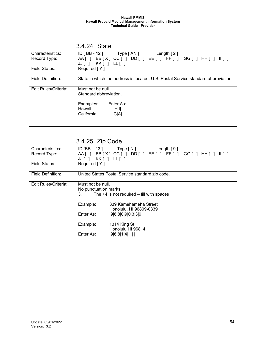|                          | U.T.LT Ululu                                                                      |
|--------------------------|-----------------------------------------------------------------------------------|
| Characteristics:         | $ID [BB - 12]$ Type $[AN]$<br>Length $[2]$                                        |
| Record Type:             | BB[X] CC[] DD[] EE[] FF[]<br>AA [ 1<br>$III$ $1$<br>$KK$   LL    <br>JJ[]         |
| Field Status:            | Required [Y]                                                                      |
| <b>Field Definition:</b> | State in which the address is located. U.S. Postal Service standard abbreviation. |
| Edit Rules/Criteria:     | Must not be null.<br>Standard abbreviation.                                       |
|                          | Examples:<br>Enter As:<br>Hawaii<br>$\vert H \vert \vert$<br>California<br> C A   |

### 3.4.24 State

# 3.4.25 Zip Code

| Characteristics:<br>Record Type:<br>Field Status: | ID [BB $-13$ ]<br>AA II<br>KK [ ]<br>JJ [ ]<br>Required [Y]                                        | Type [ N ]<br>Length $[9]$<br>BB[X] CC[] DD[] EE[] FF[]<br>GG[]HH[]<br>$II \cup I$<br>LL [ 1                                                                                   |
|---------------------------------------------------|----------------------------------------------------------------------------------------------------|--------------------------------------------------------------------------------------------------------------------------------------------------------------------------------|
| <b>Field Definition:</b>                          |                                                                                                    | United States Postal Service standard zip code.                                                                                                                                |
| Edit Rules/Criteria:                              | Must not be null.<br>No punctuation marks.<br>3.<br>Example:<br>Enter As:<br>Example:<br>Enter As: | The $+4$ is not required $-$ fill with spaces<br>339 Kamehameha Street<br>Honolulu, HI 96809-0339<br> 9 6 8 0 9 0 3 3 9 <br>1314 King St<br>Honolulu HI 96814<br>$ 9 6 8 1 4 $ |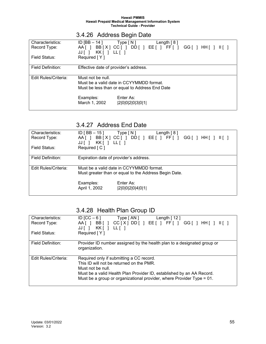|                          |                                      | 3.4.26 Address Begin Date                                        |
|--------------------------|--------------------------------------|------------------------------------------------------------------|
| Characteristics:         | ID [BB – 14 ]                        | Length $[8]$<br>Type [ N ]                                       |
| Record Type:             | AAII<br>$KK[$ $ $ $LL[$ $ $<br>JJI I | BB[X] CC[] DD[] EE[] FF[] GG[] HH[]<br>$\mathbb{H}$ $\mathbb{L}$ |
| Field Status:            | Required [Y]                         |                                                                  |
| <b>Field Definition:</b> |                                      | Effective date of provider's address.                            |
| Edit Rules/Criteria:     | Must not be null.                    |                                                                  |
|                          |                                      | Must be a valid date in CCYYMMDD format.                         |
|                          |                                      | Must be less than or equal to Address End Date                   |
|                          | Examples:                            | Enter As:                                                        |
|                          | March 1, 2002                        | 2 0 0 2 0 3 0 1                                                  |

### 3.4.26 Address Begin Date

### 3.4.27 Address End Date

| Characteristics:     | ID [ BB $-$ 15 ]<br>Type[N]<br>Length $[8]$           |
|----------------------|-------------------------------------------------------|
| Record Type:         | BB[X] CC[] DD[] EE[] FF[]<br>AA [ ]                   |
|                      |                                                       |
|                      | KK[ ] LL[ ]<br>$JJ$                                   |
| Field Status:        | Required [ C ]                                        |
|                      |                                                       |
| Field Definition:    | Expiration date of provider's address.                |
|                      |                                                       |
|                      |                                                       |
| Edit Rules/Criteria: | Must be a valid date in CCYYMMDD format.              |
|                      | Must greater than or equal to the Address Begin Date. |
|                      |                                                       |
|                      | Enter As:<br>Examples:                                |
|                      |                                                       |
|                      | April 1, 2002<br> 2 0 0 2 0 4 0 1                     |
|                      |                                                       |

# 3.4.28 Health Plan Group ID

| Characteristics:<br>Record Type: | ID [CC $-6$ ]<br>Type [ AN ]<br>Length $[12]$<br>$CC[X]$ DD[ ] EE[ ] FF[ ] GG[ ] HH[ ] $II[$ ]<br>BB[]<br>$AA$ $\vert$ $\vert$<br>KK[]<br>$LL[$ ]<br>JJII                                                                                                   |
|----------------------------------|-------------------------------------------------------------------------------------------------------------------------------------------------------------------------------------------------------------------------------------------------------------|
| Field Status:                    | Required [Y]                                                                                                                                                                                                                                                |
| Field Definition:                | Provider ID number assigned by the health plan to a designated group or<br>organization.                                                                                                                                                                    |
| Edit Rules/Criteria:             | Required only if submitting a CC record.<br>This ID will not be returned on the PMR.<br>Must not be null.<br>Must be a valid Health Plan Provider ID, established by an AA Record.<br>Must be a group or organizational provider, where Provider Type = 01. |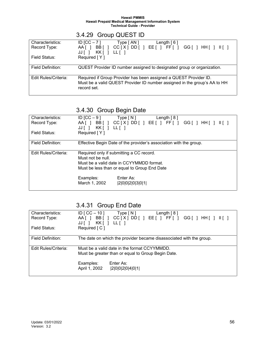|                                  | 3.4.29 Group QUEST ID                                                                                                                                         |
|----------------------------------|---------------------------------------------------------------------------------------------------------------------------------------------------------------|
| Characteristics:<br>Record Type: | ID $[CC - 7]$<br>Type [ AN ]<br>Length $[6]$<br>$CC[X] D D$ [ ] $EE$ [ ] $FF$ [ ] $GG$ [ ] $HH$ [ ] $II$ [ ]<br>BB [ ]<br>AA [ ]                              |
|                                  | KK [ ] LL [ ]<br>JJII                                                                                                                                         |
| Field Status:                    | Required [Y]                                                                                                                                                  |
| Field Definition:                | QUEST Provider ID number assigned to designated group or organization.                                                                                        |
| Edit Rules/Criteria:             | Required if Group Provider has been assigned a QUEST Provider ID.<br>Must be a valid QUEST Provider ID number assigned in the group's AA to HH<br>record set. |

### 3.4.30 Group Begin Date

| Characteristics:<br>Record Type: | ID [CC $-9$ ]<br>Type [ N ]<br>Length $[8]$<br>AA[ ] BB[ ] CC[X] DD[ ] EE[ ] FF[ ] GG[ ] HH[ ] II[ ]<br>JJ [ ]                                            |
|----------------------------------|-----------------------------------------------------------------------------------------------------------------------------------------------------------|
| Field Status:                    | Required [Y]                                                                                                                                              |
| Field Definition:                | Effective Begin Date of the provider's association with the group.                                                                                        |
| Edit Rules/Criteria:             | Required only if submitting a CC record.<br>Must not be null.<br>Must be a valid date in CCYYMMDD format.<br>Must be less than or equal to Group End Date |
|                                  | Enter As:<br>Examples:<br>March 1, 2002<br> 2 0 0 2 0 3 0 1                                                                                               |

# 3.4.31 Group End Date

| Characteristics:     | ID [ $CC - 10$ ]<br>Type [ N ]<br>Length $[8]$                      |
|----------------------|---------------------------------------------------------------------|
| Record Type:         | $CC[X]$ DD[] EE[] FF[] GG[] HH[] $II[$ ]<br>BB[]<br>AA [ ]          |
|                      | KK[ ] LL[ ]<br>JJ [                                                 |
| Field Status:        | Required [ C ]                                                      |
|                      |                                                                     |
| Field Definition:    | The date on which the provider became disassociated with the group. |
|                      |                                                                     |
|                      |                                                                     |
| Edit Rules/Criteria: | Must be a valid date in the format CCYYMMDD.                        |
|                      | Must be greater than or equal to Group Begin Date.                  |
|                      |                                                                     |
|                      | Examples:<br>Enter As:                                              |
|                      | April 1, 2002<br> 2 0 0 2 0 4 0 1                                   |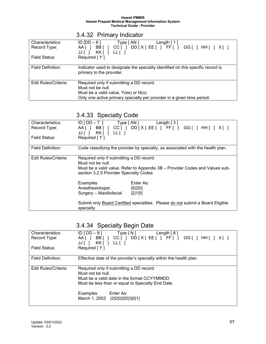# 3.4.32 Primary Indicator

| Characteristics:     | ID IDD $-61$<br>Type [ AN ]<br>Length $\lceil 1 \rceil$                                                     |
|----------------------|-------------------------------------------------------------------------------------------------------------|
| Record Type:         | BB[ ] CC[ ] DD[X] EE[ ] FF[ ] GG[ ] HH[ ] II[ ]<br>$AA$ $\vert$ $\vert$<br>KK[ ] LL[ ]<br>JJ[ 1             |
| Field Status:        | Required [Y]                                                                                                |
| Field Definition:    | Indicator used to designate the specialty identified on this specific record is<br>primary to the provider. |
| Edit Rules/Criteria: | Required only if submitting a DD record.                                                                    |
|                      | Must not be null.                                                                                           |
|                      | Must be a valid value, $Y(es)$ or $N(o)$ .                                                                  |
|                      | Only one active primary specialty per provider in a given time period.                                      |

### 3.4.33 Specialty Code

| Characteristics:     | $ID [DD-7]$ Type $[AN]$ Length $[3]$                                                                                   |
|----------------------|------------------------------------------------------------------------------------------------------------------------|
| Record Type:         | AA[ ] BB[ ] CC[ ] DD[X] EE[ ] FF[ ] GG[ ] HH[ ] II[ ]                                                                  |
|                      | $JJ$ [ ] $KK$ [ ] LL [ ]                                                                                               |
| Field Status:        | Required [Y]                                                                                                           |
|                      |                                                                                                                        |
| Field Definition:    | Code classifying the provider by specialty, as associated with the health plan                                         |
|                      |                                                                                                                        |
| Edit Rules/Criteria: | Required only if submitting a DD record.                                                                               |
|                      | Must not be null.                                                                                                      |
|                      | Must be a valid value. Refer to Appendix 3B - Provider Codes and Values sub-<br>section 3.2.5 Provider Specialty Codes |
|                      | Examples:<br>Enter As:                                                                                                 |
|                      | Anesthesiologist<br> 0 2 0                                                                                             |
|                      | Surgery - Maxillofacial<br> 2 1 5                                                                                      |
|                      |                                                                                                                        |
|                      | Submit only Board Certified specialties. Please do not submit a Board Eligible                                         |
|                      | specialty.                                                                                                             |
|                      |                                                                                                                        |

# 3.4.34 Specialty Begin Date

| Characteristics:     | $ID [DD-8]$<br>Type [ N ]<br>Length $[8]$                          |  |  |
|----------------------|--------------------------------------------------------------------|--|--|
| Record Type:         | BB[] CC[] DD[X] EE[] FF[] GG[] HH[] II[]<br>AA [ ]                 |  |  |
|                      | KK[] LL[]<br>JJ[]                                                  |  |  |
| Field Status:        | Required [Y]                                                       |  |  |
|                      |                                                                    |  |  |
| Field Definition:    | Effective date of the provider's specialty within the health plan. |  |  |
|                      |                                                                    |  |  |
| Edit Rules/Criteria: | Required only if submitting a DD record.                           |  |  |
|                      | Must not be null.                                                  |  |  |
|                      | Must be a valid date in the format CCYYMMDD.                       |  |  |
|                      | Must be less than or equal to Specialty End Date.                  |  |  |
|                      |                                                                    |  |  |
|                      | Enter As:<br>Examples:                                             |  |  |
|                      | March 1, 2002   2  0  0  2  0  3  0  1                             |  |  |
|                      |                                                                    |  |  |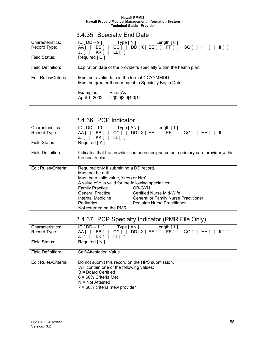# 3.4.35 Specialty End Date

| Characteristics:     | $ID$ [ $DD - 9$ ]<br>Type [ N ]<br>Length $[8]$                     |
|----------------------|---------------------------------------------------------------------|
| Record Type:         | $CC[ ] DD[X] EE[ ] FF[ ] GG[ ] HH[ ]    ]$<br>BB [ ]<br>AA [ 1      |
|                      | KK [ ] LL [ ]<br>$JJ$                                               |
| Field Status:        | Required [C]                                                        |
|                      |                                                                     |
| Field Definition:    | Expiration date of the provider's specialty within the health plan. |
|                      |                                                                     |
| Edit Rules/Criteria: | Must be a valid date in the format CCYYMMDD.                        |
|                      |                                                                     |
|                      | Must be greater than or equal to Specialty Begin Date.              |
|                      |                                                                     |
|                      | Enter As:                                                           |
|                      | Examples:                                                           |
|                      | April 1, 2002<br> 2 0 0 2 0 4 0 1                                   |

### 3.4.36 PCP Indicator

| Characteristics:     | $ID$ [ DD $-$ 10 ]                                   | Type [AN] Length [1]                                                              |  |
|----------------------|------------------------------------------------------|-----------------------------------------------------------------------------------|--|
| Record Type:         |                                                      | AA[] BB[] CC[] DD[X] EE[] FF[] GG[] HH[]                                          |  |
|                      | JJ[ ] KK[ ] LL[ ]                                    |                                                                                   |  |
| Field Status:        | Required [Y]                                         |                                                                                   |  |
|                      |                                                      |                                                                                   |  |
|                      |                                                      |                                                                                   |  |
| Field Definition:    |                                                      | Indicates that the provider has been designated as a primary care provider within |  |
|                      | the health plan.                                     |                                                                                   |  |
|                      |                                                      |                                                                                   |  |
| Edit Rules/Criteria: | Required only if submitting a DD record.             |                                                                                   |  |
|                      | Must not be null.                                    |                                                                                   |  |
|                      | Must be a valid value, $Y(es)$ or $N(o)$ .           |                                                                                   |  |
|                      | A value of Y is valid for the following specialties: |                                                                                   |  |
|                      | <b>Family Practice</b>                               | OB-GYN                                                                            |  |
|                      | <b>General Practice</b>                              | <b>Certified Nurse Mid-Wife</b>                                                   |  |
|                      | Internal Medicine                                    | <b>General or Family Nurse Practitioner</b>                                       |  |
|                      | <b>Pediatrics</b>                                    | <b>Pediatric Nurse Practitioner</b>                                               |  |
|                      | Not returned on the PMR.                             |                                                                                   |  |

# 3.4.37 PCP Specialty Indicator (PMR File Only)

| Characteristics:<br>Record Type: | ID [ $DD - 11$ ]<br>Type [ AN ]<br>Length $[1]$<br>$CC[ ] DD[X] EE[ ] FF[ ] GG[ ] HH[ ]    ]$<br>BB[]<br>AA [ ]<br>KK [ ]<br>$LL$ $[$ ]<br>JJ[]                                                              |
|----------------------------------|--------------------------------------------------------------------------------------------------------------------------------------------------------------------------------------------------------------|
| Field Status:                    | Required [N]                                                                                                                                                                                                 |
| <b>Field Definition:</b>         | Self-Attestation Value.                                                                                                                                                                                      |
| Edit Rules/Criteria:             | Do not submit this record on the HPS submission.<br>Will contain one of the following values:<br>$B =$ Board Certified<br>$6 = 60\%$ Criteria Met<br>$N = Not$ Attested<br>$7 = 60\%$ criteria, new provider |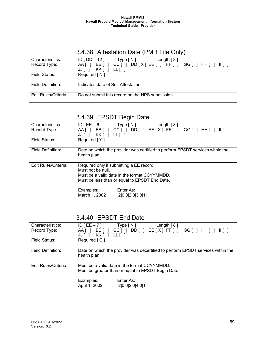# 3.4.38 Attestation Date (PMR File Only)

| Characteristics:<br>Record Type: | $ID$ [ $DD - 12$ ]<br>Length $[8]$<br>Type[N]<br>BB <sub>I</sub><br>$DD[X] E E$ $[$ $] F F$ $[$ $] G G$ $[$ $] H H$ $[$ $] H$<br>CCII<br>AA [ 1 |
|----------------------------------|-------------------------------------------------------------------------------------------------------------------------------------------------|
|                                  | KK [ ]<br>LL [ ]<br>JJ [ ]                                                                                                                      |
| Field Status:                    | Required [N]                                                                                                                                    |
| Field Definition:                | Indicates date of Self Attestation.                                                                                                             |
| <b>Edit Rules/Criteria:</b>      | Do not submit this record on the HPS submission.                                                                                                |

## 3.4.39 EPSDT Begin Date

| Characteristics:     | $ID[EE-6]$<br>Length $[8]$<br>Type [ N ]                                      |  |
|----------------------|-------------------------------------------------------------------------------|--|
| Record Type:         | AA[ ] BB[ ] CC[ ] DD[ ] EE[X] FF[ ] GG[ ] HH[ ] II[ ]                         |  |
|                      | $JJ$ $\vert$ $\vert$                                                          |  |
|                      |                                                                               |  |
| Field Status:        | Required [Y]                                                                  |  |
|                      |                                                                               |  |
| Field Definition:    | Date on which the provider was certified to perform EPSDT services within the |  |
|                      | health plan.                                                                  |  |
|                      |                                                                               |  |
|                      |                                                                               |  |
| Edit Rules/Criteria: | Required only if submitting a EE record.                                      |  |
|                      | Must not be null.                                                             |  |
|                      |                                                                               |  |
|                      |                                                                               |  |
|                      | Must be a valid date in the format CCYYMMDD.                                  |  |
|                      |                                                                               |  |
|                      | Must be less than or equal to EPSDT End Date.                                 |  |
|                      |                                                                               |  |
|                      | Enter As:<br>Examples:                                                        |  |
|                      | March 1, 2002<br> 2 0 0 2 0 3 0 1                                             |  |

### 3.4.40 EPSDT End Date

| Characteristics:     | $ID$ [EE $-7$ ]                                    | Type[N]         | Length $[8]$ |                                                                                 |
|----------------------|----------------------------------------------------|-----------------|--------------|---------------------------------------------------------------------------------|
| Record Type:         | BB [ ]<br>AA [ 1                                   | CCII            |              | DD[ ] EE[X] FF[ ] GG[ ] HH[]    ]                                               |
|                      | KK [ ]<br>JJ[]                                     | $LL[$ ]         |              |                                                                                 |
| Field Status:        | Required $\lceil C \rceil$                         |                 |              |                                                                                 |
|                      |                                                    |                 |              |                                                                                 |
| Field Definition:    |                                                    |                 |              | Date on which the provider was decertified to perform EPSDT services within the |
|                      | health plan.                                       |                 |              |                                                                                 |
|                      |                                                    |                 |              |                                                                                 |
|                      |                                                    |                 |              |                                                                                 |
| Edit Rules/Criteria: | Must be a valid date in the format CCYYMMDD.       |                 |              |                                                                                 |
|                      | Must be greater than or equal to EPSDT Begin Date. |                 |              |                                                                                 |
|                      |                                                    |                 |              |                                                                                 |
|                      | Examples:                                          | Enter As:       |              |                                                                                 |
|                      | April 1, 2002                                      | 2 0 0 2 0 4 0 1 |              |                                                                                 |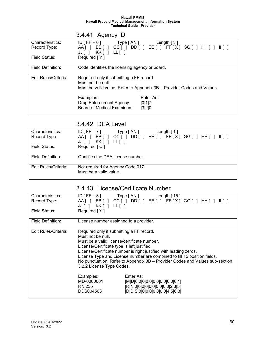# 3.4.41 Agency ID

| Characteristics:     | $ID$ [ FF $-6$ ]<br>Type [ AN ]                                        | Length $\lceil 3 \rceil$                              |
|----------------------|------------------------------------------------------------------------|-------------------------------------------------------|
| Record Type:         |                                                                        | AA[ ] BB[ ] CC[ ] DD[ ] EE[ ] FF[X] GG[ ] HH[ ] II[ ] |
|                      | $KK$   LL    <br>JJ [ ]                                                |                                                       |
| Field Status:        | Required [Y]                                                           |                                                       |
|                      |                                                                        |                                                       |
|                      |                                                                        |                                                       |
| Field Definition:    | Code identifies the licensing agency or board.                         |                                                       |
|                      |                                                                        |                                                       |
| Edit Rules/Criteria: | Required only if submitting a FF record.                               |                                                       |
|                      | Must not be null.                                                      |                                                       |
|                      | Must be valid value. Refer to Appendix 3B - Provider Codes and Values. |                                                       |
|                      |                                                                        |                                                       |
|                      |                                                                        | Enter As:                                             |
|                      | Examples:                                                              |                                                       |
|                      | <b>Drug Enforcement Agency</b>                                         | 0 1 7                                                 |
|                      | Board of Medical Examiners                                             | 3 2 0                                                 |
|                      |                                                                        |                                                       |

### 3.4.42 DEA Level

| Characteristics:     | $ID$ [FF $-7$ ]<br>Type [AN]<br>Length $\lceil 1 \rceil$                                                     |
|----------------------|--------------------------------------------------------------------------------------------------------------|
| Record Type:         | BB [ ]<br>$DD$ $[$ $]$ $EE$ $[$ $]$ $FF$ $[X$ $]$ $GG$ $[$ $]$ $HH$ $[$ $]$ $  $ $[$ $]$<br>CC [ 1<br>AA [ ] |
|                      | KKIILLII<br>JJI I                                                                                            |
| Field Status:        | Required [C]                                                                                                 |
|                      |                                                                                                              |
| Field Definition:    | Qualifies the DEA license number.                                                                            |
|                      |                                                                                                              |
| Edit Rules/Criteria: | Not required for Agency Code 017.                                                                            |
|                      | Must be a valid value.                                                                                       |
|                      |                                                                                                              |

# 3.4.43 License/Certificate Number

| Characteristics:<br>Record Type: | $ID [FF-8]$ Type $[AN]$<br>JJ[ ] KK[ ] LL[ ]                                                                                                                                             | Length $[15]$<br>AA[ ] BB[ ] CC[ ] DD[ ] EE[ ] FF[X] GG[ ] HH[ ]<br>$III$ ]                                                                                                                                                   |
|----------------------------------|------------------------------------------------------------------------------------------------------------------------------------------------------------------------------------------|-------------------------------------------------------------------------------------------------------------------------------------------------------------------------------------------------------------------------------|
| Field Status:                    | Required [Y]                                                                                                                                                                             |                                                                                                                                                                                                                               |
| Field Definition:                | License number assigned to a provider.                                                                                                                                                   |                                                                                                                                                                                                                               |
| Edit Rules/Criteria:             | Required only if submitting a FF record.<br>Must not be null.<br>Must be a valid license/certificate number.<br>License/Certificate type is left justified.<br>3.2.2 License Type Codes. | License/Certificate number is right justified with leading zeros.<br>License Type and License number are combined to fill 15 position fields.<br>No punctuation. Refer to Appendix 3B - Provider Codes and Values sub-section |
|                                  | Examples:<br>MD-0000001<br>RN 235<br>DDS004563                                                                                                                                           | Enter As:<br> M D 0 0 0 0 0 0 0 0 0 0 0 1 <br> R N 0 0 0 0 0 0 0 0 0 0 2 3 5 <br> D D S 0 0 0 0 0 0 0 0 4 5 6 3                                                                                                               |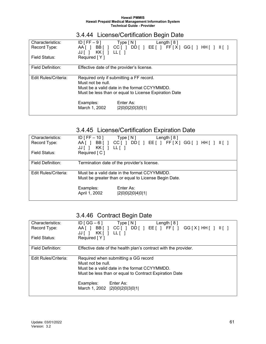# 3.4.44 License/Certification Begin Date

| Characteristics:         | $ID$ [FF $-9$ ]<br>Type [N]<br>Length $[8]$                                                           |  |
|--------------------------|-------------------------------------------------------------------------------------------------------|--|
| Record Type:             | BB[] CC[] DD[] EE[] FF[X] GG[] HH[] II[]<br>AA [ 1<br>KK[ ] LL[ ]<br>JJT 1                            |  |
| Field Status:            | Required [Y]                                                                                          |  |
| <b>Field Definition:</b> | Effective date of the provider's license.                                                             |  |
| Edit Rules/Criteria:     | Required only if submitting a FF record.<br>Must not be null.                                         |  |
|                          | Must be a valid date in the format CCYYMMDD.<br>Must be less than or equal to License Expiration Date |  |
|                          | Enter As:<br>Examples:<br>March 1, 2002<br> 2 0 0 2 0 3 0 1                                           |  |

# 3.4.45 License/Certification Expiration Date

| Characteristics:<br>Record Type: | $ID$ [ FF $-$ 10 ]<br>Type [ N ]<br>Length $[8]$<br>$CC[$ $]$ $DD[$ $]$ $EE[$ $]$ $FF[X]$ $GG[$ $]$ $HH[$ $]$ $H[$ $]$<br>BB [ ]<br>AA [ ]<br>KK [ ]<br>$LL$ $\lbrack$<br>JJ [ |  |
|----------------------------------|--------------------------------------------------------------------------------------------------------------------------------------------------------------------------------|--|
| Field Status:                    | Required [ C ]                                                                                                                                                                 |  |
| Field Definition:                | Termination date of the provider's license.                                                                                                                                    |  |
| Edit Rules/Criteria:             | Must be a valid date in the format CCYYMMDD.<br>Must be greater than or equal to License Begin Date.                                                                           |  |
|                                  | Enter As:<br>Examples:<br>April 1, 2002<br> 2 0 0 2 0 4 0 1                                                                                                                    |  |

### 3.4.46 Contract Begin Date

| Characteristics:     | ID [ $GG-6$ ]<br>Type [ N ]<br>Length $[8]$                     |
|----------------------|-----------------------------------------------------------------|
| Record Type:         | AA[ ] BB[ ] CC[ ] DD[ ] EE[ ] FF[ ] GG[X] HH[ ] II[ ]           |
|                      | JJ[]                                                            |
| Field Status:        | Required [Y]                                                    |
|                      |                                                                 |
| Field Definition:    | Effective date of the health plan's contract with the provider. |
|                      |                                                                 |
| Edit Rules/Criteria: | Required when submitting a GG record                            |
|                      | Must not be null.                                               |
|                      | Must be a valid date in the format CCYYMMDD.                    |
|                      | Must be less than or equal to Contract Expiration Date          |
|                      |                                                                 |
|                      | Enter As:                                                       |
|                      | Examples:                                                       |
|                      | March 1, 2002   2  0  0  2  0  3  0  1                          |
|                      |                                                                 |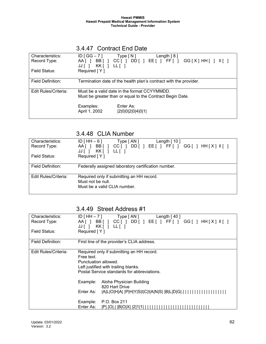### 3.4.47 Contract End Date

| Characteristics:<br>Record Type: | $ID [GG - 7]$<br>BB [ ]<br>AAI 1<br>KK [ ]<br>JJ [                                                        | Type [ N ]<br>CCII<br>$LL$ $ $ | Length $[8]$<br>DD[] EE[] FF[] | $GG[X]HH$   $\parallel$ |
|----------------------------------|-----------------------------------------------------------------------------------------------------------|--------------------------------|--------------------------------|-------------------------|
| Field Status:                    | Required [Y]                                                                                              |                                |                                |                         |
| Field Definition:                | Termination date of the health plan's contract with the provider.                                         |                                |                                |                         |
| Edit Rules/Criteria:             | Must be a valid date in the format CCYYMMDD.<br>Must be greater than or equal to the Contract Begin Date. |                                |                                |                         |
|                                  | Examples:<br>April 1, 2002                                                                                | Enter As:<br> 2 0 0 2 0 4 0 1  |                                |                         |

### 3.4.48 CLIA Number

| Characteristics:     | $ID$ [ HH $-6$ ]<br>Type [ AN ]<br>Length $[10]$                                                               |
|----------------------|----------------------------------------------------------------------------------------------------------------|
| Record Type:         | $CC$ [   DD [   EE [   FF [   GG [   HH $[X]$    [ ]<br>BB [ ]<br>$AA$ $\vert$ $\vert$<br>KK[ ] LL[ ]<br>JJI I |
| Field Status:        | Required [Y]                                                                                                   |
| Field Definition:    | Federally assigned laboratory certification number.                                                            |
| Edit Rules/Criteria: | Required only if submitting an HH record.<br>Must not be null.<br>Must be a valid CLIA number.                 |

## 3.4.49 Street Address #1

| Characteristics:         | $ID [HH - 7]$<br>Type [ AN ]<br>Length $[40]$             |  |  |
|--------------------------|-----------------------------------------------------------|--|--|
| Record Type:             | AA[ ] BB[ ] CC[ ] DD[ ] EE[ ] FF[ ] GG[ ] HH[X] II[ ]     |  |  |
|                          | $JJ$ $\begin{bmatrix} 1 \end{bmatrix}$<br>KK[ ] LL[ ]     |  |  |
| Field Status:            | Required [Y]                                              |  |  |
|                          |                                                           |  |  |
| <b>Field Definition:</b> | First line of the provider's CLIA address.                |  |  |
|                          |                                                           |  |  |
| Edit Rules/Criteria:     | Required only if submitting an HH record.                 |  |  |
|                          | Free text.                                                |  |  |
|                          | Punctuation allowed.                                      |  |  |
|                          | Left justified with trailing blanks.                      |  |  |
|                          | Postal Service standards for abbreviations.               |  |  |
|                          |                                                           |  |  |
|                          | Aloha Physician Building<br>Example:                      |  |  |
|                          | 820 Hart Drive                                            |  |  |
|                          | Enter As:<br> A L O H A   P H Y S I C I A N S   B L D G . |  |  |
|                          |                                                           |  |  |
|                          | P.O. Box 211<br>Example:                                  |  |  |
|                          | Enter As:<br> P . O .   B O X                             |  |  |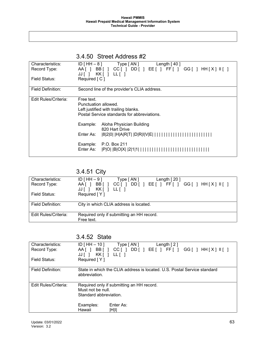|                          |                            | 3.4.50 Street Address #2                                                            |
|--------------------------|----------------------------|-------------------------------------------------------------------------------------|
| Characteristics:         | $ID$ [ HH $-8$ ]           | Type [ AN ]<br>Length $[40]$                                                        |
| Record Type:             | AA [ ]                     | BB[] CC[] DD[] EE[] FF[] GG[] HH[X] II[]                                            |
|                          |                            | JJ[] KK[] LL[]                                                                      |
| Field Status:            | Required $\lceil C \rceil$ |                                                                                     |
| <b>Field Definition:</b> |                            | Second line of the provider's CLIA address.                                         |
|                          |                            |                                                                                     |
| Edit Rules/Criteria:     | Free text.                 |                                                                                     |
|                          | Punctuation allowed.       |                                                                                     |
|                          |                            | Left justified with trailing blanks.<br>Postal Service standards for abbreviations. |
|                          |                            |                                                                                     |
|                          | Example:                   | Aloha Physician Building                                                            |
|                          |                            | 820 Hart Drive                                                                      |
|                          | Enter As:                  | 8 2 0   H A R T   D R I V E                                                         |
|                          | Example:                   | P.O. Box 211                                                                        |
|                          | Enter As:                  | $ P $ O $ B $ O $ X $ $ 2 1 1 $ $ 1 $ $ 1 $                                         |
|                          |                            |                                                                                     |

## 3.4.51 City

| Characteristics:     | $ID$ [HH $-9$ ]<br>Type $\lceil AN \rceil$<br>Length $[20]$                          |
|----------------------|--------------------------------------------------------------------------------------|
| Record Type:         | $DD$ [ ] EE [ ] FF [ ] GG [ ] HH $[X]$ II [ ]<br>BB <sub>I</sub><br>CC [ ]<br>AA [ ] |
|                      | JJII                                                                                 |
| Field Status:        | Required [Y]                                                                         |
|                      |                                                                                      |
| Field Definition:    | City in which CLIA address is located.                                               |
|                      |                                                                                      |
| Edit Rules/Criteria: | Required only if submitting an HH record.                                            |
|                      | Free text.                                                                           |

### 3.4.52 State

| Characteristics:         | ID $[HH - 10]$<br>Type [ AN ]<br>Length $[2]$                            |
|--------------------------|--------------------------------------------------------------------------|
| Record Type:             | BB[] CC[] DD[] EE[] FF[] GG[] HH[X] II[]<br>AA [ 1                       |
|                          |                                                                          |
|                          | $KK$   LL    <br>JJ [ ]                                                  |
| Field Status:            | Required [Y]                                                             |
|                          |                                                                          |
| <b>Field Definition:</b> | State in which the CLIA address is located. U.S. Postal Service standard |
|                          | abbreviation.                                                            |
|                          |                                                                          |
|                          |                                                                          |
| Edit Rules/Criteria:     | Required only if submitting an HH record.                                |
|                          | Must not be null.                                                        |
|                          | Standard abbreviation.                                                   |
|                          |                                                                          |
|                          |                                                                          |
|                          | Examples:<br>Enter As:                                                   |
|                          | Hawaii<br>$\mathsf{H}\mathsf{H}\mathsf{H}$                               |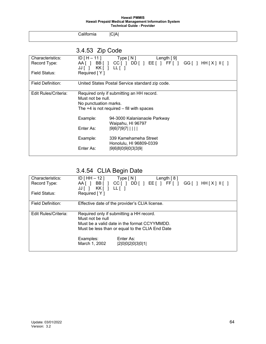California |C|A|

# 3.4.53 Zip Code

| Characteristics:         | $ID[H-11]$              | Type [ N ]<br>Length $[9]$                            |
|--------------------------|-------------------------|-------------------------------------------------------|
| Record Type:             |                         | AA[ ] BB[ ] CC[ ] DD[ ] EE[ ] FF[ ] GG[ ] HH[X] II[ ] |
|                          | $JJ$ [ ] $KK$ [ ] LL[ ] |                                                       |
| Field Status:            | Required [Y]            |                                                       |
| <b>Field Definition:</b> |                         | United States Postal Service standard zip code.       |
| Edit Rules/Criteria:     |                         | Required only if submitting an HH record.             |
|                          | Must not be null.       |                                                       |
|                          | No punctuation marks.   |                                                       |
|                          |                         | The $+4$ is not required $-$ fill with spaces         |
|                          | Example:                | 94-3000 Kalanianaole Parkway                          |
|                          |                         | Waipahu, HI 96797                                     |
|                          | Enter As:               | $ 9 6 7 9 7 $                                         |
|                          | Example:                | 339 Kamehameha Street                                 |
|                          |                         | Honolulu, HI 96809-0339                               |
|                          | Enter As:               | 9 6 8 0 9 0 3 3 9                                     |
|                          |                         |                                                       |

3.4.54 CLIA Begin Date

| Characteristics:                             | $ID$ [ HH $-$ 12 ]<br>Type [ N ]<br>Length $[8]$                                             |
|----------------------------------------------|----------------------------------------------------------------------------------------------|
| Record Type:                                 | $CC[ ] DD[ ] EE[ ] FF[ ] GG[ ] HH[X]    ] ]$<br>BB[]<br>AA [ ]<br>KK [ ]<br>JJ [ ]<br>LL [ 1 |
| Field Status:                                | Required [Y]                                                                                 |
|                                              |                                                                                              |
| Field Definition:                            | Effective date of the provider's CLIA license.                                               |
|                                              |                                                                                              |
| Edit Rules/Criteria:                         | Required only if submitting a HH record.                                                     |
|                                              | Must not be null                                                                             |
| Must be a valid date in the format CCYYMMDD. |                                                                                              |
|                                              | Must be less than or equal to the CLIA End Date                                              |
|                                              | Enter As:<br>Examples:                                                                       |
|                                              | March 1, 2002<br> 2 0 0 2 0 3 0 1                                                            |
|                                              |                                                                                              |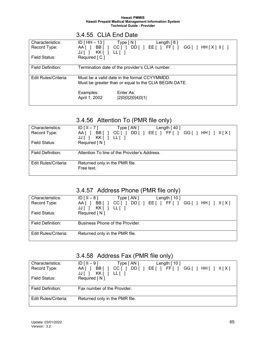### 3.4.55 CLIA End Date Characteristics: ID [ HH – 13 ] Type [ N ] Length [ 8 ] Record Type: AA[] BB[] CC[] DD[] EE[] FF[] GG[] HH[X] II[] JJ [ ] KK [ ] LL [ ] Field Status: Required [ C ] Field Definition: Termination date of the provider's CLIA number. Edit Rules/Criteria: Must be a valid date in the format CCYYMMDD. Must be greater than or equal to the CLIA BEGIN DATE. Examples: Enter As:<br>
April 1, 2002 | 2002 |2|0|0|2|0|4|0|1|

### 3.4.56 Attention To (PMR file only)

| Characteristics:     | $ID [II - 7]$<br>Type [ AN ]<br>Length $[40]$                                                                 |
|----------------------|---------------------------------------------------------------------------------------------------------------|
| Record Type:         | DD[ ] EE[ ] FF[ ] GG[ ] HH[ ]   [X] ]<br>BB [ ]<br>CCII<br>$AA$ $\vert$ $\vert$<br>KK [ ]<br>LL [ ]<br>JJ [ ] |
| Field Status:        | Required [N]                                                                                                  |
| Field Definition:    | Attention To line of the Provider's Address.                                                                  |
| Edit Rules/Criteria: | Returned only in the PMR file.<br>Free text.                                                                  |

### 3.4.57 Address Phone (PMR file only)

| Characteristics:     | $ID$ [ $II - 8$ ]<br>Type [ AN ]<br>Length $[10]$  |
|----------------------|----------------------------------------------------|
| Record Type:         | BB[] CC[] DD[] EE[] FF[] GG[] HH[] II[X]<br>AA [ ] |
|                      | KK [ ] LL [ ]<br>JJ[]                              |
| Field Status:        | Required [N]                                       |
|                      |                                                    |
| Field Definition:    | Business Phone of the Provider.                    |
|                      |                                                    |
| Edit Rules/Criteria: | Returned only in the PMR file.                     |
|                      |                                                    |

### 3.4.58 Address Fax (PMR file only)

| Characteristics:     | $ID$ $\lceil$ $\lceil$ $\lceil$ $-$ 9 $\rceil$<br>Type [AN]<br>Length $[10]$ |
|----------------------|------------------------------------------------------------------------------|
| Record Type:         | DD[ ] EE[ ] FF[ ] GG[ ] HH[ ] II[X]<br>BBI 1<br>AA [ ]<br>CCII               |
|                      | KK [ ]<br>LL [ ]<br>JJ[]                                                     |
| Field Status:        | Required [N]                                                                 |
|                      |                                                                              |
| Field Definition:    | Fax number of the Provider.                                                  |
|                      |                                                                              |
| Edit Rules/Criteria: | Returned only in the PMR file.                                               |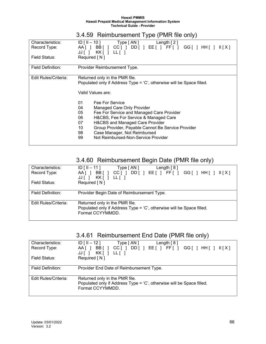3.4.59 Reimbursement Type (PMR file only)

| Characteristics:<br>Record Type: | $ID [II - 10]$<br>Type [ AN ]<br>Length $[2]$<br>AA[ ] BB[ ] CC[ ] DD[ ] EE[ ] FF[ ]<br>$GG[$ $]$ HH $[$ $]$<br>II[X]<br>KK[ ] LL[ ]<br>JJ[]                                                                                                                                                                                                                                                                                                                                        |
|----------------------------------|-------------------------------------------------------------------------------------------------------------------------------------------------------------------------------------------------------------------------------------------------------------------------------------------------------------------------------------------------------------------------------------------------------------------------------------------------------------------------------------|
| Field Status:                    | Required [N]                                                                                                                                                                                                                                                                                                                                                                                                                                                                        |
| Field Definition:                | Provider Reimbursement Type.                                                                                                                                                                                                                                                                                                                                                                                                                                                        |
| Edit Rules/Criteria:             | Returned only in the PMR file.<br>Populated only if Address Type = 'C', otherwise will be Space filled.<br>Valid Values are:<br>01<br>Fee For Service<br>04<br>Managed Care Only Provider<br>05<br>Fee For Service and Managed Care Provider<br>H&CBS, Fee For Service & Managed Care<br>06<br>H&CBS and Managed Care Provider<br>07<br>Group Provider, Payable Cannot Be Service Provider<br>10<br>Case Manager, Not Reimbursed<br>98<br>Not Reimbursed-Non-Service Provider<br>99 |

# 3.4.60 Reimbursement Begin Date (PMR file only)

| Characteristics:     | $ID [II - 11]$<br>Type $\lceil AN \rceil$<br>Length $[8]$               |
|----------------------|-------------------------------------------------------------------------|
| Record Type:         | $CC$ [ ] DD [ ] EE [ ] FF [ ] GG [ ] HH [ ] $\  [X]$<br>BB [ ]<br>AA II |
|                      | KK [ ]<br>$LL$ $ $<br>JJI I                                             |
| Field Status:        | Required [N]                                                            |
|                      |                                                                         |
| Field Definition:    | Provider Begin Date of Reimbursement Type.                              |
|                      |                                                                         |
| Edit Rules/Criteria: | Returned only in the PMR file.                                          |
|                      | Populated only if Address Type = 'C', otherwise will be Space filled.   |
|                      | Format CCYYMMDD.                                                        |
|                      |                                                                         |

|  | 3.4.61 Reimbursement End Date (PMR file only) |  |
|--|-----------------------------------------------|--|
|--|-----------------------------------------------|--|

| Characteristics:     | $ID$ [ $II - 12$ ]<br>Type [ AN ]<br>Length $[8]$                            |
|----------------------|------------------------------------------------------------------------------|
| Record Type:         | $DD$ [ ] EE [ ] FF [ ] GG [ ] HH [ ] $II[X]$<br>BB [ ]<br>$CC$ [ ]<br>AA [ 1 |
|                      | KK[ ] LL[ ]<br>$JJ$ $\vert$ $\vert$                                          |
| Field Status:        | Required [N]                                                                 |
|                      |                                                                              |
| Field Definition:    | Provider End Date of Reimbursement Type.                                     |
|                      |                                                                              |
| Edit Rules/Criteria: | Returned only in the PMR file.                                               |
|                      | Populated only if Address Type = 'C', otherwise will be Space filled.        |
|                      | Format CCYYMMDD.                                                             |
|                      |                                                                              |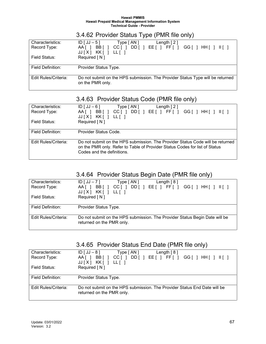### 3.4.62 Provider Status Type (PMR file only)

| Characteristics:     | $ID[JJ-5]$<br>Type [ AN ]<br>Length $\lceil 2 \rceil$                                                                                                                                                         |
|----------------------|---------------------------------------------------------------------------------------------------------------------------------------------------------------------------------------------------------------|
| Record Type:         | DD[   E E[     F F[   ]<br>BB <sub>I</sub><br>CCI <sub>1</sub><br>AAI 1<br>$GG$ $\upharpoonright$ $\upharpoonright$ $\upharpoonright$ $\upharpoonright$ $\upharpoonright$ $\upharpoonright$ $\upharpoonright$ |
|                      | $JJ[X]$ KK[] LL[]                                                                                                                                                                                             |
| Field Status:        | Required [N]                                                                                                                                                                                                  |
|                      |                                                                                                                                                                                                               |
| Field Definition:    | Provider Status Type.                                                                                                                                                                                         |
|                      |                                                                                                                                                                                                               |
| Edit Rules/Criteria: | Do not submit on the HPS submission. The Provider Status Type will be returned                                                                                                                                |
|                      | on the PMR only.                                                                                                                                                                                              |
|                      |                                                                                                                                                                                                               |

# 3.4.63 Provider Status Code (PMR file only)

| Characteristics:<br>Record Type: | $ID[JJ-6]$<br>Type [AN ]<br>Length $[2]$<br>$DD[$ $E[$ $F[$ $G[$ $HH[$ $H[$ $H[$ $H[$<br>BB [ ]<br>$CC$ [ $\vert$<br>AA [ 1<br>KK [ ]<br>JJ[X]<br>LL [ ]                                    |
|----------------------------------|---------------------------------------------------------------------------------------------------------------------------------------------------------------------------------------------|
| Field Status:                    | Required [N]                                                                                                                                                                                |
| Field Definition:                | Provider Status Code.                                                                                                                                                                       |
| Edit Rules/Criteria:             | Do not submit on the HPS submission. The Provider Status Code will be returned<br>on the PMR only. Refer to Table of Provider Status Codes for list of Status<br>Codes and the definitions. |

### 3.4.64 Provider Status Begin Date (PMR file only)

| Characteristics:     | Type [ AN ]<br>Length $[8]$<br>$ID[JJ - 7]$                                 |
|----------------------|-----------------------------------------------------------------------------|
| Record Type:         | BB [ ]<br>$DD[$ $E[$ $F[$ $G[$ $HH[$ $H[$ $H[$ $H[$<br>$CC$ [ ]<br>AA [ 1   |
|                      | $JJ[X]$ KK[] LL[]                                                           |
| Field Status:        | Required [N]                                                                |
|                      |                                                                             |
| Field Definition:    | Provider Status Type.                                                       |
|                      |                                                                             |
| Edit Rules/Criteria: | Do not submit on the HPS submission. The Provider Status Begin Date will be |
|                      | returned on the PMR only.                                                   |
|                      |                                                                             |

# 3.4.65 Provider Status End Date (PMR file only)

| Characteristics:     | $ID[JJ-8]$<br>Type [AN ]<br>Length $[8]$                                                               |
|----------------------|--------------------------------------------------------------------------------------------------------|
| Record Type:         | DD[ ] EE[ ] FF[ ] GG[ ] HH[ ] II[ ]<br>BB[]<br>$CC$ [ $\vert$<br>AA II                                 |
| Field Status:        | KK[ ] LL[ ]<br>JJ[X]<br>Required [N]                                                                   |
| Field Definition:    | Provider Status Type.                                                                                  |
|                      |                                                                                                        |
| Edit Rules/Criteria: | Do not submit on the HPS submission. The Provider Status End Date will be<br>returned on the PMR only. |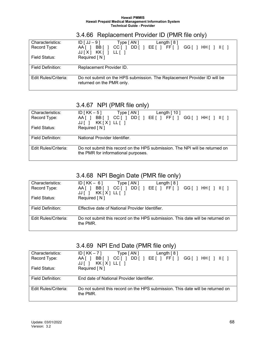# 3.4.66 Replacement Provider ID (PMR file only)

| Characteristics:     | $ID[JJ-9]$<br>Type [ AN ]<br>Length $[8]$                                                                                                                                                                                                               |
|----------------------|---------------------------------------------------------------------------------------------------------------------------------------------------------------------------------------------------------------------------------------------------------|
| Record Type:         | $DD[$ $E[$ $F[$ $F[$ $]$<br>BB <sub>I</sub><br>AA II<br>CCI <sub>1</sub><br>$GG$ $\upharpoonright$ $\upharpoonright$ $\upharpoonright$ $\upharpoonright$ $\upharpoonright$ $\upharpoonright$ $\upharpoonright$ $\upharpoonright$<br>$JJ[X]$ KK[ ] LL[ ] |
| Field Status:        | Required [N]                                                                                                                                                                                                                                            |
| Field Definition:    | Replacement Provider ID.                                                                                                                                                                                                                                |
| Edit Rules/Criteria: | Do not submit on the HPS submission. The Replacement Provider ID will be<br>returned on the PMR only.                                                                                                                                                   |

### 3.4.67 NPI (PMR file only)

| Characteristics:     | $ID$ [ KK $-5$ ]<br>Type [ AN ]<br>Length $[10]$                             |
|----------------------|------------------------------------------------------------------------------|
| Record Type:         | $CC$ [ ] DD[ ] EE[ ] FF[ ] GG[ ] HH[ ] $II$ [ ]<br>BB [ ]<br>AA [ ]          |
|                      | $JJ$ [] $KK[X] L L$ []                                                       |
| Field Status:        | Required [N]                                                                 |
|                      |                                                                              |
| Field Definition:    | National Provider Identifier.                                                |
|                      |                                                                              |
| Edit Rules/Criteria: | Do not submit this record on the HPS submission. The NPI will be returned on |
|                      | the PMR for informational purposes.                                          |
|                      |                                                                              |

### 3.4.68 NPI Begin Date (PMR file only)

| Characteristics:     | $ID [KK - 6]$ Type $[AN]$<br>Length $[8]$                                                  |
|----------------------|--------------------------------------------------------------------------------------------|
| Record Type:         | DD[ ] EE[ ] FF[ ] GG[ ] HH[ ] II[ ]<br>BB [ ]<br>CCI <sub>1</sub><br>AA [ ]                |
|                      | $JJ$ [] $KK[X] L[J]$                                                                       |
| Field Status:        | Required [N]                                                                               |
|                      |                                                                                            |
| Field Definition:    | Effective date of National Provider Identifier.                                            |
|                      |                                                                                            |
| Edit Rules/Criteria: | Do not submit this record on the HPS submission. This date will be returned on<br>the PMR. |

### 3.4.69 NPI End Date (PMR file only)

| Characteristics:     | $ID [KK-7]$ Type $[AN]$<br>Length $[8]$                                        |
|----------------------|--------------------------------------------------------------------------------|
| Record Type:         | DD[ ] EE[ ] FF[ ] GG[ ] HH[ ] II[ ]<br>CCII<br>BB [ ]<br>$AA$ $\vert$ $\vert$  |
|                      | KK[X] LL[ ]<br>JJII                                                            |
| Field Status:        | Required [N]                                                                   |
|                      |                                                                                |
| Field Definition:    | End date of National Provider Identifier.                                      |
|                      |                                                                                |
| Edit Rules/Criteria: | Do not submit this record on the HPS submission. This date will be returned on |
|                      | the PMR.                                                                       |
|                      |                                                                                |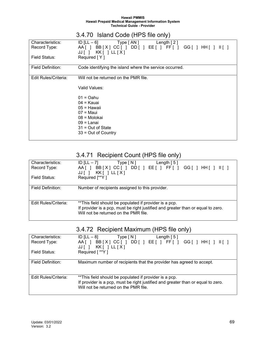3.4.70 Island Code (HPS file only)

| Characteristics:     | $ID [LL - 6]$ Type $[AN]$<br>Length $[2]$                      |
|----------------------|----------------------------------------------------------------|
| Record Type:         | AA[ ] BB[X] CC[ ] DD[ ] EE[ ] FF[ ] GG[ ] HH[ ]<br>$II \cup I$ |
|                      | $JJ$    <br>$KK$   LL $[X]$                                    |
| Field Status:        | Required [Y]                                                   |
|                      |                                                                |
|                      |                                                                |
| Field Definition:    | Code identifying the island where the service occurred.        |
|                      |                                                                |
| Edit Rules/Criteria: | Will not be returned on the PMR file.                          |
|                      |                                                                |
|                      | Valid Values:                                                  |
|                      |                                                                |
|                      | $01 =$ Oahu                                                    |
|                      | 04 = Kauai                                                     |
|                      | $05$ = Hawaii                                                  |
|                      | $07 =$ Maui                                                    |
|                      | 08 = Molokai                                                   |
|                      | $09 =$ Lanai                                                   |
|                      |                                                                |
|                      | $31 = Out of State$                                            |
|                      | $33 = Out of Country$                                          |
|                      |                                                                |

# 3.4.71 Recipient Count (HPS file only)

| Characteristics:     | ID $[LL - 7]$<br>Type [ N ]<br>Length $[5]$                                      |
|----------------------|----------------------------------------------------------------------------------|
| Record Type:         | AA[ ] BB[X] CC[ ] DD[ ] EE[ ] FF[ ] GG[ ] HH[ ] II[ ]                            |
|                      | KK[ ] LL [ X ]<br>JJ[]                                                           |
| Field Status:        | Required [**Y]                                                                   |
|                      |                                                                                  |
| Field Definition:    | Number of recipients assigned to this provider.                                  |
|                      |                                                                                  |
|                      |                                                                                  |
| Edit Rules/Criteria: | **This field should be populated if provider is a pcp.                           |
|                      | If provider is a pcp, must be right justified and greater than or equal to zero. |
|                      | Will not be returned on the PMR file.                                            |
|                      |                                                                                  |

|  | 3.4.72 Recipient Maximum (HPS file only) |  |
|--|------------------------------------------|--|
|--|------------------------------------------|--|

| Characteristics:     | ID $[LL - 8]$<br>Type [ N ]<br>Length $\lceil 5 \rceil$                                                        |
|----------------------|----------------------------------------------------------------------------------------------------------------|
| Record Type:         | $DD[$ $E[$ $F[$ $F[$ $]$<br>BB[X] CC[]<br>$AA$ $\vert$ $\vert$<br>$GG$ $\mid$ $HH$ $\mid$ $\mid$ $\mid$ $\mid$ |
|                      | KK[ ] LL[X]<br>JJ [                                                                                            |
| Field Status:        | Required [ ** Y ]                                                                                              |
|                      |                                                                                                                |
| Field Definition:    | Maximum number of recipients that the provider has agreed to accept.                                           |
|                      |                                                                                                                |
|                      |                                                                                                                |
| Edit Rules/Criteria: | ** This field should be populated if provider is a pcp.                                                        |
|                      | If provider is a pcp, must be right justified and greater than or equal to zero.                               |
|                      | Will not be returned on the PMR file.                                                                          |
|                      |                                                                                                                |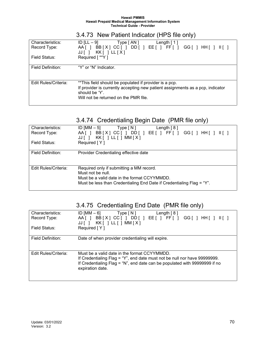| 3.4.73 New Patient Indicator (HPS file only) |  |
|----------------------------------------------|--|
|----------------------------------------------|--|

| Characteristics:     | ID [LL $-9$ ]<br>Type [ AN ]<br>Length $\lceil 1 \rceil$                       |
|----------------------|--------------------------------------------------------------------------------|
| Record Type:         | BB[X] CC[] DD[] EE[] FF[] GG[] HH[] II[]<br>AA [ ]                             |
|                      | KK[ ] LL [ X ]<br>$JJ$                                                         |
| Field Status:        | Required [ ** Y ]                                                              |
|                      |                                                                                |
| Field Definition:    | "Y" or "N" Indicator.                                                          |
|                      |                                                                                |
|                      |                                                                                |
| Edit Rules/Criteria: | **This field should be populated if provider is a pcp.                         |
|                      | If provider is currently accepting new patient assignments as a pcp, indicator |
|                      | should be 'Y'.                                                                 |
|                      | Will not be returned on the PMR file.                                          |
|                      |                                                                                |

### 3.4.74 Credentialing Begin Date (PMR file only)

| Characteristics:     | ID [MM $-5$ ]<br>Type[N]<br>Length $[8]$                                                                                                                                               |
|----------------------|----------------------------------------------------------------------------------------------------------------------------------------------------------------------------------------|
| Record Type:         | $DD[$ $E[$ $F[$ $F[$ $]$<br>$AA$    <br>BB[X] CC[]<br>$KK[$ ] $LL[$ ] MM $[X]$<br>JJ[]                                                                                                 |
| Field Status:        | Required [Y]                                                                                                                                                                           |
| Field Definition:    | Provider Credentialing effective date                                                                                                                                                  |
| Edit Rules/Criteria: | Required only if submitting a MM record.<br>Must not be null.<br>Must be a valid date in the format CCYYMMDD.<br>Must be less than Credentialing End Date if Credentialing Flag = "Y". |

# 3.4.75 Credentialing End Date (PMR file only)

| Characteristics:     | ID [MM – 6]<br>Type [ N ]<br>Length $[8]$                                                                                                                                                                                   |
|----------------------|-----------------------------------------------------------------------------------------------------------------------------------------------------------------------------------------------------------------------------|
| Record Type:         | BB[X] CC[] DD[] EE[] FF[]<br>AA I I<br>$GG$ $\mid$ $HH$ $\mid$ $\mid$ $\mid$ $\mid$<br>$KK$ [ ] LL [ ] MM $[X]$<br>JJII                                                                                                     |
| Field Status:        | Required $[Y]$                                                                                                                                                                                                              |
| Field Definition:    | Date of when provider credentialing will expire.                                                                                                                                                                            |
| Edit Rules/Criteria: | Must be a valid date in the format CCYYMMDD.<br>If Credentialing Flag = "Y", end date must not be null nor have 99999999.<br>If Credentialing Flag = "N", end date can be populated with 99999999 if no<br>expiration date. |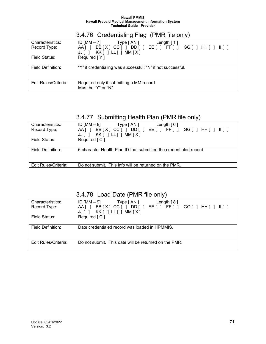|                                  | 3.4.76 Credentialing Flag (PMR file only)                                                                                                    |
|----------------------------------|----------------------------------------------------------------------------------------------------------------------------------------------|
| Characteristics:<br>Record Type: | ID $[MM - 7]$<br>Type [AN ]<br>Length $\lceil 1 \rceil$<br>BB[X] CC[] DD[] EE[] FF[] GG[] HH[] II[]<br>AA [ ]<br>KK[ ] LL[ ] MM [ X ]<br>JJ[ |
| Field Status:                    | Required [Y]                                                                                                                                 |
| Field Definition:                | "Y" if credentialing was successful; "N" if not successful.                                                                                  |
| Edit Rules/Criteria:             | Required only if submitting a MM record<br>Must be "Y" or "N".                                                                               |

# 3.4.77 Submitting Health Plan (PMR file only)

| Characteristics:     | ID [MM $-$ 8]<br>Type [ AN ]<br>Length $[6]$                      |
|----------------------|-------------------------------------------------------------------|
| Record Type:         | BB[X]CC[]DD[]EE[]FF[]GG[]HH[]II[]<br>AAI 1                        |
|                      | JJII                                                              |
| Field Status:        | Required [ C ]                                                    |
|                      |                                                                   |
| Field Definition:    | 6 character Health Plan ID that submitted the credentialed record |
|                      |                                                                   |
|                      |                                                                   |
| Edit Rules/Criteria: | Do not submit. This info will be returned on the PMR.             |
|                      |                                                                   |

### 3.4.78 Load Date (PMR file only)

| Characteristics:     | ID [MM – 9]<br>Type $\lceil AN \rceil$<br>Length $[8]$      |
|----------------------|-------------------------------------------------------------|
| Record Type:         | DD[ ] EE[ ] FF[ ] GG[ ] HH[ ] II[ ]<br>AA [ ]<br>BB[X] CC[] |
|                      | $KK[$ ] $LL[$ ] MM $[X]$<br>JJII.                           |
| Field Status:        | Required [C]                                                |
|                      |                                                             |
| Field Definition:    | Date credentialed record was loaded in HPMMIS.              |
|                      |                                                             |
|                      |                                                             |
| Edit Rules/Criteria: | Do not submit. This date will be returned on the PMR.       |
|                      |                                                             |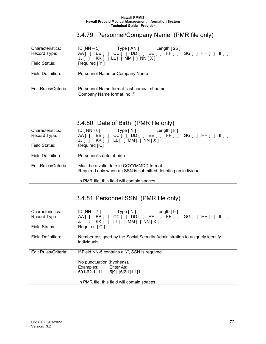# 3.4.79 Personnel/Company Name (PMR file only)

| ID $[NN-5]$<br>Type $\lceil AN \rceil$<br>Length $[25]$                 |
|-------------------------------------------------------------------------|
| $DD[$ $E[$ $F[$ $F[$ $]$<br>BB [<br>GG[ ] HH[ ] II[ ]<br>CC [ ]<br>AA I |
| $KK[$ ] $LL[$ ] MM[ ] NN $[X]$<br>JJT                                   |
| Required [Y]                                                            |
|                                                                         |
| Personnel Name or Company Name                                          |
|                                                                         |
|                                                                         |
| Personnel Name format: last name/first name                             |
| Company Name format: no '/'                                             |
|                                                                         |
|                                                                         |

# 3.4.80 Date of Birth (PMR file only)

| Characteristics:     | $ID [NN - 6]$<br>Type [ N ]<br>Length $[8]$                                      |
|----------------------|----------------------------------------------------------------------------------|
| Record Type:         | DD[ ] EE [ ] FF [ ] GG [ ] HH [ ] II [ ]<br>$CC$ [ $\vert$ ]<br>BB [ ]<br>AA [ ] |
|                      | KK[ ] LL[ ] MM[ ] NN[X]<br>JJ[]                                                  |
| Field Status:        | Required [ C]                                                                    |
|                      |                                                                                  |
| Field Definition:    | Personnel's date of birth.                                                       |
|                      |                                                                                  |
| Edit Rules/Criteria: | Must be a valid date in CCYYMMDD format.                                         |
|                      | Required only when an SSN is submitted denoting an individual.                   |
|                      |                                                                                  |
|                      | In PMR file, this field will contain spaces.                                     |

# 3.4.81 Personnel SSN (PMR file only)

| Characteristics:         | ID [NN $-7$ ]<br>Type [ N ]<br>Length $[9]$                                     |
|--------------------------|---------------------------------------------------------------------------------|
| Record Type:             | $CC[$ $]$ $DD[$ $]$ $EE[$ $]$ $FF[$ $]$ $GG[$ $]$ $HH[$ $]$<br>BB [ ]<br>AA [ ] |
|                          | KK[ ] LL[ ] MM[ ] NN[X]<br>JJ [ ]                                               |
| Field Status:            | Required [ C ]                                                                  |
| <b>Field Definition:</b> | Number assigned by the Social Security Administration to uniquely identify      |
|                          | individuals.                                                                    |
|                          |                                                                                 |
| Edit Rules/Criteria:     | If Field NN-5 contains a "/", SSN is required.                                  |
|                          | No punctuation (hyphens).                                                       |
|                          | Enter As:<br>Examples:                                                          |
|                          | 591-62-1111<br> 5 9 1 6 2 1 1 1 1                                               |
|                          |                                                                                 |
|                          | In PMR file, this field will contain spaces.                                    |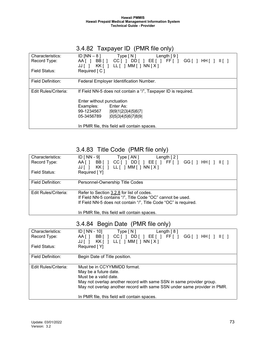# 3.4.82 Taxpayer ID (PMR file only)

| Characteristics:     | ID [NN $-8$ ]<br>Type [N]<br>Length $[9]$                        |
|----------------------|------------------------------------------------------------------|
| Record Type:         | CC[ ] D D[ ] EE[ ] FF[ ]<br>BB [ ]<br>AAI 1<br>GG[ ] HH[ ] II[ ] |
|                      | KK[ ] LL[ ] MM[ ] NN[X]<br>JJ I I                                |
| Field Status:        | Required [ C ]                                                   |
|                      |                                                                  |
| Field Definition:    | Federal Employer Identification Number.                          |
|                      |                                                                  |
| Edit Rules/Criteria: | If Field NN-5 does not contain a "/", Taxpayer ID is required.   |
|                      |                                                                  |
|                      | Enter without punctuation                                        |
|                      | Enter As:<br>Examples:                                           |
|                      | 99-1234567<br> 9 9 1 2 3 4 5 6 7                                 |
|                      | 0 5 3 4 5 6 7 8 9 <br>05-3456789                                 |
|                      |                                                                  |
|                      | In PMR file, this field will contain spaces.                     |

# 3.4.83 Title Code (PMR file only)

| Characteristics:<br>Record Type: | $ID$ [ NN - 9]<br>Type [ AN ]<br>Length $[2]$<br>$CC[ ] DD[ ] EE[ ] FF[ ] GG[ ] HH[ ]    ]$<br>BB [ ]<br>AA [ ] |
|----------------------------------|-----------------------------------------------------------------------------------------------------------------|
| Field Status:                    | KK[ ] LL[ ] MM[ ] NN[X]<br>JJ[]<br>Required [Y]                                                                 |
| Field Definition:                | Personnel-Ownership Title Codes                                                                                 |
|                                  |                                                                                                                 |
| Edit Rules/Criteria:             | Refer to Section 3.2.8 for list of codes.                                                                       |
|                                  | If Field NN-5 contains "/", Title Code "OC" cannot be used.                                                     |
|                                  | If Field NN-5 does not contain "/", Title Code "OC" is required.                                                |
|                                  | In PMR file, this field will contain spaces.                                                                    |

# 3.4.84 Begin Date (PMR file only)

| Characteristics:     | ID [ NN - 10]<br>Type [ N ]<br>Length $[8]$                              |
|----------------------|--------------------------------------------------------------------------|
| Record Type:         | $CC[$ $]$ $DD[$ $]$ $EE[$ $]$ $FF[$ $]$<br>BB [ ]<br>AA [ ]              |
|                      | KK[ ] LL[ ] MM[ ] NN[X]<br>JJI I                                         |
| Field Status:        | Required [Y]                                                             |
|                      |                                                                          |
| Field Definition:    | Begin Date of Title position.                                            |
|                      |                                                                          |
| Edit Rules/Criteria: | Must be in CCYYMMDD format.                                              |
|                      | May be a future date.                                                    |
|                      | Must be a valid date.                                                    |
|                      | May not overlap another record with same SSN in same provider group.     |
|                      | May not overlap another record with same SSN under same provider in PMR. |
|                      |                                                                          |
|                      | In PMR file, this field will contain spaces.                             |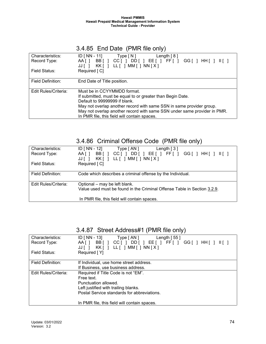# 3.4.85 End Date (PMR file only)

| Characteristics:     | ID [ $NN - 11$ ]<br>Type [N]<br>Length $[8]$                                                         |
|----------------------|------------------------------------------------------------------------------------------------------|
| Record Type:         | $DD[$ $E[$ $F[$ $F[$ $]$<br>BB [ ]<br>$CC$ [ $\vert$ ]<br>AA [ ]<br>KK[ ] LL[ ] MM[ ] NN[X]<br>JJI I |
| Field Status:        | Required [C]                                                                                         |
| Field Definition:    | End Date of Title position.                                                                          |
| Edit Rules/Criteria: | Must be in CCYYMMDD format.                                                                          |
|                      | If submitted, must be equal to or greater than Begin Date.                                           |
|                      | Default to 99999999 if blank.                                                                        |
|                      | May not overlap another record with same SSN in same provider group.                                 |
|                      | May not overlap another record with same SSN under same provider in PMR.                             |
|                      | In PMR file, this field will contain spaces.                                                         |

# 3.4.86 Criminal Offense Code (PMR file only)

| Characteristics:     | $ID$ [ NN - 12]<br>Type [ AN ]<br>Length $\lceil 3 \rceil$                                           |
|----------------------|------------------------------------------------------------------------------------------------------|
| Record Type:         | $CC[ ] DD[ ] EE[ ] FF[ ] GG[ ] HH[ ] II[ ] ]$<br>BB [ ]<br>AA [ ]<br>KK[ ] LL[ ] MM[ ] NN[X]<br>JJ[] |
| Field Status:        | Required [ C]                                                                                        |
| Field Definition:    | Code which describes a criminal offense by the Individual.                                           |
| Edit Rules/Criteria: | Optional - may be left blank.                                                                        |
|                      | Value used must be found in the Criminal Offense Table in Section 3.2.9.                             |
|                      | In PMR file, this field will contain spaces.                                                         |

# 3.4.87 Street Address#1 (PMR file only)

| Characteristics:     | ID $[NN - 13]$<br>Type [AN]<br>Length $[55]$ |
|----------------------|----------------------------------------------|
| Record Type:         | DD[] EE[] FF[]<br>BB [ ]<br>CC [ ]<br>AA I T |
|                      | KK[ ] LL[ ] MM[ ] NN[X]<br>JJ[]              |
| Field Status:        | Required [Y]                                 |
|                      |                                              |
| Field Definition:    | If Individual, use home street address.      |
|                      | If Business, use business address.           |
| Edit Rules/Criteria: | Required if Title Code is not "EM".          |
|                      | Free text.                                   |
|                      | Punctuation allowed.                         |
|                      | Left justified with trailing blanks.         |
|                      | Postal Service standards for abbreviations.  |
|                      | In PMR file, this field will contain spaces. |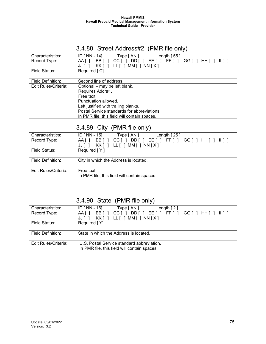# 3.4.88 Street Address#2 (PMR file only)

| Characteristics:         | ID [ $NN - 14$ ]<br>Type [ AN ]<br>Length $[55]$                               |
|--------------------------|--------------------------------------------------------------------------------|
| Record Type:             | BB [ ]<br>CC[ ] DD[ ]<br>EE[ ] FF[ ] GG[ ] HH[ ]<br>AA [ ]<br>III <sub>1</sub> |
|                          | LL [ ] MM [ ] NN [ X ]<br>KK[]<br>JJ [ ]                                       |
| Field Status:            | Required [ C]                                                                  |
|                          |                                                                                |
| <b>Field Definition:</b> | Second line of address.                                                        |
| Edit Rules/Criteria:     | Optional - may be left blank.                                                  |
|                          | Requires Addr#1.                                                               |
|                          | Free text.                                                                     |
|                          | Punctuation allowed.                                                           |
|                          | Left justified with trailing blanks.                                           |
|                          | Postal Service standards for abbreviations.                                    |
|                          | In PMR file, this field will contain spaces.                                   |
|                          |                                                                                |

# 3.4.89 City (PMR file only)

| Characteristics:     | ID [ NN - 15]<br>Type [ AN ]<br>Length $[25]$                   |
|----------------------|-----------------------------------------------------------------|
| Record Type:         | DD[ ] EE[ ] FF[ ] GG[ ] HH[ ] II[ ]<br>BB [ ]<br>CCII<br>AA [ ] |
|                      | KK[ ] LL[ ] MM[ ] NN [ X ]<br>JJII                              |
| Field Status:        | Required [Y]                                                    |
|                      |                                                                 |
| Field Definition:    | City in which the Address is located.                           |
|                      |                                                                 |
| Edit Rules/Criteria: | Free text.                                                      |
|                      | In PMR file, this field will contain spaces.                    |
|                      |                                                                 |

# 3.4.90 State (PMR file only)

| Characteristics:<br>Record Type:<br>Field Status: | ID [ NN - 16]<br>Type $\lceil AN \rceil$<br>Length $[2]$<br>$DD[$ $]$ $EE[$ $]$ $FF[$ $]$ $GG[$ $]$ $HH[$ $]$ $H[$ $]$<br>BB [ ]<br>CCII<br>AA [ ]<br>LL [ ] MM [ ] NN [ X ]<br>KK [ ]<br>JJ[]<br>Required [Y] |
|---------------------------------------------------|----------------------------------------------------------------------------------------------------------------------------------------------------------------------------------------------------------------|
| Field Definition:                                 | State in which the Address is located.                                                                                                                                                                         |
| Edit Rules/Criteria:                              | U.S. Postal Service standard abbreviation.<br>In PMR file, this field will contain spaces.                                                                                                                     |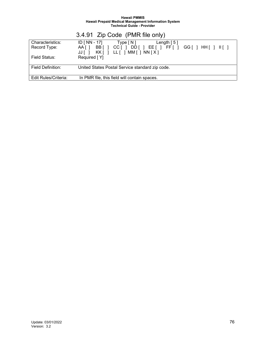|                      | 3.4.91 Zip Code (PMR file only)                 |
|----------------------|-------------------------------------------------|
| Characteristics:     | ID [ NN - 17]<br>Length $[5]$<br>Type [N]       |
| Record Type:         | AA[] BB[] CC[] DD[] EE[] FF[] GG[] HH[] II[]    |
|                      | JJ[] KK[] LL[]MM[]NN[X]                         |
| Field Status:        | Required [Y]                                    |
|                      |                                                 |
| Field Definition:    | United States Postal Service standard zip code. |
|                      |                                                 |
| Edit Rules/Criteria: | In PMR file, this field will contain spaces.    |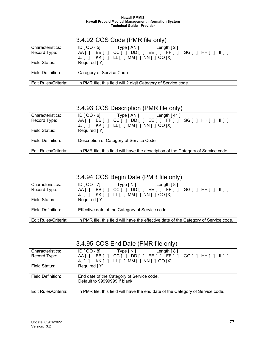| Characteristics:     | $ID [OO-5]$<br>Type $\lceil AN \rceil$<br>Length $[2]$                                                         |
|----------------------|----------------------------------------------------------------------------------------------------------------|
| Record Type:         | $EE$   FF    <br>BBI 1<br>DD [ ]<br>$GG$ $\mid$ $HH$ $\mid$ $\mid$ $\mid$ $\mid$<br>AA I T<br>CCI <sub>1</sub> |
|                      | LL [ ] MM [ ] NN [ ] OO [X]<br>KKI 1<br>JJI I                                                                  |
| Field Status:        | Required [Y]                                                                                                   |
|                      |                                                                                                                |
| Field Definition:    | Category of Service Code.                                                                                      |
|                      |                                                                                                                |
| Edit Rules/Criteria: | In PMR file, this field will 2 digit Category of Service code.                                                 |

### 3.4.92 COS Code (PMR file only)

# 3.4.93 COS Description (PMR file only)

| Characteristics:     | $ID [OO - 6]$<br>Type [ AN ]<br>Length $[41]$                                                                                                                                                                     |
|----------------------|-------------------------------------------------------------------------------------------------------------------------------------------------------------------------------------------------------------------|
| Record Type:         | BBI 1<br>DD[   EE[   FFI]  <br>AA I T<br>CCI <sub>1</sub><br>$GG$ $\upharpoonright$ $\upharpoonright$ $\upharpoonright$ $\upharpoonright$ $\upharpoonright$ $\upharpoonright$ $\upharpoonright$ $\upharpoonright$ |
|                      | LL [ ] MM [ ] NN [ ] OO [X]<br>KK [ 1<br>JJII                                                                                                                                                                     |
| Field Status:        | Required [Y]                                                                                                                                                                                                      |
|                      |                                                                                                                                                                                                                   |
| Field Definition:    | Description of Category of Service Code                                                                                                                                                                           |
|                      |                                                                                                                                                                                                                   |
| Edit Rules/Criteria: | In PMR file, this field will have the description of the Category of Service code.                                                                                                                                |
|                      |                                                                                                                                                                                                                   |

# 3.4.94 COS Begin Date (PMR file only)

| Characteristics:     | $ID [OO-7]$<br>Type[N]<br>Length $[8]$                                                                                                                                                                                                             |
|----------------------|----------------------------------------------------------------------------------------------------------------------------------------------------------------------------------------------------------------------------------------------------|
| Record Type:         | DD I<br>$'$ FF[ $\vert$ ] $\vert$<br>BBI 1<br>$GG$ $\mid$ $HH$ $\mid$ $\mid$ $\mid$ $\mid$<br>AA I T<br>CCI <sub>1</sub><br>EETI<br>- 1<br>LL $\lceil$ $\lceil$ MM $\lceil$ $\rceil$ NN $\lceil$ $\rceil$ OO $\lceil$ X $\rceil$<br>KK [ ]<br>JJII |
| Field Status:        | Required [Y]                                                                                                                                                                                                                                       |
| Field Definition:    | Effective date of the Category of Service code.                                                                                                                                                                                                    |
| Edit Rules/Criteria: | In PMR file, this field will have the effective date of the Category of Service code.                                                                                                                                                              |

### 3.4.95 COS End Date (PMR file only)

| Characteristics:     | ID [ OO - 8]<br>Type [ N ]<br>Length $[8]$                                                |
|----------------------|-------------------------------------------------------------------------------------------|
| Record Type:         | $CC[$ $]$ $DD[$ $]$ $EE[$ $]$ $FF[$ $]$ $GG[$ $]$ $HH[$ $]$ $  $ $  $<br>AA [ ]<br>BB [ ] |
|                      | KK[ ] LL[ ] MM[ ] NN [ ] OO [X]<br>JJII                                                   |
| Field Status:        | Required [Y]                                                                              |
|                      |                                                                                           |
| Field Definition:    | End date of the Category of Service code.                                                 |
|                      | Default to 99999999 if blank.                                                             |
|                      |                                                                                           |
| Edit Rules/Criteria: | In PMR file, this field will have the end date of the Category of Service code.           |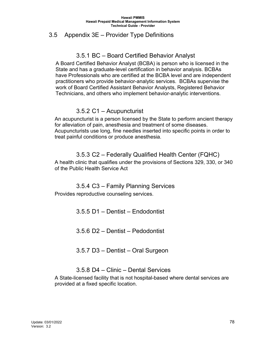#### 3.5 Appendix 3E – Provider Type Definitions

# 3.5.1 BC – Board Certified Behavior Analyst

 A Board Certified Behavior Analyst (BCBA) is person who is licensed in the State and has a graduate-level certification in behavior analysis. BCBAs have Professionals who are certified at the BCBA level and are independent practitioners who provide behavior-analytic services. BCBAs supervise the work of Board Certified Assistant Behavior Analysts, Registered Behavior Technicians, and others who implement behavior-analytic interventions.

### 3.5.2 C1 – Acupuncturist

An acupuncturist is a person licensed by the State to perform ancient therapy for alleviation of pain, anesthesia and treatment of some diseases. Acupuncturists use long, fine needles inserted into specific points in order to treat painful conditions or produce anesthesia.

#### 3.5.3 C2 – Federally Qualified Health Center (FQHC)

A health clinic that qualifies under the provisions of Sections 329, 330, or 340 of the Public Health Service Act

### 3.5.4 C3 – Family Planning Services

Provides reproductive counseling services.

3.5.5 D1 – Dentist – Endodontist

3.5.6 D2 – Dentist – Pedodontist

3.5.7 D3 – Dentist – Oral Surgeon

### 3.5.8 D4 – Clinic – Dental Services

A State-licensed facility that is not hospital-based where dental services are provided at a fixed specific location.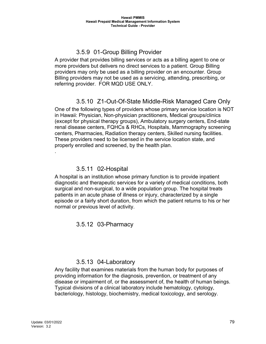# 3.5.9 01-Group Billing Provider

A provider that provides billing services or acts as a billing agent to one or more providers but delivers no direct services to a patient. Group Billing providers may only be used as a billing provider on an encounter. Group Billing providers may not be used as a servicing, attending, prescribing, or referring provider. FOR MQD USE ONLY.

# 3.5.10 Z1-Out-Of-State Middle-Risk Managed Care Only

One of the following types of providers whose primary service location is NOT in Hawaii: Physician, Non-physician practitioners, Medical groups/clinics (except for physical therapy groups), Ambulatory surgery centers, End-state renal disease centers, FQHCs & RHCs, Hospitals, Mammography screening centers, Pharmacies, Radiation therapy centers, Skilled nursing facilities. These providers need to be licensed in the service location state, and properly enrolled and screened, by the health plan.

#### 3.5.11 02-Hospital

A hospital is an institution whose primary function is to provide inpatient diagnostic and therapeutic services for a variety of medical conditions, both surgical and non-surgical, to a wide population group. The hospital treats patients in an acute phase of illness or injury, characterized by a single episode or a fairly short duration, from which the patient returns to his or her normal or previous level of activity.

3.5.12 03-Pharmacy

### 3.5.13 04-Laboratory

Any facility that examines materials from the human body for purposes of providing information for the diagnosis, prevention, or treatment of any disease or impairment of, or the assessment of, the health of human beings. Typical divisions of a clinical laboratory include hematology, cytology, bacteriology, histology, biochemistry, medical toxicology, and serology.

.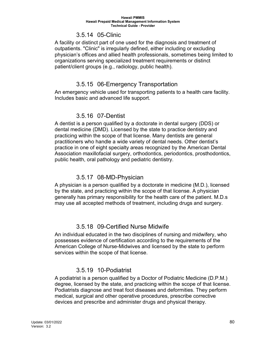#### 3.5.14 05-Clinic

A facility or distinct part of one used for the diagnosis and treatment of outpatients. "Clinic" is irregularly defined, either including or excluding physician's offices and allied health professionals, sometimes being limited to organizations serving specialized treatment requirements or distinct patient/client groups (e.g., radiology, public health).

### 3.5.15 06-Emergency Transportation

An emergency vehicle used for transporting patients to a health care facility. Includes basic and advanced life support.

### 3.5.16 07-Dentist

A dentist is a person qualified by a doctorate in dental surgery (DDS) or dental medicine (DMD). Licensed by the state to practice dentistry and practicing within the scope of that license. Many dentists are general practitioners who handle a wide variety of dental needs. Other dentist's practice in one of eight specialty areas recognized by the American Dental Association maxillofacial surgery, orthodontics, periodontics, prosthodontics, public health, oral pathology and pediatric dentistry.

### 3.5.17 08-MD-Physician

A physician is a person qualified by a doctorate in medicine (M.D.), licensed by the state, and practicing within the scope of that license. A physician generally has primary responsibility for the health care of the patient. M.D.s may use all accepted methods of treatment, including drugs and surgery.

# 3.5.18 09-Certified Nurse Midwife

An individual educated in the two disciplines of nursing and midwifery, who possesses evidence of certification according to the requirements of the American College of Nurse-Midwives and licensed by the state to perform services within the scope of that license.

# 3.5.19 10-Podiatrist

A podiatrist is a person qualified by a Doctor of Podiatric Medicine (D.P.M.) degree, licensed by the state, and practicing within the scope of that license. Podiatrists diagnose and treat foot diseases and deformities. They perform medical, surgical and other operative procedures, prescribe corrective devices and prescribe and administer drugs and physical therapy.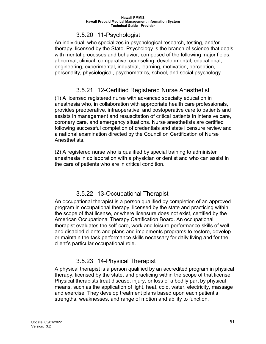#### 3.5.20 11-Psychologist

An individual, who specializes in psychological research, testing, and/or therapy, licensed by the State. Psychology is the branch of science that deals with mental processes and behavior, composed of the following major fields: abnormal, clinical, comparative, counseling, developmental, educational, engineering, experimental, industrial, learning, motivation, perception, personality, physiological, psychometrics, school, and social psychology.

# 3.5.21 12-Certified Registered Nurse Anesthetist

(1) A licensed registered nurse with advanced specialty education in anesthesia who, in collaboration with appropriate health care professionals, provides preoperative, intraoperative, and postoperative care to patients and assists in management and resuscitation of critical patients in intensive care, coronary care, and emergency situations. Nurse anesthetists are certified following successful completion of credentials and state licensure review and a national examination directed by the Council on Certification of Nurse Anesthetists.

(2) A registered nurse who is qualified by special training to administer anesthesia in collaboration with a physician or dentist and who can assist in the care of patients who are in critical condition.

# 3.5.22 13-Occupational Therapist

An occupational therapist is a person qualified by completion of an approved program in occupational therapy, licensed by the state and practicing within the scope of that license, or where licensure does not exist, certified by the American Occupational Therapy Certification Board. An occupational therapist evaluates the self-care, work and leisure performance skills of well and disabled clients and plans and implements programs to restore, develop or maintain the task performance skills necessary for daily living and for the client's particular occupational role.

# 3.5.23 14-Physical Therapist

A physical therapist is a person qualified by an accredited program in physical therapy, licensed by the state, and practicing within the scope of that license. Physical therapists treat disease, injury, or loss of a bodily part by physical means, such as the application of light, heat, cold, water, electricity, massage and exercise. They develop treatment plans based upon each patient's strengths, weaknesses, and range of motion and ability to function.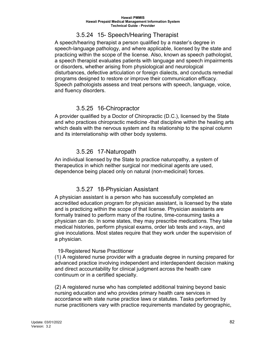# 3.5.24 15- Speech/Hearing Therapist

A speech/hearing therapist a person qualified by a master's degree in speech-language pathology, and where applicable, licensed by the state and practicing within the scope of the license. Also, known as speech pathologist, a speech therapist evaluates patients with language and speech impairments or disorders, whether arising from physiological and neurological disturbances, defective articulation or foreign dialects, and conducts remedial programs designed to restore or improve their communication efficacy. Speech pathologists assess and treat persons with speech, language, voice, and fluency disorders.

### 3.5.25 16-Chiropractor

A provider qualified by a Doctor of Chiropractic (D.C.), licensed by the State and who practices chiropractic medicine -that discipline within the healing arts which deals with the nervous system and its relationship to the spinal column and its interrelationship with other body systems.

# 3.5.26 17-Naturopath

An individual licensed by the State to practice naturopathy, a system of therapeutics in which neither surgical nor medicinal agents are used, dependence being placed only on natural (non-medicinal) forces.

# 3.5.27 18-Physician Assistant

A physician assistant is a person who has successfully completed an accredited education program for physician assistant, is licensed by the state and is practicing within the scope of that license. Physician assistants are formally trained to perform many of the routine, time-consuming tasks a physician can do. In some states, they may prescribe medications. They take medical histories, perform physical exams, order lab tests and x-rays, and give inoculations. Most states require that they work under the supervision of a physician.

#### 19-Registered Nurse Practitioner

(1) A registered nurse provider with a graduate degree in nursing prepared for advanced practice involving independent and interdependent decision making and direct accountability for clinical judgment across the health care continuum or in a certified specialty.

(2) A registered nurse who has completed additional training beyond basic nursing education and who provides primary health care services in accordance with state nurse practice laws or statutes. Tasks performed by nurse practitioners vary with practice requirements mandated by geographic,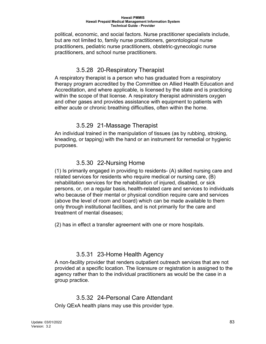political, economic, and social factors. Nurse practitioner specialists include, but are not limited to, family nurse practitioners, gerontological nurse practitioners, pediatric nurse practitioners, obstetric-gynecologic nurse practitioners, and school nurse practitioners.

# 3.5.28 20-Respiratory Therapist

A respiratory therapist is a person who has graduated from a respiratory therapy program accredited by the Committee on Allied Health Education and Accreditation, and where applicable, is licensed by the state and is practicing within the scope of that license. A respiratory therapist administers oxygen and other gases and provides assistance with equipment to patients with either acute or chronic breathing difficulties, often within the home.

### 3.5.29 21-Massage Therapist

An individual trained in the manipulation of tissues (as by rubbing, stroking, kneading, or tapping) with the hand or an instrument for remedial or hygienic purposes.

# 3.5.30 22-Nursing Home

(1) Is primarily engaged in providing to residents- (A) skilled nursing care and related services for residents who require medical or nursing care, (B) rehabilitation services for the rehabilitation of injured, disabled, or sick persons, or, on a regular basis, health-related care and services to individuals who because of their mental or physical condition require care and services (above the level of room and board) which can be made available to them only through institutional facilities, and is not primarily for the care and treatment of mental diseases;

(2) has in effect a transfer agreement with one or more hospitals.

# 3.5.31 23-Home Health Agency

A non-facility provider that renders outpatient outreach services that are not provided at a specific location. The licensure or registration is assigned to the agency rather than to the individual practitioners as would be the case in a group practice.

# 3.5.32 24-Personal Care Attendant

Only QExA health plans may use this provider type.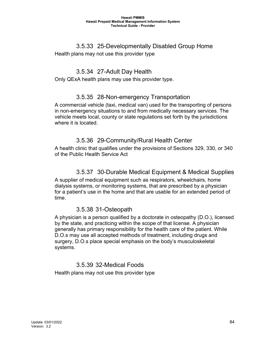#### 3.5.33 25-Developmentally Disabled Group Home

Health plans may not use this provider type

# 3.5.34 27-Adult Day Health

Only QExA health plans may use this provider type.

### 3.5.35 28-Non-emergency Transportation

A commercial vehicle (taxi, medical van) used for the transporting of persons in non-emergency situations to and from medically necessary services. The vehicle meets local, county or state regulations set forth by the jurisdictions where it is located.

### 3.5.36 29-Community/Rural Health Center

A health clinic that qualifies under the provisions of Sections 329, 330, or 340 of the Public Health Service Act

### 3.5.37 30-Durable Medical Equipment & Medical Supplies

A supplier of medical equipment such as respirators, wheelchairs, home dialysis systems, or monitoring systems, that are prescribed by a physician for a patient's use in the home and that are usable for an extended period of time.

### 3.5.38 31-Osteopath

A physician is a person qualified by a doctorate in osteopathy (D.O.), licensed by the state, and practicing within the scope of that license. A physician generally has primary responsibility for the health care of the patient. While D.O.s may use all accepted methods of treatment, including drugs and surgery, D.O.s place special emphasis on the body's musculoskeletal systems.

# 3.5.39 32-Medical Foods

Health plans may not use this provider type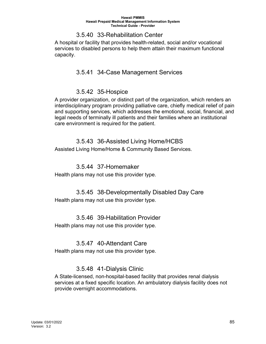#### 3.5.40 33-Rehabilitation Center

A hospital or facility that provides health-related, social and/or vocational services to disabled persons to help them attain their maximum functional capacity.

### 3.5.41 34-Case Management Services

#### 3.5.42 35-Hospice

A provider organization, or distinct part of the organization, which renders an interdisciplinary program providing palliative care, chiefly medical relief of pain and supporting services, which addresses the emotional, social, financial, and legal needs of terminally ill patients and their families where an institutional care environment is required for the patient.

#### 3.5.43 36-Assisted Living Home/HCBS

Assisted Living Home/Home & Community Based Services.

#### 3.5.44 37-Homemaker

Health plans may not use this provider type.

### 3.5.45 38-Developmentally Disabled Day Care Health plans may not use this provider type.

### 3.5.46 39-Habilitation Provider Health plans may not use this provider type.

#### 3.5.47 40-Attendant Care

Health plans may not use this provider type.

### 3.5.48 41-Dialysis Clinic

A State-licensed, non-hospital-based facility that provides renal dialysis services at a fixed specific location. An ambulatory dialysis facility does not provide overnight accommodations.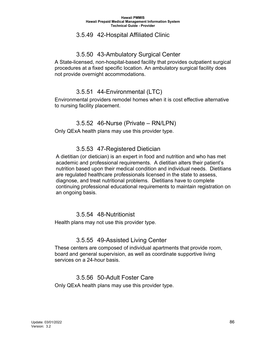#### 3.5.49 42-Hospital Affiliated Clinic

### 3.5.50 43-Ambulatory Surgical Center

A State-licensed, non-hospital-based facility that provides outpatient surgical procedures at a fixed specific location. An ambulatory surgical facility does not provide overnight accommodations.

# 3.5.51 44-Environmental (LTC)

Environmental providers remodel homes when it is cost effective alternative to nursing facility placement.

# 3.5.52 46-Nurse (Private – RN/LPN)

Only QExA health plans may use this provider type.

### 3.5.53 47-Registered Dietician

 A dietitian (or dietician) is an expert in food and nutrition and who has met academic and professional requirements. A dietitian alters their patient's nutrition based upon their medical condition and individual needs. Dietitians are regulated healthcare professionals licensed in the state to assess, diagnose, and treat nutritional problems. Dietitians have to complete continuing professional educational requirements to maintain registration on an ongoing basis.

#### 3.5.54 48-Nutritionist

Health plans may not use this provider type.

#### 3.5.55 49-Assisted Living Center

These centers are composed of individual apartments that provide room, board and general supervision, as well as coordinate supportive living services on a 24-hour basis.

### 3.5.56 50-Adult Foster Care

Only QExA health plans may use this provider type.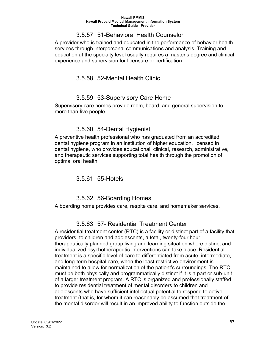#### 3.5.57 51-Behavioral Health Counselor

A provider who is trained and educated in the performance of behavior health services through interpersonal communications and analysis. Training and education at the specialty level usually requires a master's degree and clinical experience and supervision for licensure or certification.

# 3.5.58 52-Mental Health Clinic

# 3.5.59 53-Supervisory Care Home

Supervisory care homes provide room, board, and general supervision to more than five people.

# 3.5.60 54-Dental Hygienist

A preventive health professional who has graduated from an accredited dental hygiene program in an institution of higher education, licensed in dental hygiene, who provides educational, clinical, research, administrative, and therapeutic services supporting total health through the promotion of optimal oral health.

3.5.61 55-Hotels

# 3.5.62 56-Boarding Homes

A boarding home provides care, respite care, and homemaker services.

# 3.5.63 57- Residential Treatment Center

A residential treatment center (RTC) is a facility or distinct part of a facility that providers, to children and adolescents, a total, twenty-four hour, therapeutically planned group living and learning situation where distinct and individualized psychotherapeutic interventions can take place. Residential treatment is a specific level of care to differentiated from acute, intermediate, and long-term hospital care, when the least restrictive environment is maintained to allow for normalization of the patient's surroundings. The RTC must be both physically and programmatically distinct if it is a part or sub-unit of a larger treatment program. A RTC is organized and professionally staffed to provide residential treatment of mental disorders to children and adolescents who have sufficient intellectual potential to respond to active treatment (that is, for whom it can reasonably be assumed that treatment of the mental disorder will result in an improved ability to function outside the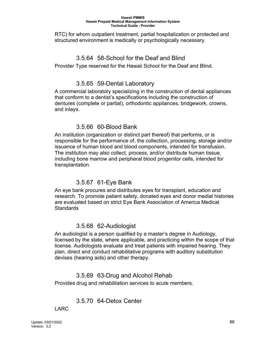RTC) for whom outpatient treatment, partial hospitalization or protected and structured environment is medically or psychologically necessary.

#### 3.5.64 58-School for the Deaf and Blind

Provider Type reserved for the Hawaii School for the Deaf and Blind.

#### 3.5.65 59-Dental Laboratory

A commercial laboratory specializing in the construction of dental appliances that conform to a dentist's specifications including the construction of dentures (complete or partial), orthodontic appliances, bridgework, crowns, and inlays.

#### 3.5.66 60-Blood Bank

An institution (organization or distinct part thereof) that performs, or is responsible for the performance of, the collection, processing, storage and/or issuance of human blood and blood components, intended for transfusion. The institution may also collect, process, and/or distribute human tissue, including bone marrow and peripheral blood progenitor cells, intended for transplantation.

#### 3.5.67 61-Eye Bank

An eye bank procures and distributes eyes for transplant, education and research. To promote patient safety, donated eyes and donor medial histories are evaluated based on strict Eye Bank Association of America Medical **Standards** 

#### 3.5.68 62-Audiologist

An audiologist is a person qualified by a master's degree in Audiology, licensed by the state, where applicable, and practicing within the scope of that license. Audiologists evaluate and treat patients with impaired hearing. They plan, direct and conduct rehabilitative programs with auditory substitution devises (hearing aids) and other therapy.

### 3.5.69 63-Drug and Alcohol Rehab

Provides drug and rehabilitation services to acute members.

### 3.5.70 64-Detox Center

#### LARC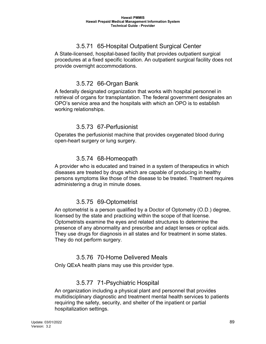# 3.5.71 65-Hospital Outpatient Surgical Center

A State-licensed, hospital-based facility that provides outpatient surgical procedures at a fixed specific location. An outpatient surgical facility does not provide overnight accommodations.

# 3.5.72 66-Organ Bank

A federally designated organization that works with hospital personnel in retrieval of organs for transplantation. The federal government designates an OPO's service area and the hospitals with which an OPO is to establish working relationships.

#### 3.5.73 67-Perfusionist

Operates the perfusionist machine that provides oxygenated blood during open-heart surgery or lung surgery.

### 3.5.74 68-Homeopath

A provider who is educated and trained in a system of therapeutics in which diseases are treated by drugs which are capable of producing in healthy persons symptoms like those of the disease to be treated. Treatment requires administering a drug in minute doses.

### 3.5.75 69-Optometrist

An optometrist is a person qualified by a Doctor of Optometry (O.D.) degree, licensed by the state and practicing within the scope of that license. Optometrists examine the eyes and related structures to determine the presence of any abnormality and prescribe and adapt lenses or optical aids. They use drugs for diagnosis in all states and for treatment in some states. They do not perform surgery.

#### 3.5.76 70-Home Delivered Meals

Only QExA health plans may use this provider type.

### 3.5.77 71-Psychiatric Hospital

An organization including a physical plant and personnel that provides multidisciplinary diagnostic and treatment mental health services to patients requiring the safety, security, and shelter of the inpatient or partial hospitalization settings.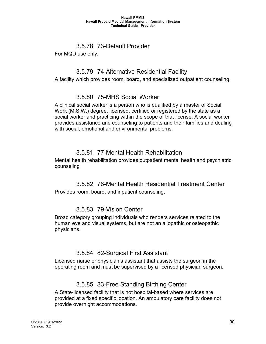# 3.5.78 73-Default Provider

For MQD use only.

### 3.5.79 74-Alternative Residential Facility

A facility which provides room, board, and specialized outpatient counseling.

# 3.5.80 75-MHS Social Worker

A clinical social worker is a person who is qualified by a master of Social Work (M.S.W.) degree, licensed, certified or registered by the state as a social worker and practicing within the scope of that license. A social worker provides assistance and counseling to patients and their families and dealing with social, emotional and environmental problems.

# 3.5.81 77-Mental Health Rehabilitation

Mental health rehabilitation provides outpatient mental health and psychiatric counseling

# 3.5.82 78-Mental Health Residential Treatment Center

Provides room, board, and inpatient counseling.

# 3.5.83 79-Vision Center

Broad category grouping individuals who renders services related to the human eye and visual systems, but are not an allopathic or osteopathic physicians.

# 3.5.84 82-Surgical First Assistant

Licensed nurse or physician's assistant that assists the surgeon in the operating room and must be supervised by a licensed physician surgeon.

# 3.5.85 83-Free Standing Birthing Center

A State-licensed facility that is not hospital-based where services are provided at a fixed specific location. An ambulatory care facility does not provide overnight accommodations.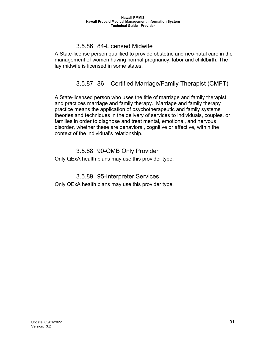# 3.5.86 84-Licensed Midwife

A State-license person qualified to provide obstetric and neo-natal care in the management of women having normal pregnancy, labor and childbirth. The lay midwife is licensed in some states.

# 3.5.87 86 – Certified Marriage/Family Therapist (CMFT)

A State-licensed person who uses the title of marriage and family therapist and practices marriage and family therapy. Marriage and family therapy practice means the application of psychotherapeutic and family systems theories and techniques in the delivery of services to individuals, couples, or families in order to diagnose and treat mental, emotional, and nervous disorder, whether these are behavioral, cognitive or affective, within the context of the individual's relationship.

#### 3.5.88 90-QMB Only Provider Only QExA health plans may use this provider type.

### 3.5.89 95-Interpreter Services

Only QExA health plans may use this provider type.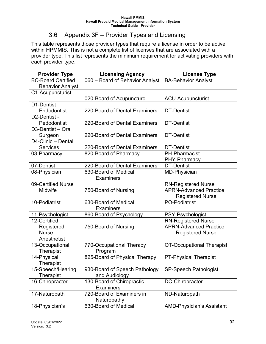# 3.6 Appendix 3F – Provider Types and Licensing

This table represents those provider types that require a license in order to be active within HPMMIS. This is not a complete list of licenses that are associated with a provider type. This list represents the minimum requirement for activating providers with each provider type.

| <b>Provider Type</b>      | <b>Licensing Agency</b>         | <b>License Type</b>              |
|---------------------------|---------------------------------|----------------------------------|
| <b>BC-Board Certified</b> | 060 - Board of Behavior Analyst | <b>BA-Behavior Analyst</b>       |
| <b>Behavior Analyst</b>   |                                 |                                  |
| C1-Acupuncturist          |                                 |                                  |
|                           | 020-Board of Acupuncture        | <b>ACU-Acupuncturist</b>         |
| $D1-Dentist -$            |                                 |                                  |
| Endodontist               | 220-Board of Dental Examiners   | DT-Dentist                       |
| D2-Dentist -              |                                 |                                  |
| Pedodontist               | 220-Board of Dental Examiners   | <b>DT-Dentist</b>                |
| D3-Dentist - Oral         |                                 |                                  |
| Surgeon                   | 220-Board of Dental Examiners   | <b>DT-Dentist</b>                |
| D4-Clinic - Dental        |                                 |                                  |
| <b>Services</b>           | 220-Board of Dental Examiners   | <b>DT-Dentist</b>                |
| 03-Pharmacy               | 820-Board of Pharmacy           | <b>PH-Pharmacist</b>             |
|                           |                                 | PHY-Pharmacy                     |
| 07-Dentist                | 220-Board of Dental Examiners   | <b>DT-Dentist</b>                |
| 08-Physician              | 630-Board of Medical            | <b>MD-Physician</b>              |
|                           | <b>Examiners</b>                |                                  |
| 09-Certified Nurse        |                                 | <b>RN-Registered Nurse</b>       |
| Midwife                   | 750-Board of Nursing            | <b>APRN-Advanced Practice</b>    |
|                           |                                 | <b>Registered Nurse</b>          |
| 10-Podiatrist             | 630-Board of Medical            | <b>PO-Podiatrist</b>             |
|                           | <b>Examiners</b>                |                                  |
| 11-Psychologist           | 860-Board of Psychology         | PSY-Psychologist                 |
| 12-Certified              |                                 | <b>RN-Registered Nurse</b>       |
| Registered                | 750-Board of Nursing            | <b>APRN-Advanced Practice</b>    |
| <b>Nurse</b>              |                                 | <b>Registered Nurse</b>          |
| Anesthetist               |                                 |                                  |
| 13-Occupational           | 770-Occupational Therapy        | <b>OT-Occupational Therapist</b> |
| Therapist                 | Program                         |                                  |
| 14-Physical               | 825-Board of Physical Therapy   | <b>PT-Physical Therapist</b>     |
| <b>Therapist</b>          |                                 |                                  |
| 15-Speech/Hearing         | 930-Board of Speech Pathology   | <b>SP-Speech Pathologist</b>     |
| <b>Therapist</b>          | and Audiology                   |                                  |
| 16-Chiropractor           | 130-Board of Chiropractic       | <b>DC-Chiropractor</b>           |
|                           | <b>Examiners</b>                |                                  |
| 17-Naturopath             | 720-Board of Examiners in       | ND-Naturopath                    |
|                           | Naturopathy                     |                                  |
| 18-Physician's            | 630-Board of Medical            | <b>AMD-Physician's Assistant</b> |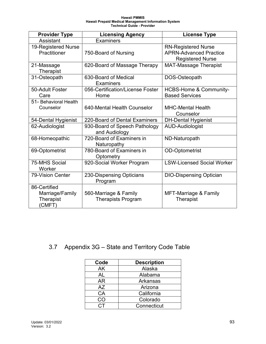| <b>Provider Type</b>                                   | <b>Licensing Agency</b>                            | <b>License Type</b>                                                                    |
|--------------------------------------------------------|----------------------------------------------------|----------------------------------------------------------------------------------------|
| Assistant                                              | Examiners                                          |                                                                                        |
| 19-Registered Nurse<br>Practitioner                    | 750-Board of Nursing                               | <b>RN-Registered Nurse</b><br><b>APRN-Advanced Practice</b><br><b>Registered Nurse</b> |
| 21-Massage<br>Therapist                                | 620-Board of Massage Therapy                       | <b>MAT-Massage Therapist</b>                                                           |
| 31-Osteopath                                           | 630-Board of Medical<br><b>Examiners</b>           | DOS-Osteopath                                                                          |
| 50-Adult Foster<br>Care                                | 056-Certification/License Foster<br>Home           | <b>HCBS-Home &amp; Community-</b><br><b>Based Services</b>                             |
| 51- Behavioral Health<br>Counselor                     | 640-Mental Health Counselor                        | <b>MHC-Mental Health</b><br>Counselor                                                  |
| 54-Dental Hygienist                                    | 220-Board of Dental Examiners                      | <b>DH-Dental Hygienist</b>                                                             |
| 62-Audiologist                                         | 930-Board of Speech Pathology<br>and Audiology     | AUD-Audiologist                                                                        |
| 68-Homeopathic                                         | 720-Board of Examiners in<br>Naturopathy           | ND-Naturopath                                                                          |
| 69-Optometrist                                         | 780-Board of Examiners in<br>Optometry             | <b>OD-Optometrist</b>                                                                  |
| 75-MHS Social<br>Worker                                | 920-Social Worker Program                          | <b>LSW-Licensed Social Worker</b>                                                      |
| 79-Vision Center                                       | 230-Dispensing Opticians<br>Program                | <b>DIO-Dispensing Optician</b>                                                         |
| 86-Certified<br>Marriage/Family<br>Therapist<br>(CMFT) | 560-Marriage & Family<br><b>Therapists Program</b> | MFT-Marriage & Family<br><b>Therapist</b>                                              |

3.7 Appendix 3G – State and Territory Code Table

| Code | <b>Description</b> |
|------|--------------------|
| AK   | Alaska             |
| AL   | Alabama            |
| AR   | Arkansas           |
| AZ   | Arizona            |
| CA   | California         |
| CO   | Colorado           |
| CΤ   | Connecticut        |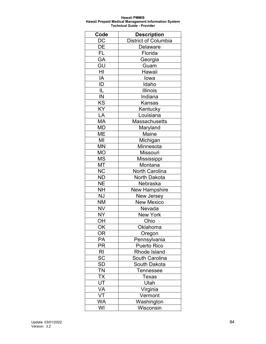| Code                   | <b>Description</b>          |
|------------------------|-----------------------------|
| DC                     | <b>District of Columbia</b> |
| DE                     | <b>Delaware</b>             |
| FL                     | Florida                     |
| GA                     | Georgia                     |
| GU                     | Guam                        |
| HI                     | Hawaii                      |
| IA                     | lowa                        |
| ID                     | Idaho                       |
| IL                     | <b>Illinois</b>             |
| IN                     | Indiana                     |
| KS                     | <b>Kansas</b>               |
| KY                     | Kentucky                    |
| LĀ                     | Louisiana                   |
| MA                     | Massachusetts               |
| MD                     | Maryland                    |
| МE                     | Maine                       |
| MI                     | Michigan                    |
| <b>MN</b>              | Minnesota                   |
| <b>MO</b>              | Missouri                    |
| MS                     | Mississippi                 |
| MT                     | Montana                     |
| <b>NC</b>              | <b>North Carolina</b>       |
| <b>ND</b>              | North Dakota                |
| <b>NE</b>              | Nebraska                    |
| NΗ                     | <b>New Hampshire</b>        |
| <b>NJ</b>              | New Jersey                  |
| <b>NM</b>              | <b>New Mexico</b>           |
| <b>NV</b>              | Nevada                      |
| <b>NY</b>              | <b>New York</b>             |
| OН                     | Ohio                        |
| OK                     | Oklahoma                    |
| <b>OR</b>              | Oregon                      |
| PA                     | Pennsylvania                |
| PR                     | <b>Puerto Rico</b>          |
| RI                     | Rhode Island                |
| SC                     | South Carolina              |
| $\overline{\text{SD}}$ | South Dakota                |
| <b>TN</b>              | Tennessee                   |
| <b>TX</b>              | Texas                       |
| <u>UT</u>              | Utah                        |
| VA                     | Virginia                    |
| VT                     | Vermont                     |
| WA                     | Washington                  |
| WI                     | Wisconsin                   |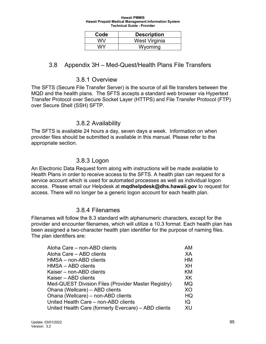| Code | <b>Description</b> |
|------|--------------------|
| WV   | West Virginia      |
| WY   | Wyoming            |

#### 3.8 Appendix 3H – Med-Quest/Health Plans File Transfers

#### 3.8.1 Overview

The SFTS (Secure File Transfer Server) is the source of all file transfers between the MQD and the health plans. The SFTS accepts a standard web browser via Hypertext Transfer Protocol over Secure Socket Layer (HTTPS) and File Transfer Protocol (FTP) over Secure Shell (SSH) SFTP.

#### 3.8.2 Availability

The SFTS is available 24 hours a day, seven days a week. Information on when provider files should be submitted is available in this manual. Please refer to the appropriate section.

#### 3.8.3 Logon

An Electronic Data Request form along with instructions will be made available to Health Plans in order to receive access to the SFTS. A health plan can request for a service account which is used for automated processes as well as individual logon access. Please email our Helpdesk at **mqdhelpdesk@dhs.hawaii.gov** to request for access. There will no longer be a generic logon account for each health plan.

#### 3.8.4 Filenames

Filenames will follow the 8.3 standard with alphanumeric characters, except for the provider and encounter filenames, which will utilize a 10.3 format. Each health plan has been assigned a two-character health plan identifier for the purpose of naming files. The plan identifiers are:

| Aloha Care - non-ABD clients                         | AM        |
|------------------------------------------------------|-----------|
| Aloha Care - ABD clients                             | XA        |
| HMSA – non-ABD clients                               | <b>HM</b> |
| HMSA - ABD clients                                   | <b>XH</b> |
| Kaiser – non-ABD clients                             | ΚM        |
| Kaiser – ABD clients                                 | XK        |
| Med-QUEST Division Files (Provider Master Registry)  | MQ        |
| Ohana (Wellcare) - ABD clients                       | XO        |
| Ohana (Wellcare) - non-ABD clients                   | HQ        |
| United Health Care - non-ABD clients                 | IQ        |
| United Health Care (formerly Evercare) - ABD clients | XU        |
|                                                      |           |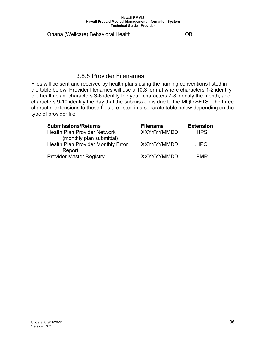Ohana (Wellcare) Behavioral Health OB

#### 3.8.5 Provider Filenames

Files will be sent and received by health plans using the naming conventions listed in the table below. Provider filenames will use a 10.3 format where characters 1-2 identify the health plan; characters 3-6 identify the year; characters 7-8 identify the month; and characters 9-10 identify the day that the submission is due to the MQD SFTS. The three character extensions to these files are listed in a separate table below depending on the type of provider file.

| <b>Submissions/Returns</b>         | <b>Filename</b>   | <b>Extension</b> |
|------------------------------------|-------------------|------------------|
| l Health Plan Provider Network     | <b>XXYYYYMMDD</b> | .HPS             |
| (monthly plan submittal)           |                   |                  |
| Health Plan Provider Monthly Error | <b>XXYYYYMMDD</b> | .HPQ             |
| Report                             |                   |                  |
| Provider Master Registry           | <b>XXYYYYMMDD</b> | .PMR             |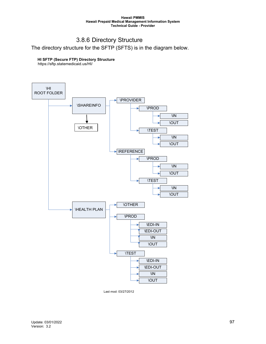# 3.8.6 Directory Structure

The directory structure for the SFTP (SFTS) is in the diagram below.

#### **HI SFTP (Secure FTP) Directory Structure**

https://sftp.statemedicaid.us/HI/



Last mod: 03/27/2012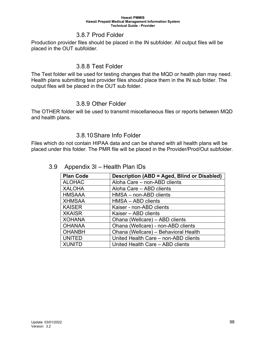#### 3.8.7 Prod Folder

Production provider files should be placed in the IN subfolder. All output files will be placed in the OUT subfolder.

#### 3.8.8 Test Folder

The Test folder will be used for testing changes that the MQD or health plan may need. Health plans submitting test provider files should place them in the IN sub folder. The output files will be placed in the OUT sub folder.

#### 3.8.9 Other Folder

The OTHER folder will be used to transmit miscellaneous files or reports between MQD and health plans.

#### 3.8.10Share Info Folder

Files which do not contain HIPAA data and can be shared with all health plans will be placed under this folder. The PMR file will be placed in the Provider/Prod/Out subfolder.

#### 3.9 Appendix 3I – Health Plan IDs

| <b>Plan Code</b> | Description (ABD = Aged, Blind or Disabled) |  |
|------------------|---------------------------------------------|--|
| <b>ALOHAC</b>    | Aloha Care - non-ABD clients                |  |
| <b>XALOHA</b>    | Aloha Care - ABD clients                    |  |
| <b>HMSAAA</b>    | HMSA - non-ABD clients                      |  |
| <b>XHMSAA</b>    | HMSA - ABD clients                          |  |
| <b>KAISER</b>    | Kaiser - non-ABD clients                    |  |
| <b>XKAISR</b>    | Kaiser – ABD clients                        |  |
| <b>XOHANA</b>    | Ohana (Wellcare) - ABD clients              |  |
| <b>OHANAA</b>    | Ohana (Wellcare) - non-ABD clients          |  |
| <b>OHANBH</b>    | Ohana (Wellcare) - Behavioral Health        |  |
| <b>UNITED</b>    | United Health Care - non-ABD clients        |  |
| <b>XUNITD</b>    | United Health Care - ABD clients            |  |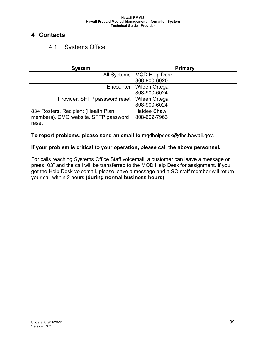# **4 Contacts**

# 4.1 Systems Office

| <b>System</b>                        | Primary              |
|--------------------------------------|----------------------|
| All Systems                          | <b>MQD Help Desk</b> |
|                                      | 808-900-6020         |
| Encounter                            | Wileen Ortega        |
|                                      | 808-900-6024         |
| Provider, SFTP password reset        | Wileen Ortega        |
|                                      | 808-900-6024         |
| 834 Rosters, Recipient (Health Plan  | <b>Haidee Shaw</b>   |
| members), DMO website, SFTP password | 808-692-7963         |
| reset                                |                      |

**To report problems, please send an email to** mqdhelpdesk@dhs.hawaii.gov.

#### **If your problem is critical to your operation, please call the above personnel.**

For calls reaching Systems Office Staff voicemail, a customer can leave a message or press "03" and the call will be transferred to the MQD Help Desk for assignment. If you get the Help Desk voicemail, please leave a message and a SO staff member will return your call within 2 hours **(during normal business hours)**.